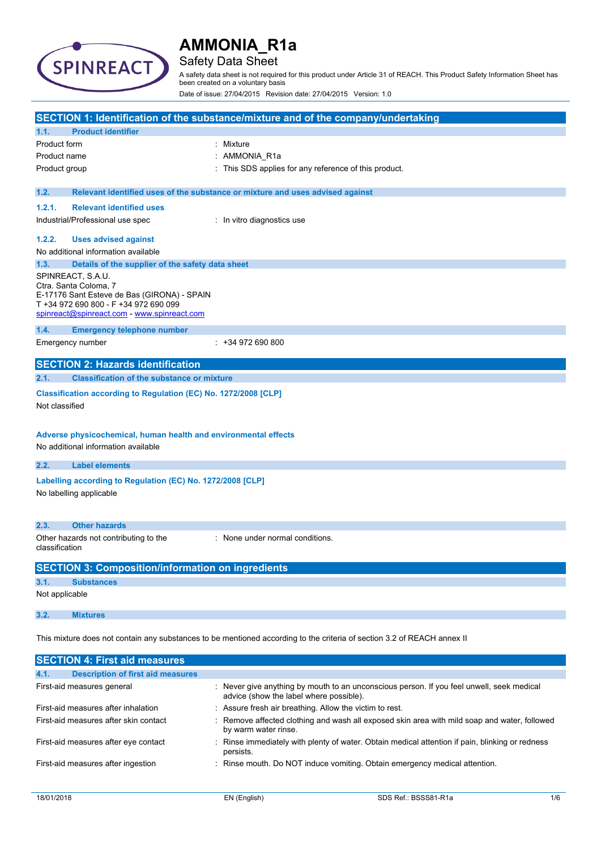

# Safety Data Sheet

A safety data sheet is not required for this product under Article 31 of REACH. This Product Safety Information Sheet has been created on a voluntary basis

Date of issue: 27/04/2015 Revision date: 27/04/2015 Version: 1.0

|                |                                                                                                                                                                                   | SECTION 1: Identification of the substance/mixture and of the company/undertaking                                       |
|----------------|-----------------------------------------------------------------------------------------------------------------------------------------------------------------------------------|-------------------------------------------------------------------------------------------------------------------------|
| 1.1.           | <b>Product identifier</b>                                                                                                                                                         |                                                                                                                         |
| Product form   |                                                                                                                                                                                   | : Mixture                                                                                                               |
| Product name   |                                                                                                                                                                                   | AMMONIA_R1a                                                                                                             |
| Product group  |                                                                                                                                                                                   | This SDS applies for any reference of this product.                                                                     |
| 1.2.           |                                                                                                                                                                                   | Relevant identified uses of the substance or mixture and uses advised against                                           |
| 1.2.1.         | <b>Relevant identified uses</b>                                                                                                                                                   |                                                                                                                         |
|                | Industrial/Professional use spec                                                                                                                                                  | : In vitro diagnostics use                                                                                              |
| 1.2.2.         | <b>Uses advised against</b>                                                                                                                                                       |                                                                                                                         |
|                | No additional information available                                                                                                                                               |                                                                                                                         |
| 1.3.           | Details of the supplier of the safety data sheet                                                                                                                                  |                                                                                                                         |
|                | SPINREACT, S.A.U.<br>Ctra. Santa Coloma, 7<br>E-17176 Sant Esteve de Bas (GIRONA) - SPAIN<br>T +34 972 690 800 - F +34 972 690 099<br>spinreact@spinreact.com - www.spinreact.com |                                                                                                                         |
| 1.4.           | <b>Emergency telephone number</b>                                                                                                                                                 |                                                                                                                         |
|                | Emergency number                                                                                                                                                                  | $: +34972690800$                                                                                                        |
|                | <b>SECTION 2: Hazards identification</b>                                                                                                                                          |                                                                                                                         |
| 2.1.           | <b>Classification of the substance or mixture</b>                                                                                                                                 |                                                                                                                         |
| Not classified | Classification according to Regulation (EC) No. 1272/2008 [CLP]                                                                                                                   |                                                                                                                         |
|                | Adverse physicochemical, human health and environmental effects<br>No additional information available                                                                            |                                                                                                                         |
| 2.2.           | <b>Label elements</b>                                                                                                                                                             |                                                                                                                         |
|                | Labelling according to Regulation (EC) No. 1272/2008 [CLP]<br>No labelling applicable                                                                                             |                                                                                                                         |
| 2.3.           | <b>Other hazards</b>                                                                                                                                                              |                                                                                                                         |
| classification | Other hazards not contributing to the                                                                                                                                             | : None under normal conditions.                                                                                         |
|                | <b>SECTION 3: Composition/information on ingredients</b>                                                                                                                          |                                                                                                                         |
| 3.1.           | <b>Substances</b>                                                                                                                                                                 |                                                                                                                         |
| Not applicable |                                                                                                                                                                                   |                                                                                                                         |
| 3.2.           | <b>Mixtures</b>                                                                                                                                                                   |                                                                                                                         |
|                |                                                                                                                                                                                   | This mixture does not contain any substances to be mentioned according to the criteria of section 3.2 of REACH annex II |
|                | <b>SECTION 4: First aid measures</b>                                                                                                                                              |                                                                                                                         |
|                | rintian of firet aid mag                                                                                                                                                          |                                                                                                                         |

| <b>The Latin</b><br><b>Description of mist ald incasures</b> |  |                                                                                                                                      |  |
|--------------------------------------------------------------|--|--------------------------------------------------------------------------------------------------------------------------------------|--|
| First-aid measures general                                   |  | : Never give anything by mouth to an unconscious person. If you feel unwell, seek medical<br>advice (show the label where possible). |  |
| First-aid measures after inhalation                          |  | : Assure fresh air breathing. Allow the victim to rest.                                                                              |  |
| First-aid measures after skin contact                        |  | : Remove affected clothing and wash all exposed skin area with mild soap and water, followed<br>by warm water rinse.                 |  |
| First-aid measures after eye contact                         |  | : Rinse immediately with plenty of water. Obtain medical attention if pain, blinking or redness<br>persists.                         |  |
| First-aid measures after ingestion                           |  | : Rinse mouth. Do NOT induce vomiting. Obtain emergency medical attention.                                                           |  |
|                                                              |  |                                                                                                                                      |  |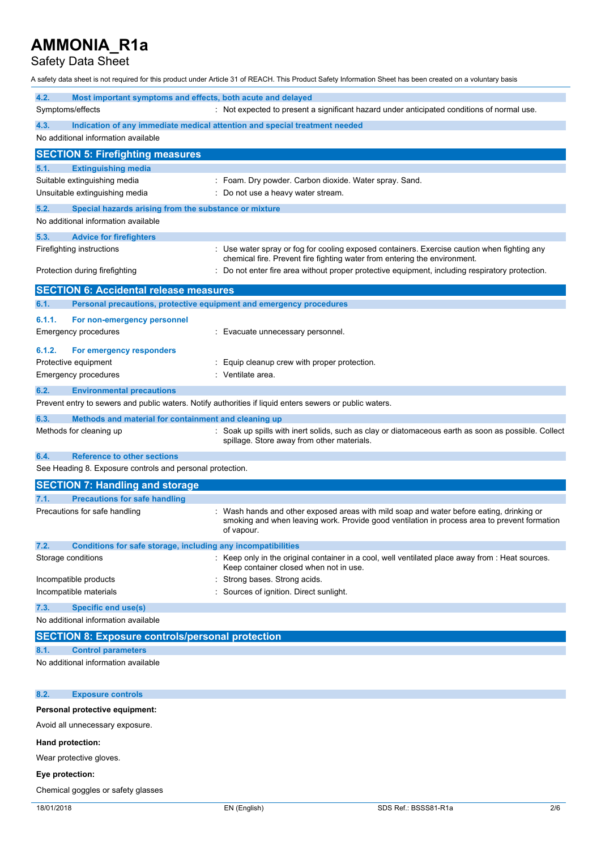Safety Data Sheet

A safety data sheet is not required for this product under Article 31 of REACH. This Product Safety Information Sheet has been created on a voluntary basis

| 4.2.<br>Most important symptoms and effects, both acute and delayed                                     |                                                                                                                                                                                                        |  |  |
|---------------------------------------------------------------------------------------------------------|--------------------------------------------------------------------------------------------------------------------------------------------------------------------------------------------------------|--|--|
| Symptoms/effects<br>4.3.<br>Indication of any immediate medical attention and special treatment needed  | : Not expected to present a significant hazard under anticipated conditions of normal use.                                                                                                             |  |  |
| No additional information available                                                                     |                                                                                                                                                                                                        |  |  |
| <b>SECTION 5: Firefighting measures</b>                                                                 |                                                                                                                                                                                                        |  |  |
| 5.1.<br><b>Extinguishing media</b>                                                                      |                                                                                                                                                                                                        |  |  |
| Suitable extinguishing media                                                                            | : Foam. Dry powder. Carbon dioxide. Water spray. Sand.                                                                                                                                                 |  |  |
| Unsuitable extinguishing media                                                                          | Do not use a heavy water stream.                                                                                                                                                                       |  |  |
| 5.2.<br>Special hazards arising from the substance or mixture                                           |                                                                                                                                                                                                        |  |  |
| No additional information available                                                                     |                                                                                                                                                                                                        |  |  |
| 5.3.<br><b>Advice for firefighters</b>                                                                  |                                                                                                                                                                                                        |  |  |
| Firefighting instructions                                                                               | Use water spray or fog for cooling exposed containers. Exercise caution when fighting any                                                                                                              |  |  |
|                                                                                                         | chemical fire. Prevent fire fighting water from entering the environment.                                                                                                                              |  |  |
| Protection during firefighting                                                                          | Do not enter fire area without proper protective equipment, including respiratory protection.                                                                                                          |  |  |
| <b>SECTION 6: Accidental release measures</b>                                                           |                                                                                                                                                                                                        |  |  |
| 6.1.<br>Personal precautions, protective equipment and emergency procedures                             |                                                                                                                                                                                                        |  |  |
| 6.1.1.<br>For non-emergency personnel                                                                   |                                                                                                                                                                                                        |  |  |
| <b>Emergency procedures</b>                                                                             | Evacuate unnecessary personnel.                                                                                                                                                                        |  |  |
| 6.1.2.<br>For emergency responders                                                                      |                                                                                                                                                                                                        |  |  |
| Protective equipment                                                                                    | Equip cleanup crew with proper protection.                                                                                                                                                             |  |  |
| <b>Emergency procedures</b>                                                                             | Ventilate area.                                                                                                                                                                                        |  |  |
| <b>Environmental precautions</b><br>6.2.                                                                |                                                                                                                                                                                                        |  |  |
| Prevent entry to sewers and public waters. Notify authorities if liquid enters sewers or public waters. |                                                                                                                                                                                                        |  |  |
| 6.3.<br>Methods and material for containment and cleaning up                                            |                                                                                                                                                                                                        |  |  |
| Methods for cleaning up                                                                                 | Soak up spills with inert solids, such as clay or diatomaceous earth as soon as possible. Collect<br>spillage. Store away from other materials.                                                        |  |  |
| <b>Reference to other sections</b><br>6.4.                                                              |                                                                                                                                                                                                        |  |  |
| See Heading 8. Exposure controls and personal protection.                                               |                                                                                                                                                                                                        |  |  |
| <b>SECTION 7: Handling and storage</b>                                                                  |                                                                                                                                                                                                        |  |  |
| <b>Precautions for safe handling</b><br>7.1.                                                            |                                                                                                                                                                                                        |  |  |
| Precautions for safe handling                                                                           | : Wash hands and other exposed areas with mild soap and water before eating, drinking or<br>smoking and when leaving work. Provide good ventilation in process area to prevent formation<br>of vapour. |  |  |
| 7.2.<br>Conditions for safe storage, including any incompatibilities                                    |                                                                                                                                                                                                        |  |  |
| Storage conditions                                                                                      | Keep only in the original container in a cool, well ventilated place away from : Heat sources.<br>Keep container closed when not in use.                                                               |  |  |
| Incompatible products                                                                                   | Strong bases. Strong acids.                                                                                                                                                                            |  |  |
| Incompatible materials                                                                                  | Sources of ignition. Direct sunlight.                                                                                                                                                                  |  |  |
| <b>Specific end use(s)</b><br>7.3.                                                                      |                                                                                                                                                                                                        |  |  |
| No additional information available                                                                     |                                                                                                                                                                                                        |  |  |
| <b>SECTION 8: Exposure controls/personal protection</b>                                                 |                                                                                                                                                                                                        |  |  |
| <b>Control parameters</b><br>8.1.                                                                       |                                                                                                                                                                                                        |  |  |
| No additional information available                                                                     |                                                                                                                                                                                                        |  |  |
| <b>Exposure controls</b><br>8.2.                                                                        |                                                                                                                                                                                                        |  |  |
| Personal protective equipment:                                                                          |                                                                                                                                                                                                        |  |  |
| Avoid all unnecessary exposure.                                                                         |                                                                                                                                                                                                        |  |  |
| Hand protection:                                                                                        |                                                                                                                                                                                                        |  |  |

Wear protective gloves.

# **Eye protection:**

Chemical goggles or safety glasses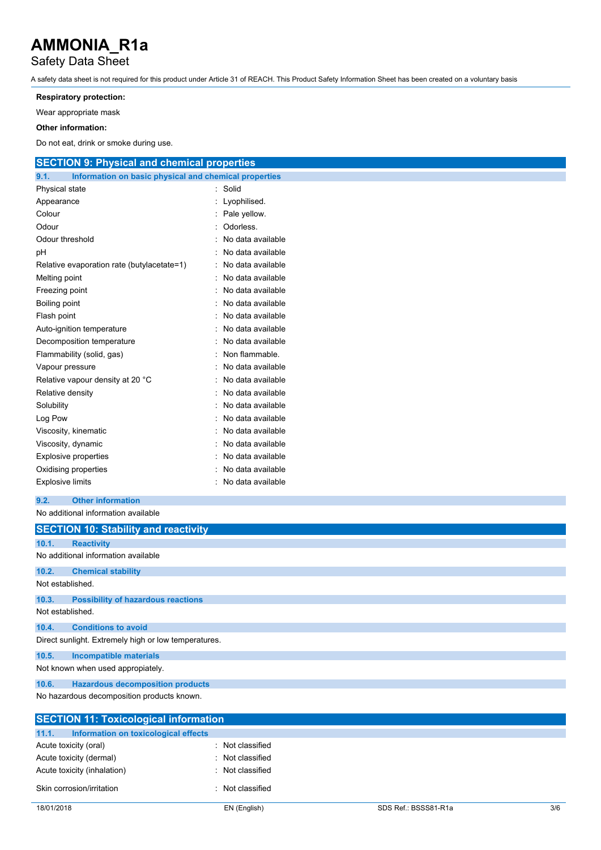# Safety Data Sheet

A safety data sheet is not required for this product under Article 31 of REACH. This Product Safety Information Sheet has been created on a voluntary basis

### **Respiratory protection:**

Wear appropriate mask

### **Other information:**

Do not eat, drink or smoke during use.

| <b>SECTION 9: Physical and chemical properties</b>   |                                                       |  |  |  |  |
|------------------------------------------------------|-------------------------------------------------------|--|--|--|--|
| 9.1.                                                 | Information on basic physical and chemical properties |  |  |  |  |
| Physical state                                       | : Solid                                               |  |  |  |  |
| Appearance                                           | Lyophilised.                                          |  |  |  |  |
| Colour                                               | Pale yellow.                                          |  |  |  |  |
| Odour                                                | Odorless.                                             |  |  |  |  |
| Odour threshold                                      | No data available                                     |  |  |  |  |
| pH                                                   | No data available                                     |  |  |  |  |
| Relative evaporation rate (butylacetate=1)           | No data available                                     |  |  |  |  |
| Melting point                                        | No data available                                     |  |  |  |  |
| Freezing point                                       | No data available                                     |  |  |  |  |
| Boiling point                                        | No data available                                     |  |  |  |  |
| Flash point                                          | No data available                                     |  |  |  |  |
| Auto-ignition temperature                            | No data available                                     |  |  |  |  |
| Decomposition temperature                            | No data available                                     |  |  |  |  |
| Flammability (solid, gas)                            | Non flammable.                                        |  |  |  |  |
| Vapour pressure                                      | No data available                                     |  |  |  |  |
| Relative vapour density at 20 °C                     | No data available                                     |  |  |  |  |
| Relative density                                     | No data available                                     |  |  |  |  |
| Solubility                                           | No data available                                     |  |  |  |  |
| Log Pow                                              | No data available                                     |  |  |  |  |
| Viscosity, kinematic                                 | No data available                                     |  |  |  |  |
| Viscosity, dynamic                                   | No data available                                     |  |  |  |  |
| <b>Explosive properties</b>                          | No data available                                     |  |  |  |  |
| Oxidising properties                                 | No data available                                     |  |  |  |  |
| <b>Explosive limits</b>                              | No data available                                     |  |  |  |  |
| 9.2.<br><b>Other information</b>                     |                                                       |  |  |  |  |
| No additional information available                  |                                                       |  |  |  |  |
| <b>SECTION 10: Stability and reactivity</b>          |                                                       |  |  |  |  |
| 10.1.<br><b>Reactivity</b>                           |                                                       |  |  |  |  |
| No additional information available                  |                                                       |  |  |  |  |
| 10.2.<br><b>Chemical stability</b>                   |                                                       |  |  |  |  |
| Not established.                                     |                                                       |  |  |  |  |
| 10.3.<br><b>Possibility of hazardous reactions</b>   |                                                       |  |  |  |  |
| Not established.                                     |                                                       |  |  |  |  |
| 10.4.<br><b>Conditions to avoid</b>                  |                                                       |  |  |  |  |
| Direct sunlight. Extremely high or low temperatures. |                                                       |  |  |  |  |
| <b>Incompatible materials</b><br>10.5.               |                                                       |  |  |  |  |
| Not known when used appropiately.                    |                                                       |  |  |  |  |
| <b>Hazardous decomposition products</b><br>10.6.     |                                                       |  |  |  |  |
| No hazardous decomposition products known.           |                                                       |  |  |  |  |

| <b>SECTION 11: Toxicological information</b>  |                |  |  |
|-----------------------------------------------|----------------|--|--|
| 11.1.<br>Information on toxicological effects |                |  |  |
| Acute toxicity (oral)                         | Not classified |  |  |
| Acute toxicity (dermal)                       | Not classified |  |  |
| Acute toxicity (inhalation)                   | Not classified |  |  |
| Skin corrosion/irritation                     | Not classified |  |  |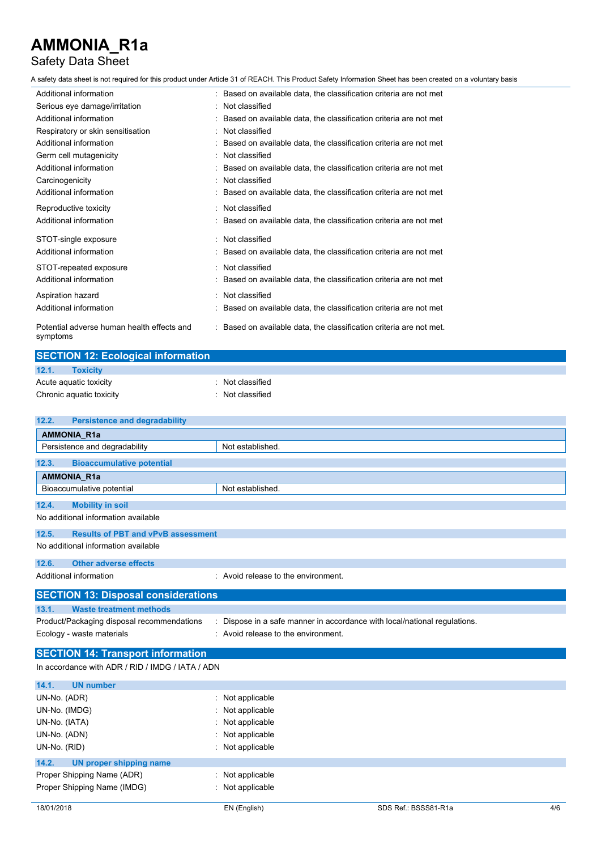# Safety Data Sheet

A safety data sheet is not required for this product under Article 31 of REACH. This Product Safety Information Sheet has been created on a voluntary basis

| Additional information                                 | : Based on available data, the classification criteria are not met  |
|--------------------------------------------------------|---------------------------------------------------------------------|
| Serious eye damage/irritation                          | : Not classified                                                    |
| Additional information                                 | Based on available data, the classification criteria are not met    |
| Respiratory or skin sensitisation                      | : Not classified                                                    |
| Additional information                                 | Based on available data, the classification criteria are not met    |
| Germ cell mutagenicity                                 | : Not classified                                                    |
| Additional information                                 | : Based on available data, the classification criteria are not met  |
| Carcinogenicity                                        | Not classified                                                      |
| Additional information                                 | : Based on available data, the classification criteria are not met  |
| Reproductive toxicity                                  | Not classified                                                      |
| Additional information                                 | Based on available data, the classification criteria are not met    |
| STOT-single exposure                                   | : Not classified                                                    |
| Additional information                                 | : Based on available data, the classification criteria are not met  |
| STOT-repeated exposure                                 | : Not classified                                                    |
| Additional information                                 | Based on available data, the classification criteria are not met    |
| Aspiration hazard                                      | : Not classified                                                    |
| Additional information                                 | Based on available data, the classification criteria are not met    |
| Potential adverse human health effects and<br>symptoms | : Based on available data, the classification criteria are not met. |

| <b>SECTION 12: Ecological information</b> |                  |  |
|-------------------------------------------|------------------|--|
| 12.1.<br><b>Toxicity</b>                  |                  |  |
| Acute aquatic toxicity                    | Not classified   |  |
| Chronic aquatic toxicity                  | : Not classified |  |

| <b>Persistence and degradability</b><br>12.2.      |                                                                           |
|----------------------------------------------------|---------------------------------------------------------------------------|
| AMMONIA_R1a                                        |                                                                           |
| Persistence and degradability                      | Not established.                                                          |
| 12.3.<br><b>Bioaccumulative potential</b>          |                                                                           |
| AMMONIA_R1a                                        |                                                                           |
| Bioaccumulative potential                          | Not established.                                                          |
| 12.4.<br><b>Mobility in soil</b>                   |                                                                           |
| No additional information available                |                                                                           |
| 12.5.<br><b>Results of PBT and vPvB assessment</b> |                                                                           |
| No additional information available                |                                                                           |
| <b>Other adverse effects</b><br>12.6.              |                                                                           |
| Additional information                             | : Avoid release to the environment.                                       |
| <b>SECTION 13: Disposal considerations</b>         |                                                                           |
| <b>Waste treatment methods</b><br>13.1.            |                                                                           |
| Product/Packaging disposal recommendations         | : Dispose in a safe manner in accordance with local/national regulations. |
| Ecology - waste materials                          | : Avoid release to the environment.                                       |
| <b>SECTION 14: Transport information</b>           |                                                                           |
| In accordance with ADR / RID / IMDG / IATA / ADN   |                                                                           |
| 14.1.<br><b>UN number</b>                          |                                                                           |
| UN-No. (ADR)                                       | : Not applicable                                                          |
| UN-No. (IMDG)                                      | Not applicable                                                            |
| UN-No. (IATA)                                      | Not applicable                                                            |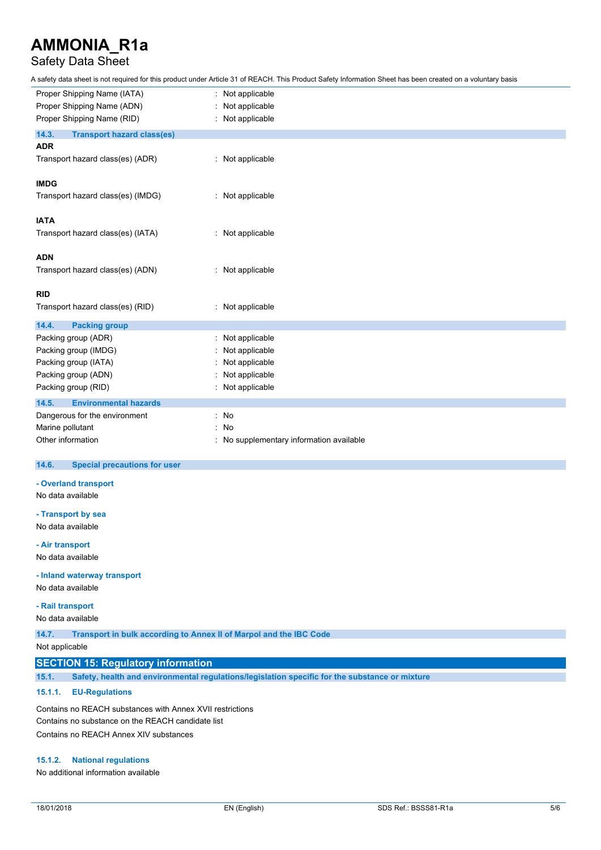## Safety Data Sheet

A safety data sheet is not required for this product under Article 31 of REACH. This Product Safety Information Sheet has been created on a voluntary basis

| Proper Shipping Name (IATA)                | Not applicable                         |
|--------------------------------------------|----------------------------------------|
| Proper Shipping Name (ADN)                 | Not applicable                         |
| Proper Shipping Name (RID)                 | : Not applicable                       |
| 14.3.<br><b>Transport hazard class(es)</b> |                                        |
| <b>ADR</b>                                 |                                        |
| Transport hazard class(es) (ADR)           | : Not applicable                       |
| <b>IMDG</b>                                |                                        |
| Transport hazard class(es) (IMDG)          | : Not applicable                       |
| <b>IATA</b>                                |                                        |
| Transport hazard class(es) (IATA)          | : Not applicable                       |
| <b>ADN</b>                                 |                                        |
| Transport hazard class(es) (ADN)           | : Not applicable                       |
| <b>RID</b>                                 |                                        |
| Transport hazard class(es) (RID)           | : Not applicable                       |
| 14.4.<br><b>Packing group</b>              |                                        |
| Packing group (ADR)                        | : Not applicable                       |
| Packing group (IMDG)                       | Not applicable                         |
| Packing group (IATA)                       | Not applicable                         |
| Packing group (ADN)                        | Not applicable                         |
| Packing group (RID)                        | Not applicable                         |
| 14.5.<br><b>Environmental hazards</b>      |                                        |
| Dangerous for the environment              | : No                                   |
| Marine pollutant                           | No                                     |
| Other information                          | No supplementary information available |

#### $14.6.$ **14.6. Special precautions for user**

### **- Overland transport**

No data available

**- Transport by sea** No data available

#### **- Air transport**

No data available

#### **- Inland waterway transport**

No data available

### **- Rail transport**

No data available

**14.7. Transport in bulk according to Annex II of Marpol and the IBC Code**

Not applicable

## **SECTION 15: Regulatory information**

**15.1. Safety, health and environmental regulations/legislation specific for the substance or mixture**

### **15.1.1. EU-Regulations**

Contains no REACH substances with Annex XVII restrictions Contains no substance on the REACH candidate list Contains no REACH Annex XIV substances

#### **15.1.2. National regulations**

No additional information available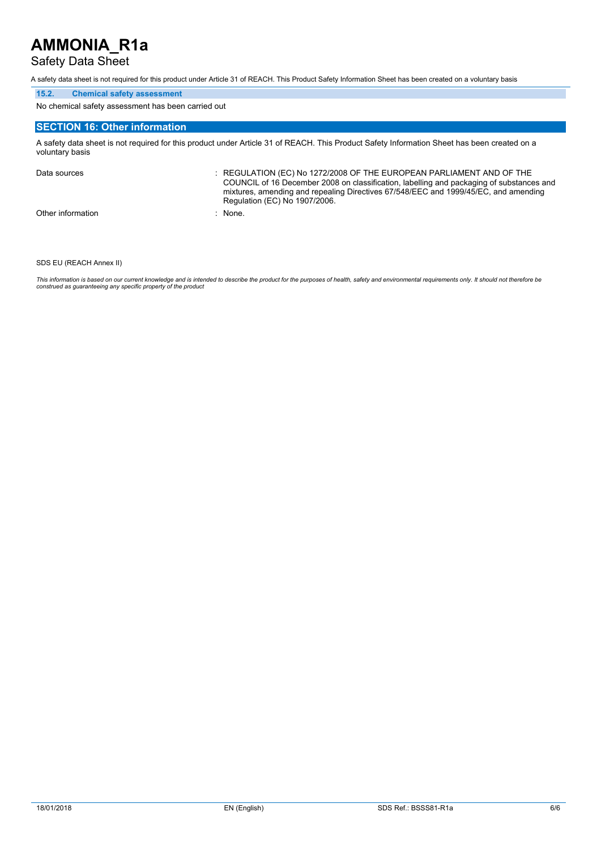## Safety Data Sheet

A safety data sheet is not required for this product under Article 31 of REACH. This Product Safety Information Sheet has been created on a voluntary basis

### **15.2. Chemical safety assessment**

No chemical safety assessment has been carried out

## **SECTION 16: Other information**

A safety data sheet is not required for this product under Article 31 of REACH. This Product Safety Information Sheet has been created on a voluntary basis

Data sources **Superint Studies : REGULATION (EC) No 1272/2008 OF THE EUROPEAN PARLIAMENT AND OF THE** COUNCIL of 16 December 2008 on classification, labelling and packaging of substances and mixtures, amending and repealing Directives 67/548/EEC and 1999/45/EC, and amending Regulation (EC) No 1907/2006. Other information : None.

#### SDS EU (REACH Annex II)

This information is based on our current knowledge and is intended to describe the product for the purposes of health, safety and environmental requirements only. It should not therefore be<br>construed as guaranteeing any sp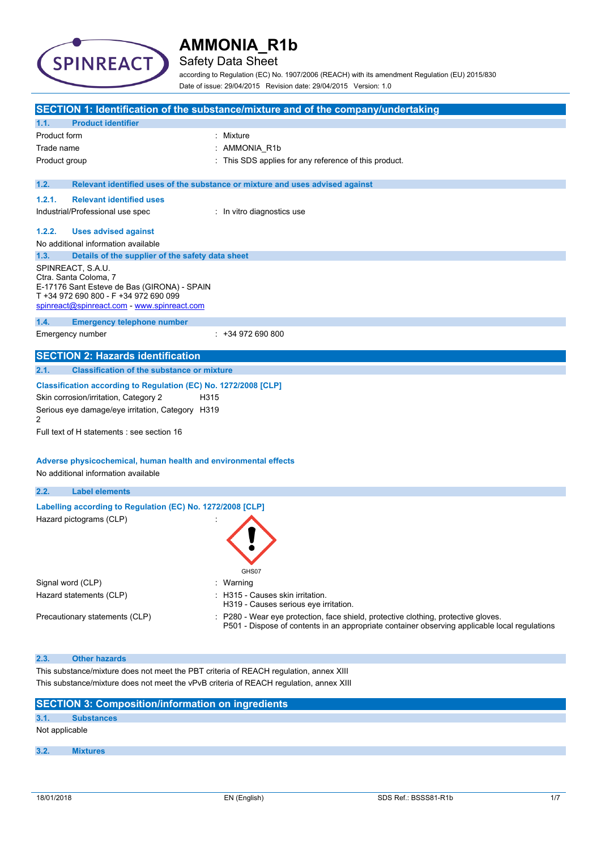

# Safety Data Sheet

according to Regulation (EC) No. 1907/2006 (REACH) with its amendment Regulation (EU) 2015/830 Date of issue: 29/04/2015 Revision date: 29/04/2015 Version: 1.0

| SECTION 1: Identification of the substance/mixture and of the company/undertaking |                                                                                                                                                                                                                                                                                                                              |                                                                                                                                                                                   |  |  |
|-----------------------------------------------------------------------------------|------------------------------------------------------------------------------------------------------------------------------------------------------------------------------------------------------------------------------------------------------------------------------------------------------------------------------|-----------------------------------------------------------------------------------------------------------------------------------------------------------------------------------|--|--|
| 1.1.                                                                              | <b>Product identifier</b>                                                                                                                                                                                                                                                                                                    |                                                                                                                                                                                   |  |  |
| Product form                                                                      |                                                                                                                                                                                                                                                                                                                              | : Mixture                                                                                                                                                                         |  |  |
| Trade name                                                                        |                                                                                                                                                                                                                                                                                                                              | AMMONIA_R1b                                                                                                                                                                       |  |  |
| Product group                                                                     |                                                                                                                                                                                                                                                                                                                              | This SDS applies for any reference of this product.                                                                                                                               |  |  |
| 1.2.                                                                              |                                                                                                                                                                                                                                                                                                                              | Relevant identified uses of the substance or mixture and uses advised against                                                                                                     |  |  |
| 1.2.1.                                                                            | <b>Relevant identified uses</b>                                                                                                                                                                                                                                                                                              |                                                                                                                                                                                   |  |  |
|                                                                                   | Industrial/Professional use spec                                                                                                                                                                                                                                                                                             | : In vitro diagnostics use                                                                                                                                                        |  |  |
| 1.2.2.                                                                            | <b>Uses advised against</b>                                                                                                                                                                                                                                                                                                  |                                                                                                                                                                                   |  |  |
|                                                                                   | No additional information available                                                                                                                                                                                                                                                                                          |                                                                                                                                                                                   |  |  |
| 1.3.                                                                              | Details of the supplier of the safety data sheet                                                                                                                                                                                                                                                                             |                                                                                                                                                                                   |  |  |
|                                                                                   | SPINREACT, S.A.U.<br>Ctra. Santa Coloma, 7<br>E-17176 Sant Esteve de Bas (GIRONA) - SPAIN<br>T +34 972 690 800 - F +34 972 690 099<br>spinreact@spinreact.com - www.spinreact.com                                                                                                                                            |                                                                                                                                                                                   |  |  |
| 1.4.                                                                              | <b>Emergency telephone number</b>                                                                                                                                                                                                                                                                                            |                                                                                                                                                                                   |  |  |
|                                                                                   | Emergency number                                                                                                                                                                                                                                                                                                             | $: +34972690800$                                                                                                                                                                  |  |  |
|                                                                                   | <b>SECTION 2: Hazards identification</b>                                                                                                                                                                                                                                                                                     |                                                                                                                                                                                   |  |  |
| 2.1.                                                                              | <b>Classification of the substance or mixture</b>                                                                                                                                                                                                                                                                            |                                                                                                                                                                                   |  |  |
| 2                                                                                 | Classification according to Regulation (EC) No. 1272/2008 [CLP]<br>Skin corrosion/irritation, Category 2<br>H315<br>Serious eye damage/eye irritation, Category H319<br>Full text of H statements : see section 16<br>Adverse physicochemical, human health and environmental effects<br>No additional information available |                                                                                                                                                                                   |  |  |
| 2.2.                                                                              | <b>Label elements</b>                                                                                                                                                                                                                                                                                                        |                                                                                                                                                                                   |  |  |
|                                                                                   | Labelling according to Regulation (EC) No. 1272/2008 [CLP]<br>Hazard pictograms (CLP)                                                                                                                                                                                                                                        | GHS07                                                                                                                                                                             |  |  |
|                                                                                   | Signal word (CLP)                                                                                                                                                                                                                                                                                                            | Warning                                                                                                                                                                           |  |  |
|                                                                                   | Hazard statements (CLP)                                                                                                                                                                                                                                                                                                      | : H315 - Causes skin irritation.<br>H319 - Causes serious eye irritation.                                                                                                         |  |  |
|                                                                                   | Precautionary statements (CLP)                                                                                                                                                                                                                                                                                               | P280 - Wear eye protection, face shield, protective clothing, protective gloves.<br>P501 - Dispose of contents in an appropriate container observing applicable local regulations |  |  |
| 2.3.                                                                              | <b>Other hazards</b>                                                                                                                                                                                                                                                                                                         |                                                                                                                                                                                   |  |  |
|                                                                                   | This substance/mixture does not meet the PBT criteria of REACH regulation, annex XIII<br>This substance/mixture does not meet the vPvB criteria of REACH regulation, annex XIII                                                                                                                                              |                                                                                                                                                                                   |  |  |

| <b>SECTION 3: Composition/information on ingredients</b> |                   |  |  |  |
|----------------------------------------------------------|-------------------|--|--|--|
| 3.1.                                                     | <b>Substances</b> |  |  |  |
|                                                          | Not applicable    |  |  |  |
|                                                          |                   |  |  |  |
| 3.2.                                                     | <b>Mixtures</b>   |  |  |  |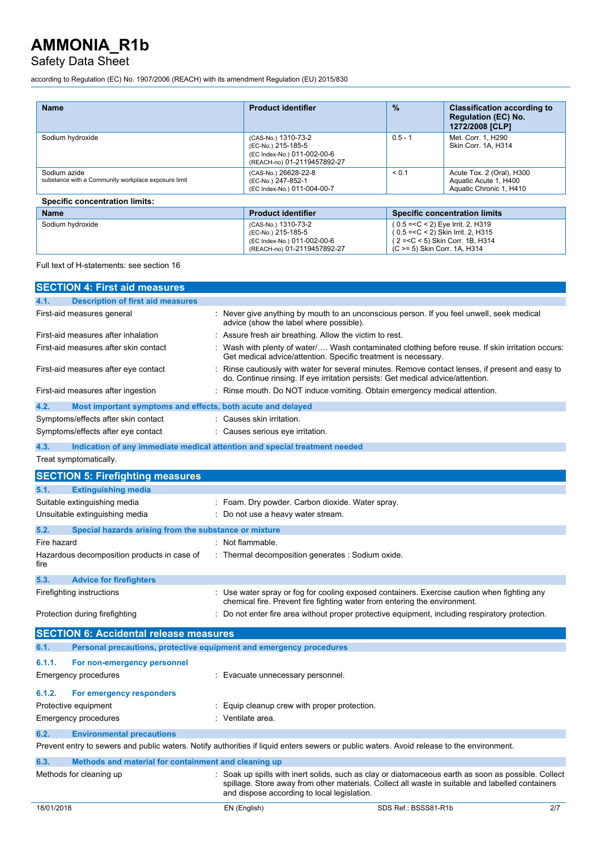# Safety Data Sheet

according to Regulation (EC) No. 1907/2006 (REACH) with its amendment Regulation (EU) 2015/830

| <b>Name</b>                                                         | <b>Product identifier</b>                                                                               | $\frac{9}{6}$ | <b>Classification according to</b><br><b>Regulation (EC) No.</b><br>1272/2008 [CLP]                                                            |  |
|---------------------------------------------------------------------|---------------------------------------------------------------------------------------------------------|---------------|------------------------------------------------------------------------------------------------------------------------------------------------|--|
| Sodium hydroxide                                                    | (CAS-No.) 1310-73-2<br>(EC-No.) 215-185-5<br>(EC Index-No.) 011-002-00-6<br>(REACH-no) 01-2119457892-27 | $0.5 - 1$     | Met. Corr. 1. H290<br>Skin Corr. 1A. H314                                                                                                      |  |
| Sodium azide<br>substance with a Community workplace exposure limit | (CAS-No.) 26628-22-8<br>(EC-No.) 247-852-1<br>(EC Index-No.) 011-004-00-7                               | < 0.1         | Acute Tox. 2 (Oral), H300<br>Aquatic Acute 1, H400<br>Aquatic Chronic 1, H410                                                                  |  |
| <b>Specific concentration limits:</b>                               |                                                                                                         |               |                                                                                                                                                |  |
| <b>Name</b>                                                         | <b>Product identifier</b>                                                                               |               | <b>Specific concentration limits</b>                                                                                                           |  |
| Sodium hydroxide                                                    | (CAS-No.) 1310-73-2<br>(EC-No.) 215-185-5<br>(EC Index-No.) 011-002-00-6<br>(REACH-no) 01-2119457892-27 |               | (0.5 = < C < 2) Eye Irrit. 2, H319<br>(0.5 = < C < 2) Skin Irrit. 2, H315<br>(2 = < C < 5) Skin Corr. 1B, H314<br>(C >= 5) Skin Corr. 1A, H314 |  |

Full text of H-statements: see section 16

| <b>SECTION 4: First aid measures</b>                                        |                                                                                                                                                                                                                                                      |
|-----------------------------------------------------------------------------|------------------------------------------------------------------------------------------------------------------------------------------------------------------------------------------------------------------------------------------------------|
| <b>Description of first aid measures</b><br>4.1.                            |                                                                                                                                                                                                                                                      |
| First-aid measures general                                                  | Never give anything by mouth to an unconscious person. If you feel unwell, seek medical<br>advice (show the label where possible).                                                                                                                   |
| First-aid measures after inhalation                                         | : Assure fresh air breathing. Allow the victim to rest.                                                                                                                                                                                              |
| First-aid measures after skin contact                                       | Wash with plenty of water Wash contaminated clothing before reuse. If skin irritation occurs:<br>Get medical advice/attention. Specific treatment is necessary.                                                                                      |
| First-aid measures after eye contact                                        | Rinse cautiously with water for several minutes. Remove contact lenses, if present and easy to<br>do. Continue rinsing. If eye irritation persists: Get medical advice/attention.                                                                    |
| First-aid measures after ingestion                                          | Rinse mouth. Do NOT induce vomiting. Obtain emergency medical attention.                                                                                                                                                                             |
| 4.2.<br>Most important symptoms and effects, both acute and delayed         |                                                                                                                                                                                                                                                      |
| Symptoms/effects after skin contact                                         | : Causes skin irritation.                                                                                                                                                                                                                            |
| Symptoms/effects after eye contact                                          | Causes serious eye irritation.                                                                                                                                                                                                                       |
| 4.3.                                                                        | Indication of any immediate medical attention and special treatment needed                                                                                                                                                                           |
| Treat symptomatically.                                                      |                                                                                                                                                                                                                                                      |
| <b>SECTION 5: Firefighting measures</b>                                     |                                                                                                                                                                                                                                                      |
| <b>Extinguishing media</b><br>5.1.                                          |                                                                                                                                                                                                                                                      |
| Suitable extinguishing media                                                | : Foam. Dry powder. Carbon dioxide. Water spray.                                                                                                                                                                                                     |
| Unsuitable extinguishing media                                              | Do not use a heavy water stream.                                                                                                                                                                                                                     |
| 5.2.<br>Special hazards arising from the substance or mixture               |                                                                                                                                                                                                                                                      |
| Fire hazard                                                                 | Not flammable.                                                                                                                                                                                                                                       |
| Hazardous decomposition products in case of<br>fire                         | : Thermal decomposition generates : Sodium oxide.                                                                                                                                                                                                    |
| 5.3.<br><b>Advice for firefighters</b>                                      |                                                                                                                                                                                                                                                      |
| Firefighting instructions                                                   | : Use water spray or fog for cooling exposed containers. Exercise caution when fighting any<br>chemical fire. Prevent fire fighting water from entering the environment.                                                                             |
| Protection during firefighting                                              | : Do not enter fire area without proper protective equipment, including respiratory protection.                                                                                                                                                      |
| <b>SECTION 6: Accidental release measures</b>                               |                                                                                                                                                                                                                                                      |
| Personal precautions, protective equipment and emergency procedures<br>6.1. |                                                                                                                                                                                                                                                      |
| 6.1.1.<br>For non-emergency personnel                                       |                                                                                                                                                                                                                                                      |
| Emergency procedures                                                        | Evacuate unnecessary personnel.                                                                                                                                                                                                                      |
| 6.1.2.<br>For emergency responders                                          |                                                                                                                                                                                                                                                      |
| Protective equipment                                                        | Equip cleanup crew with proper protection.                                                                                                                                                                                                           |
| <b>Emergency procedures</b>                                                 | : Ventilate area.                                                                                                                                                                                                                                    |
| 6.2.<br><b>Environmental precautions</b>                                    |                                                                                                                                                                                                                                                      |
|                                                                             | Prevent entry to sewers and public waters. Notify authorities if liquid enters sewers or public waters. Avoid release to the environment.                                                                                                            |
| 6.3.<br>Methods and material for containment and cleaning up                |                                                                                                                                                                                                                                                      |
| Methods for cleaning up                                                     | Soak up spills with inert solids, such as clay or diatomaceous earth as soon as possible. Collect<br>spillage. Store away from other materials. Collect all waste in suitable and labelled containers<br>and dispose according to local legislation. |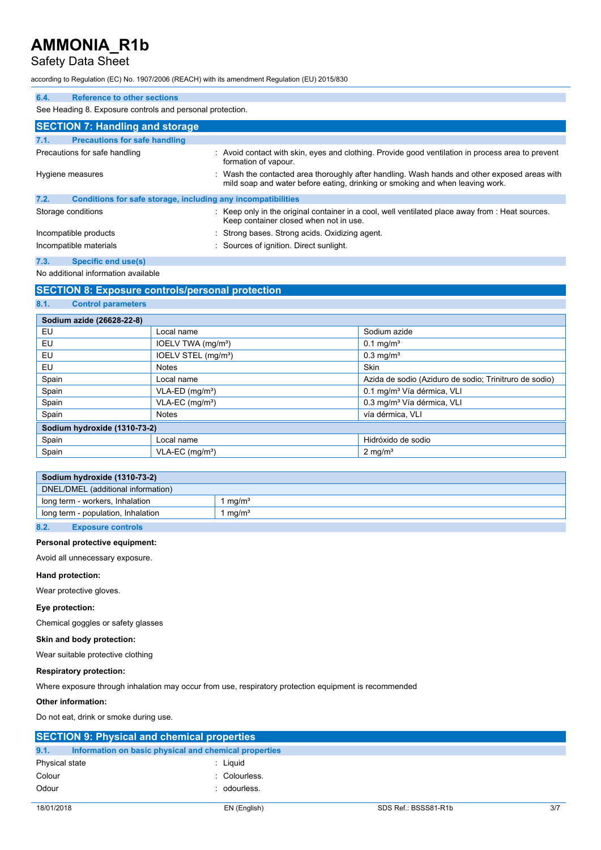## Safety Data Sheet

according to Regulation (EC) No. 1907/2006 (REACH) with its amendment Regulation (EU) 2015/830

| 6.4.<br>Reference to other sections          |                                                                                                                                                                             |
|----------------------------------------------|-----------------------------------------------------------------------------------------------------------------------------------------------------------------------------|
|                                              | See Heading 8. Exposure controls and personal protection.                                                                                                                   |
| <b>SECTION 7: Handling and storage</b>       |                                                                                                                                                                             |
| <b>Precautions for safe handling</b><br>7.1. |                                                                                                                                                                             |
| Precautions for safe handling                | Avoid contact with skin, eyes and clothing. Provide good ventilation in process area to prevent<br>formation of vapour.                                                     |
| Hygiene measures                             | Wash the contacted area thoroughly after handling. Wash hands and other exposed areas with<br>mild soap and water before eating, drinking or smoking and when leaving work. |
| 7.2.                                         | Conditions for safe storage, including any incompatibilities                                                                                                                |
| Storage conditions                           | Keep only in the original container in a cool, well ventilated place away from : Heat sources.<br>Keep container closed when not in use.                                    |
| Incompatible products                        | : Strong bases. Strong acids. Oxidizing agent.                                                                                                                              |
| Incompatible materials                       | : Sources of ignition. Direct sunlight.                                                                                                                                     |
| 7.3.<br><b>Specific end use(s)</b>           |                                                                                                                                                                             |

No additional information available

## **SECTION 8: Exposure controls/personal protection**

| 8.1.<br><b>Control parameters</b> |                                 |                                                        |  |  |
|-----------------------------------|---------------------------------|--------------------------------------------------------|--|--|
|                                   |                                 |                                                        |  |  |
|                                   | Sodium azide (26628-22-8)       |                                                        |  |  |
| EU                                | Local name                      | Sodium azide                                           |  |  |
| EU                                | IOELV TWA (mg/m <sup>3</sup> )  | $0.1 \,\mathrm{mq/m^3}$                                |  |  |
| EU                                | IOELV STEL (mg/m <sup>3</sup> ) | $0.3$ mg/m <sup>3</sup>                                |  |  |
| EU                                | <b>Notes</b>                    | Skin                                                   |  |  |
| Spain                             | Local name                      | Azida de sodio (Aziduro de sodio: Trinitruro de sodio) |  |  |
| Spain                             | $VLA-ED$ (mg/m <sup>3</sup> )   | 0.1 mg/m <sup>3</sup> Vía dérmica, VLI                 |  |  |
| Spain                             | $VLA-EC$ (mg/m <sup>3</sup> )   | 0.3 mg/m <sup>3</sup> Vía dérmica, VLI                 |  |  |
| Spain                             | <b>Notes</b>                    | vía dérmica, VLI                                       |  |  |
| Sodium hydroxide (1310-73-2)      |                                 |                                                        |  |  |
| Spain                             | Local name                      | Hidróxido de sodio                                     |  |  |
| Spain                             | $VLA-EC$ (mg/m <sup>3</sup> )   | $2 \text{ mg/m}^3$                                     |  |  |

|                                    | Sodium hydroxide (1310-73-2)       |             |
|------------------------------------|------------------------------------|-------------|
| DNEL/DMEL (additional information) |                                    |             |
|                                    | long term - workers, Inhalation    | l ma/mª     |
|                                    | long term - population, Inhalation | 1 mg/m $^3$ |
| 8.2.                               | <b>Exposure controls</b>           |             |

## **Personal protective equipment:**

Avoid all unnecessary exposure.

#### **Hand protection:**

Wear protective gloves.

## **Eye protection:**

Chemical goggles or safety glasses

### **Skin and body protection:**

Wear suitable protective clothing

### **Respiratory protection:**

Where exposure through inhalation may occur from use, respiratory protection equipment is recommended

### **Other information:**

Do not eat, drink or smoke during use.

|                | <b>SECTION 9: Physical and chemical properties</b>    |               |                      |     |
|----------------|-------------------------------------------------------|---------------|----------------------|-----|
| 9.1.           | Information on basic physical and chemical properties |               |                      |     |
| Physical state |                                                       | : Liguid      |                      |     |
| Colour         |                                                       | : Colourless. |                      |     |
| Odour          |                                                       | : odourless.  |                      |     |
|                |                                                       |               |                      |     |
| 18/01/2018     |                                                       | EN (English)  | SDS Ref.: BSSS81-R1b | 3/7 |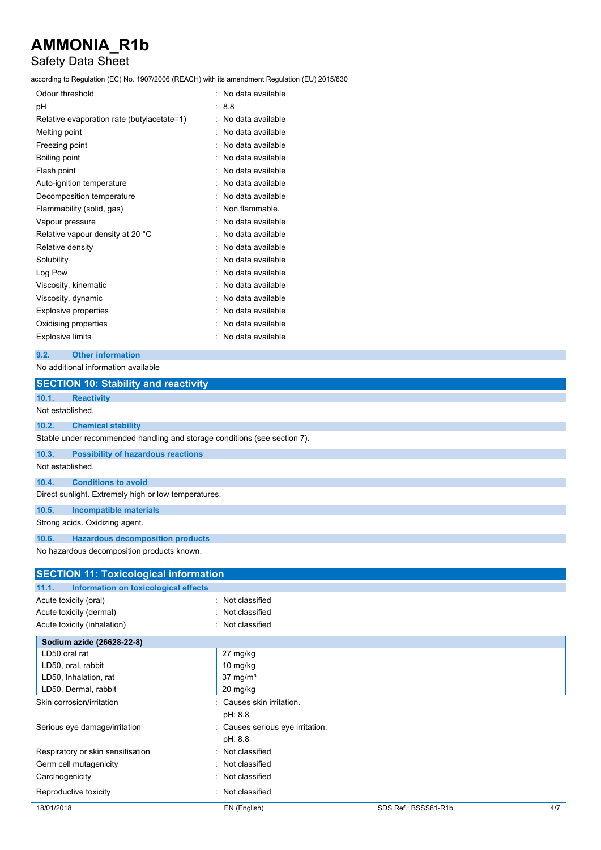# Safety Data Sheet

according to Regulation (EC) No. 1907/2006 (REACH) with its amendment Regulation (EU) 2015/830

| Odour threshold                            |   | No data available |
|--------------------------------------------|---|-------------------|
| рH                                         |   | 8.8               |
| Relative evaporation rate (butylacetate=1) |   | No data available |
| Melting point                              |   | No data available |
| Freezing point                             | ٠ | No data available |
| Boiling point                              |   | No data available |
| Flash point                                |   | No data available |
| Auto-ignition temperature                  |   | No data available |
| Decomposition temperature                  |   | No data available |
| Flammability (solid, gas)                  |   | Non flammable.    |
| Vapour pressure                            |   | No data available |
| Relative vapour density at 20 °C           |   | No data available |
| Relative density                           |   | No data available |
| Solubility                                 |   | No data available |
| Log Pow                                    |   | No data available |
| Viscosity, kinematic                       |   | No data available |
| Viscosity, dynamic                         |   | No data available |
| <b>Explosive properties</b>                |   | No data available |
| Oxidising properties                       |   | No data available |
| <b>Explosive limits</b>                    |   | No data available |
|                                            |   |                   |

| 9.2. | <b>Other information</b> |
|------|--------------------------|
|      |                          |

## No additional information available

|                  | <b>SECTION 10: Stability and reactivity</b>                               |
|------------------|---------------------------------------------------------------------------|
| 10.1.            | <b>Reactivity</b>                                                         |
| Not established. |                                                                           |
| 10.2.            | <b>Chemical stability</b>                                                 |
|                  | Stable under recommended handling and storage conditions (see section 7). |
| 10.3.            | <b>Possibility of hazardous reactions</b>                                 |
| Not established. |                                                                           |
| 10.4.            | <b>Conditions to avoid</b>                                                |
|                  | Direct sunlight. Extremely high or low temperatures.                      |
| 10.5.            | Incompatible materials                                                    |
|                  | Strong acids. Oxidizing agent.                                            |
| 10.6.            | <b>Hazardous decomposition products</b>                                   |
|                  | No hazardous decomposition products known.                                |

| <b>SECTION 11: Toxicological information</b>  |                                  |                      |     |
|-----------------------------------------------|----------------------------------|----------------------|-----|
| Information on toxicological effects<br>11.1. |                                  |                      |     |
| Acute toxicity (oral)                         | : Not classified                 |                      |     |
| Acute toxicity (dermal)                       | Not classified                   |                      |     |
| Acute toxicity (inhalation)                   | Not classified                   |                      |     |
| Sodium azide (26628-22-8)                     |                                  |                      |     |
| LD50 oral rat                                 | 27 mg/kg                         |                      |     |
| LD50, oral, rabbit                            | 10 $mg/kg$                       |                      |     |
| LD50, Inhalation, rat                         | $37$ mg/m <sup>3</sup>           |                      |     |
| LD50, Dermal, rabbit                          | 20 mg/kg                         |                      |     |
| Skin corrosion/irritation                     | : Causes skin irritation.        |                      |     |
|                                               | pH: 8.8                          |                      |     |
| Serious eye damage/irritation                 | : Causes serious eye irritation. |                      |     |
|                                               | pH: 8.8                          |                      |     |
| Respiratory or skin sensitisation             | : Not classified                 |                      |     |
| Germ cell mutagenicity                        | : Not classified                 |                      |     |
| Carcinogenicity                               | : Not classified                 |                      |     |
| Reproductive toxicity                         | Not classified                   |                      |     |
| 18/01/2018                                    | EN (English)                     | SDS Ref.: BSSS81-R1b | 4/7 |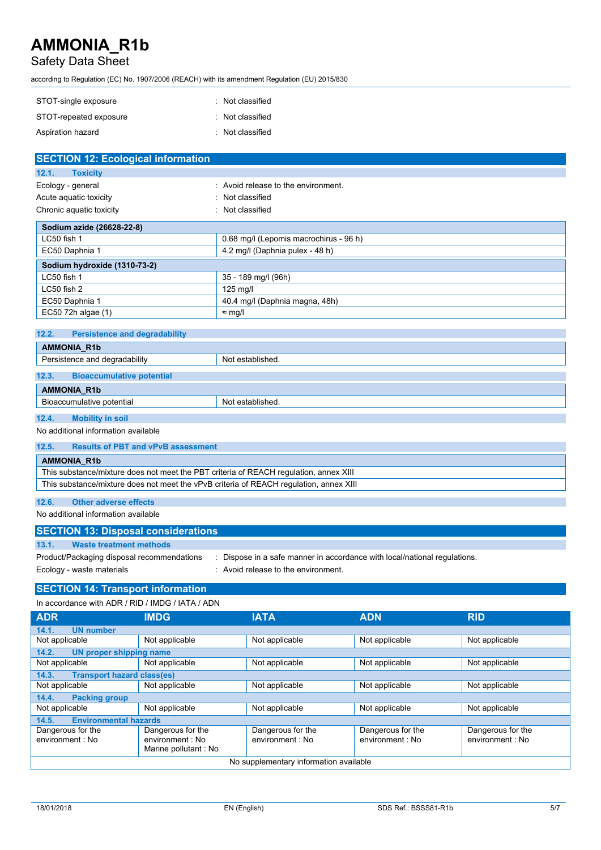# Safety Data Sheet

according to Regulation (EC) No. 1907/2006 (REACH) with its amendment Regulation (EU) 2015/830

| STOT-single exposure   | : Not classified |
|------------------------|------------------|
| STOT-repeated exposure | : Not classified |
| Aspiration hazard      | : Not classified |

| <b>SECTION 12: Ecological information</b> |                                        |
|-------------------------------------------|----------------------------------------|
| 12.1.<br><b>Toxicity</b>                  |                                        |
| Ecology - general                         | Avoid release to the environment.      |
| Acute aquatic toxicity                    | : Not classified                       |
| Chronic aquatic toxicity                  | Not classified<br>٠.                   |
| Sodium azide (26628-22-8)                 |                                        |
| LC50 fish 1                               | 0.68 mg/l (Lepomis macrochirus - 96 h) |
| EC50 Daphnia 1                            | 4.2 mg/l (Daphnia pulex - 48 h)        |
| Sodium hydroxide (1310-73-2)              |                                        |
| LC50 fish 1                               | 35 - 189 mg/l (96h)                    |
| LC50 fish 2                               | $125$ mg/l                             |
| EC50 Daphnia 1                            | 40.4 mg/l (Daphnia magna, 48h)         |
| EC50 72h algae (1)                        | $\approx$ mg/l                         |

| 12.2.<br><b>Persistence and degradability</b> |                  |
|-----------------------------------------------|------------------|
| <b>AMMONIA R1b</b>                            |                  |
| Persistence and degradability                 | Not established. |
| 12.3.<br><b>Bioaccumulative potential</b>     |                  |
| <b>AMMONIA R1b</b>                            |                  |
| Bioaccumulative potential                     | Not established. |
|                                               |                  |

**12.4. Mobility in soil** No additional information available

| 12.5.                                                                                  | <b>Results of PBT and vPvB assessment</b> |  |
|----------------------------------------------------------------------------------------|-------------------------------------------|--|
| <b>AMMONIA R1b</b>                                                                     |                                           |  |
| This substance/mixture does not meet the PBT criteria of REACH regulation, annex XIII  |                                           |  |
| This substance/mixture does not meet the vPvB criteria of REACH regulation, annex XIII |                                           |  |
|                                                                                        |                                           |  |

# **12.6. Other adverse effects**

No additional information available

| <b>SECTION 13: Disposal considerations</b>                              |                                                                                                              |  |  |
|-------------------------------------------------------------------------|--------------------------------------------------------------------------------------------------------------|--|--|
| 13.1.<br>Waste treatment methods                                        |                                                                                                              |  |  |
| Product/Packaging disposal recommendations<br>Ecology - waste materials | Dispose in a safe manner in accordance with local/national regulations.<br>Avoid release to the environment. |  |  |

#### **SECTION 14: Transport information**  $\overline{10}$  add  $\overline{100}$   $\overline{100}$   $\overline{100}$   $\overline{100}$   $\overline{100}$

| In accordance with ADR / RID / IMDG / IATA / ADN |                                                               |                                       |                                       |                                       |
|--------------------------------------------------|---------------------------------------------------------------|---------------------------------------|---------------------------------------|---------------------------------------|
| <b>ADR</b>                                       | <b>IMDG</b>                                                   | <b>IATA</b>                           | <b>ADN</b>                            | <b>RID</b>                            |
| <b>UN number</b><br>14.1.                        |                                                               |                                       |                                       |                                       |
| Not applicable                                   | Not applicable                                                | Not applicable                        | Not applicable                        | Not applicable                        |
| 14.2.<br>UN proper shipping name                 |                                                               |                                       |                                       |                                       |
| Not applicable                                   | Not applicable                                                | Not applicable                        | Not applicable                        | Not applicable                        |
| 14.3.                                            | <b>Transport hazard class(es)</b>                             |                                       |                                       |                                       |
| Not applicable                                   | Not applicable                                                | Not applicable                        | Not applicable                        | Not applicable                        |
| <b>Packing group</b><br>14.4.                    |                                                               |                                       |                                       |                                       |
| Not applicable                                   | Not applicable                                                | Not applicable                        | Not applicable                        | Not applicable                        |
| <b>Environmental hazards</b><br>14.5.            |                                                               |                                       |                                       |                                       |
| Dangerous for the<br>environment : No            | Dangerous for the<br>environment : No<br>Marine pollutant: No | Dangerous for the<br>environment : No | Dangerous for the<br>environment : No | Dangerous for the<br>environment : No |
| No supplementary information available           |                                                               |                                       |                                       |                                       |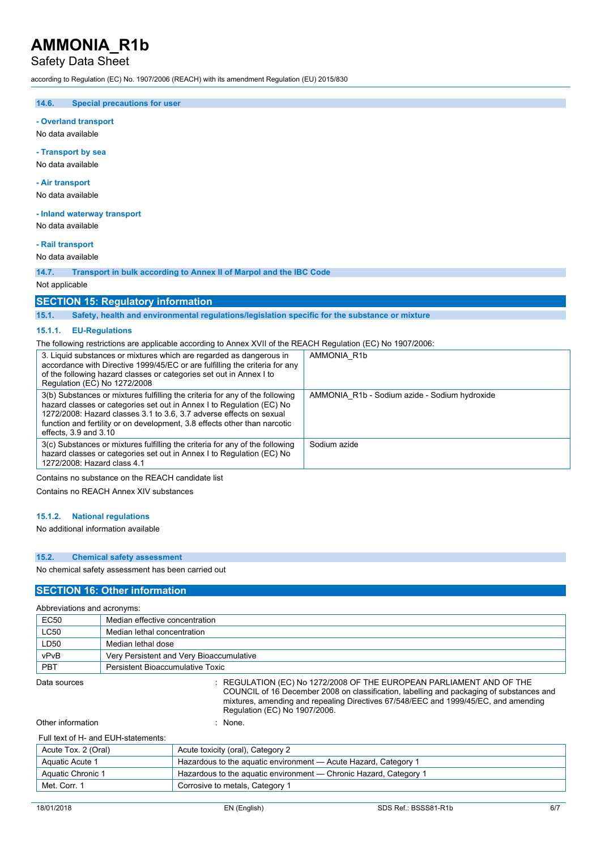## Safety Data Sheet

according to Regulation (EC) No. 1907/2006 (REACH) with its amendment Regulation (EU) 2015/830

**14.6. Special precautions for user**

**- Overland transport**

No data available

**- Transport by sea**

No data available

#### **- Air transport**

No data available

**- Inland waterway transport** No data available

## **- Rail transport**

No data available

**14.7. Transport in bulk according to Annex II of Marpol and the IBC Code**

Not applicable

### **SECTION 15: Regulatory information**

**15.1. Safety, health and environmental regulations/legislation specific for the substance or mixture**

#### **15.1.1. EU-Regulations**

The following restrictions are applicable according to Annex XVII of the REACH Regulation (EC) No 1907/2006:

| 3. Liquid substances or mixtures which are regarded as dangerous in<br>accordance with Directive 1999/45/EC or are fulfilling the criteria for any<br>of the following hazard classes or categories set out in Annex I to<br>Regulation (EC) No 1272/2008                                                                              | AMMONIA R1b                                   |
|----------------------------------------------------------------------------------------------------------------------------------------------------------------------------------------------------------------------------------------------------------------------------------------------------------------------------------------|-----------------------------------------------|
| 3(b) Substances or mixtures fulfilling the criteria for any of the following<br>hazard classes or categories set out in Annex I to Regulation (EC) No<br>1272/2008: Hazard classes 3.1 to 3.6, 3.7 adverse effects on sexual<br>function and fertility or on development, 3.8 effects other than narcotic<br>effects, $3.9$ and $3.10$ | AMMONIA R1b - Sodium azide - Sodium hydroxide |
| 3(c) Substances or mixtures fulfilling the criteria for any of the following<br>hazard classes or categories set out in Annex I to Regulation (EC) No<br>1272/2008: Hazard class 4.1                                                                                                                                                   | Sodium azide                                  |

#### Contains no substance on the REACH candidate list

Contains no REACH Annex XIV substances

#### **15.1.2. National regulations**

#### No additional information available

### **15.2. Chemical safety assessment**

No chemical safety assessment has been carried out

### **SECTION 16: Other information**

| Abbreviations and acronyms: |                                                                      |  |  |
|-----------------------------|----------------------------------------------------------------------|--|--|
| EC50                        | Median effective concentration                                       |  |  |
| LC50                        | Median lethal concentration                                          |  |  |
| LD50                        | Median lethal dose                                                   |  |  |
| vPvB                        | Very Persistent and Very Bioaccumulative                             |  |  |
| <b>PBT</b>                  | Persistent Bioaccumulative Toxic                                     |  |  |
| Data sources                | : REGULATION (EC) No 1272/2008 OF THE EUROPEAN PARLIAMENT AND OF THE |  |  |

COUNCIL of 16 December 2008 on classification, labelling and packaging of substances and mixtures, amending and repealing Directives 67/548/EEC and 1999/45/EC, and amending Regulation (EC) No 1907/2006.

## Other information : None.

| Acute Tox. 2 (Oral) | Acute toxicity (oral), Category 2                                 |
|---------------------|-------------------------------------------------------------------|
| Aquatic Acute 1     | Hazardous to the aguatic environment — Acute Hazard, Category 1   |
| Aquatic Chronic 1   | Hazardous to the aquatic environment — Chronic Hazard, Category 1 |
| Met. Corr. 1        | Corrosive to metals, Category 1                                   |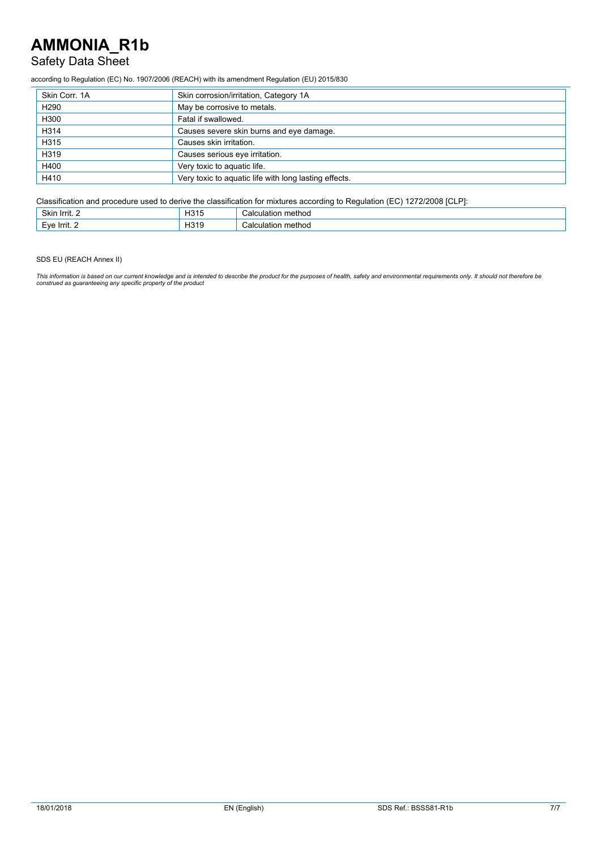## Safety Data Sheet

according to Regulation (EC) No. 1907/2006 (REACH) with its amendment Regulation (EU) 2015/830

| Skin Corr. 1A    | Skin corrosion/irritation, Category 1A                |
|------------------|-------------------------------------------------------|
| H <sub>290</sub> | May be corrosive to metals.                           |
| H300             | Fatal if swallowed.                                   |
| H314             | Causes severe skin burns and eye damage.              |
| H315             | Causes skin irritation.                               |
| H319             | Causes serious eye irritation.                        |
| H400             | Very toxic to aquatic life.                           |
| H410             | Very toxic to aquatic life with long lasting effects. |

Classification and procedure used to derive the classification for mixtures according to Regulation (EC) 1272/2008 [CLP]:

| Skin<br>lrrit. 2   | $\sim$<br><b>LID4</b><br><b>n</b> olt | method<br>∴alculatior      |
|--------------------|---------------------------------------|----------------------------|
| -۱٬۵<br>- Fru<br>- | H319                                  | method<br>:alc<br>≎ulatio. |

SDS EU (REACH Annex II)

This information is based on our current knowledge and is intended to describe the product for the purposes of health, safety and environmental requirements only. It should not therefore be<br>construed as guaranteeing any sp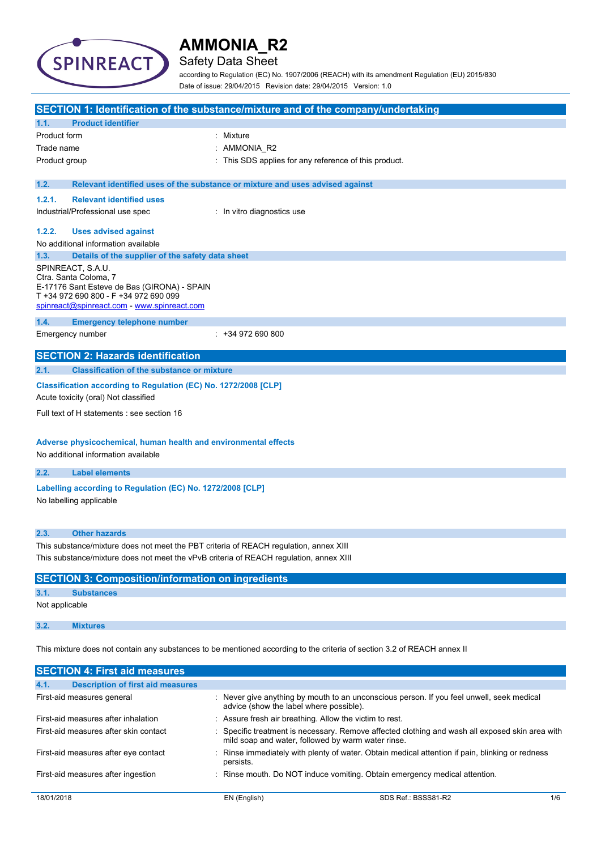

## Safety Data Sheet

according to Regulation (EC) No. 1907/2006 (REACH) with its amendment Regulation (EU) 2015/830 Date of issue: 29/04/2015 Revision date: 29/04/2015 Version: 1.0

|                                                                                                                                                                                   | SECTION 1: Identification of the substance/mixture and of the company/undertaking |  |  |
|-----------------------------------------------------------------------------------------------------------------------------------------------------------------------------------|-----------------------------------------------------------------------------------|--|--|
| <b>Product identifier</b><br>1.1.                                                                                                                                                 |                                                                                   |  |  |
| Product form                                                                                                                                                                      | : Mixture                                                                         |  |  |
| Trade name                                                                                                                                                                        | : AMMONIA_R2                                                                      |  |  |
| Product group                                                                                                                                                                     | : This SDS applies for any reference of this product.                             |  |  |
| 1.2.                                                                                                                                                                              | Relevant identified uses of the substance or mixture and uses advised against     |  |  |
| 1.2.1.<br><b>Relevant identified uses</b>                                                                                                                                         |                                                                                   |  |  |
| Industrial/Professional use spec                                                                                                                                                  | : In vitro diagnostics use                                                        |  |  |
| 1.2.2.<br><b>Uses advised against</b>                                                                                                                                             |                                                                                   |  |  |
| No additional information available                                                                                                                                               |                                                                                   |  |  |
| Details of the supplier of the safety data sheet<br>1.3.                                                                                                                          |                                                                                   |  |  |
| SPINREACT, S.A.U.<br>Ctra. Santa Coloma, 7<br>E-17176 Sant Esteve de Bas (GIRONA) - SPAIN<br>T +34 972 690 800 - F +34 972 690 099<br>spinreact@spinreact.com - www.spinreact.com |                                                                                   |  |  |
| 1.4.<br><b>Emergency telephone number</b>                                                                                                                                         |                                                                                   |  |  |
| Emergency number                                                                                                                                                                  | $: +34972690800$                                                                  |  |  |
| <b>SECTION 2: Hazards identification</b>                                                                                                                                          |                                                                                   |  |  |
| 2.1.<br><b>Classification of the substance or mixture</b>                                                                                                                         |                                                                                   |  |  |
| Classification according to Regulation (EC) No. 1272/2008 [CLP]<br>Acute toxicity (oral) Not classified                                                                           |                                                                                   |  |  |
| Full text of H statements : see section 16                                                                                                                                        |                                                                                   |  |  |
| Adverse physicochemical, human health and environmental effects<br>No additional information available                                                                            |                                                                                   |  |  |
| <b>Label elements</b><br>2.2.                                                                                                                                                     |                                                                                   |  |  |
| Labelling according to Regulation (EC) No. 1272/2008 [CLP]<br>No labelling applicable                                                                                             |                                                                                   |  |  |
| <b>Other hazards</b><br>2.3.                                                                                                                                                      |                                                                                   |  |  |
| This substance/mixture does not meet the PBT criteria of REACH regulation, annex XIII<br>This substance/mixture does not meet the vPvB criteria of REACH regulation, annex XIII   |                                                                                   |  |  |
| <b>SECTION 3: Composition/information on ingredients</b>                                                                                                                          |                                                                                   |  |  |
| <b>Substances</b><br>3.1.                                                                                                                                                         |                                                                                   |  |  |
| Not applicable                                                                                                                                                                    |                                                                                   |  |  |
| 3.2.<br><b>Mixtures</b>                                                                                                                                                           |                                                                                   |  |  |
| This mixture does not contain any substances to be mentioned according to the criteria of section 3.2 of REACH annex II                                                           |                                                                                   |  |  |
| <b>SECTION 4: First aid measures</b>                                                                                                                                              |                                                                                   |  |  |

| 4.1.       | <b>Description of first aid measures</b> |                                                         |                                                                                                 |     |
|------------|------------------------------------------|---------------------------------------------------------|-------------------------------------------------------------------------------------------------|-----|
|            | First-aid measures general               | advice (show the label where possible).                 | : Never give anything by mouth to an unconscious person. If you feel unwell, seek medical       |     |
|            | First-aid measures after inhalation      | : Assure fresh air breathing. Allow the victim to rest. |                                                                                                 |     |
|            | First-aid measures after skin contact    | mild soap and water, followed by warm water rinse.      | : Specific treatment is necessary. Remove affected clothing and wash all exposed skin area with |     |
|            | First-aid measures after eye contact     | persists.                                               | : Rinse immediately with plenty of water. Obtain medical attention if pain, blinking or redness |     |
|            | First-aid measures after ingestion       |                                                         | : Rinse mouth. Do NOT induce vomiting. Obtain emergency medical attention.                      |     |
| 18/01/2018 |                                          | EN (English)                                            | SDS Ref.: BSSS81-R2                                                                             | 1/6 |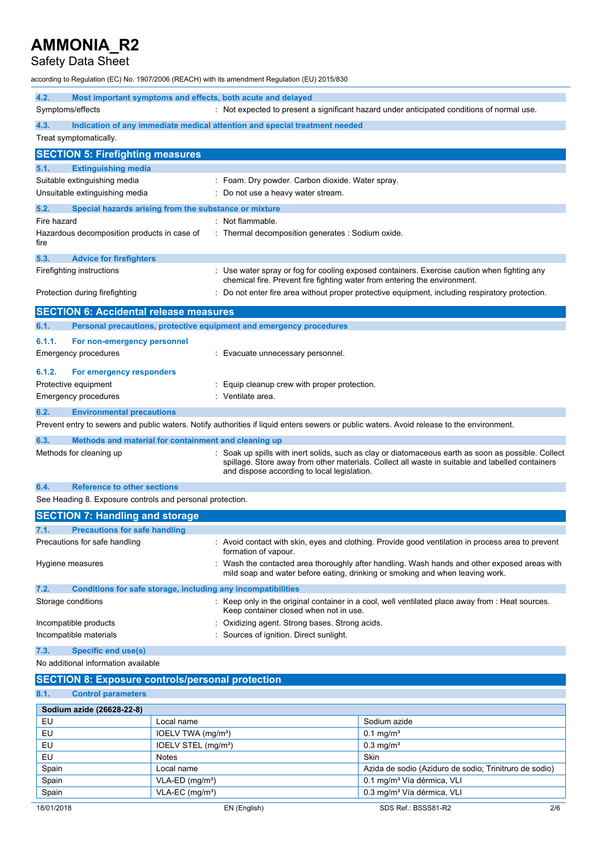# Safety Data Sheet

according to Regulation (EC) No. 1907/2006 (REACH) with its amendment Regulation (EU) 2015/830

| 4.2.                                                    | Most important symptoms and effects, both acute and delayed         |                                                                                                                                                                                                                                                      |  |
|---------------------------------------------------------|---------------------------------------------------------------------|------------------------------------------------------------------------------------------------------------------------------------------------------------------------------------------------------------------------------------------------------|--|
|                                                         | Symptoms/effects                                                    | : Not expected to present a significant hazard under anticipated conditions of normal use.                                                                                                                                                           |  |
| 4.3.                                                    |                                                                     | Indication of any immediate medical attention and special treatment needed                                                                                                                                                                           |  |
|                                                         | Treat symptomatically.                                              |                                                                                                                                                                                                                                                      |  |
|                                                         | <b>SECTION 5: Firefighting measures</b>                             |                                                                                                                                                                                                                                                      |  |
| 5.1.                                                    | <b>Extinguishing media</b>                                          |                                                                                                                                                                                                                                                      |  |
|                                                         | Suitable extinguishing media                                        | : Foam. Dry powder. Carbon dioxide. Water spray.                                                                                                                                                                                                     |  |
|                                                         | Unsuitable extinguishing media                                      | Do not use a heavy water stream.                                                                                                                                                                                                                     |  |
| 5.2.                                                    | Special hazards arising from the substance or mixture               |                                                                                                                                                                                                                                                      |  |
| Fire hazard                                             |                                                                     | : Not flammable.                                                                                                                                                                                                                                     |  |
| fire                                                    | Hazardous decomposition products in case of                         | : Thermal decomposition generates : Sodium oxide.                                                                                                                                                                                                    |  |
| 5.3.                                                    | <b>Advice for firefighters</b>                                      |                                                                                                                                                                                                                                                      |  |
|                                                         | Firefighting instructions                                           | : Use water spray or fog for cooling exposed containers. Exercise caution when fighting any<br>chemical fire. Prevent fire fighting water from entering the environment.                                                                             |  |
|                                                         | Protection during firefighting                                      | Do not enter fire area without proper protective equipment, including respiratory protection.                                                                                                                                                        |  |
|                                                         | <b>SECTION 6: Accidental release measures</b>                       |                                                                                                                                                                                                                                                      |  |
| 6.1.                                                    | Personal precautions, protective equipment and emergency procedures |                                                                                                                                                                                                                                                      |  |
| 6.1.1.                                                  | For non-emergency personnel                                         |                                                                                                                                                                                                                                                      |  |
|                                                         | <b>Emergency procedures</b>                                         | Evacuate unnecessary personnel.                                                                                                                                                                                                                      |  |
| 6.1.2.                                                  | For emergency responders                                            |                                                                                                                                                                                                                                                      |  |
|                                                         | Protective equipment                                                | Equip cleanup crew with proper protection.                                                                                                                                                                                                           |  |
|                                                         | <b>Emergency procedures</b>                                         | Ventilate area.                                                                                                                                                                                                                                      |  |
| 6.2.                                                    | <b>Environmental precautions</b>                                    |                                                                                                                                                                                                                                                      |  |
|                                                         |                                                                     | Prevent entry to sewers and public waters. Notify authorities if liquid enters sewers or public waters. Avoid release to the environment.                                                                                                            |  |
| 6.3.                                                    | Methods and material for containment and cleaning up                |                                                                                                                                                                                                                                                      |  |
|                                                         | Methods for cleaning up                                             | Soak up spills with inert solids, such as clay or diatomaceous earth as soon as possible. Collect<br>spillage. Store away from other materials. Collect all waste in suitable and labelled containers<br>and dispose according to local legislation. |  |
| 6.4.                                                    | <b>Reference to other sections</b>                                  |                                                                                                                                                                                                                                                      |  |
|                                                         | See Heading 8. Exposure controls and personal protection.           |                                                                                                                                                                                                                                                      |  |
|                                                         | <b>SECTION 7: Handling and storage</b>                              |                                                                                                                                                                                                                                                      |  |
| 7.1.                                                    | <b>Precautions for safe handling</b>                                |                                                                                                                                                                                                                                                      |  |
|                                                         | Precautions for safe handling                                       | : Avoid contact with skin, eyes and clothing. Provide good ventilation in process area to prevent<br>formation of vapour.                                                                                                                            |  |
|                                                         | Hygiene measures                                                    | : Wash the contacted area thoroughly after handling. Wash hands and other exposed areas with<br>mild soap and water before eating, drinking or smoking and when leaving work.                                                                        |  |
| 7.2.                                                    | Conditions for safe storage, including any incompatibilities        |                                                                                                                                                                                                                                                      |  |
|                                                         | Storage conditions                                                  | : Keep only in the original container in a cool, well ventilated place away from : Heat sources.<br>Keep container closed when not in use.                                                                                                           |  |
| Incompatible products                                   |                                                                     | Oxidizing agent. Strong bases. Strong acids.                                                                                                                                                                                                         |  |
| Incompatible materials                                  |                                                                     | Sources of ignition. Direct sunlight.                                                                                                                                                                                                                |  |
| 7.3.                                                    | <b>Specific end use(s)</b>                                          |                                                                                                                                                                                                                                                      |  |
|                                                         | No additional information available                                 |                                                                                                                                                                                                                                                      |  |
| <b>SECTION 8: Exposure controls/personal protection</b> |                                                                     |                                                                                                                                                                                                                                                      |  |
| 8.1.                                                    | <b>Control parameters</b>                                           |                                                                                                                                                                                                                                                      |  |
|                                                         |                                                                     |                                                                                                                                                                                                                                                      |  |

| Sodium azide (26628-22-8) |                                 |                                                        |     |  |
|---------------------------|---------------------------------|--------------------------------------------------------|-----|--|
| EU                        | Local name                      | Sodium azide                                           |     |  |
| <b>EU</b>                 | IOELV TWA (mg/m <sup>3</sup> )  | $0.1 \text{ mg/m}^3$                                   |     |  |
| <b>EU</b>                 | IOELV STEL (mg/m <sup>3</sup> ) | $0.3$ mg/m <sup>3</sup>                                |     |  |
| EU                        | <b>Notes</b>                    | Skin                                                   |     |  |
| Spain                     | Local name                      | Azida de sodio (Aziduro de sodio; Trinitruro de sodio) |     |  |
| Spain                     | $VLA-ED$ (mg/m <sup>3</sup> )   | 0.1 mg/m <sup>3</sup> Vía dérmica, VLI                 |     |  |
| Spain                     | $VLA-EC$ (mg/m <sup>3</sup> )   | 0.3 mg/m <sup>3</sup> Vía dérmica, VLI                 |     |  |
| 18/01/2018                | EN (English)                    | SDS Ref.: BSSS81-R2                                    | 2/6 |  |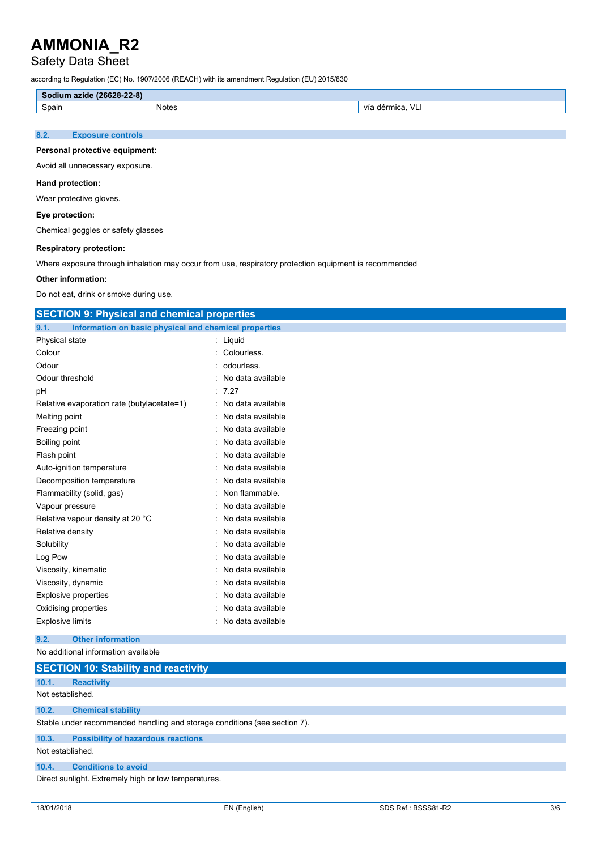# Safety Data Sheet

according to Regulation (EC) No. 1907/2006 (REACH) with its amendment Regulation (EU) 2015/830

| $(26628 - 22 - 8)$<br>Sodium<br>azide |       |                                   |  |  |
|---------------------------------------|-------|-----------------------------------|--|--|
| Spain                                 | Notes | $\sqrt{}$<br>mica<br>Vit<br>′ – 1 |  |  |
|                                       |       |                                   |  |  |

### **8.2. Exposure controls**

#### **Personal protective equipment:**

Avoid all unnecessary exposure.

#### **Hand protection:**

Wear protective gloves.

### **Eye protection:**

Chemical goggles or safety glasses

### **Respiratory protection:**

Where exposure through inhalation may occur from use, respiratory protection equipment is recommended

#### **Other information:**

Do not eat, drink or smoke during use.

| <b>SECTION 9: Physical and chemical properties</b>            |                   |  |  |  |  |
|---------------------------------------------------------------|-------------------|--|--|--|--|
| Information on basic physical and chemical properties<br>9.1. |                   |  |  |  |  |
| Physical state                                                | : Liquid          |  |  |  |  |
| Colour                                                        | Colourless.       |  |  |  |  |
| Odour                                                         | odourless.        |  |  |  |  |
| Odour threshold                                               | No data available |  |  |  |  |
| рH                                                            | 7.27              |  |  |  |  |
| Relative evaporation rate (butylacetate=1)                    | No data available |  |  |  |  |
| Melting point                                                 | No data available |  |  |  |  |
| Freezing point                                                | No data available |  |  |  |  |
| Boiling point                                                 | No data available |  |  |  |  |
| Flash point                                                   | No data available |  |  |  |  |
| Auto-ignition temperature                                     | No data available |  |  |  |  |
| Decomposition temperature                                     | No data available |  |  |  |  |
| Flammability (solid, gas)                                     | Non flammable.    |  |  |  |  |
| Vapour pressure                                               | No data available |  |  |  |  |
| Relative vapour density at 20 °C                              | No data available |  |  |  |  |
| Relative density                                              | No data available |  |  |  |  |
| Solubility                                                    | No data available |  |  |  |  |
| Log Pow                                                       | No data available |  |  |  |  |
| Viscosity, kinematic                                          | No data available |  |  |  |  |
| Viscosity, dynamic                                            | No data available |  |  |  |  |
| <b>Explosive properties</b>                                   | No data available |  |  |  |  |
| Oxidising properties                                          | No data available |  |  |  |  |
| <b>Explosive limits</b>                                       | No data available |  |  |  |  |
| <b>Other information</b><br>9.2.                              |                   |  |  |  |  |
| No additional information available                           |                   |  |  |  |  |
| <b>CECTION 40: Ctability and reactivity</b>                   |                   |  |  |  |  |

|                  | $\overline{0}$ . To the figure of $\overline{0}$ and the section $\overline{0}$ |
|------------------|---------------------------------------------------------------------------------|
| 10.1.            | <b>Reactivity</b>                                                               |
| Not established. |                                                                                 |
| 10.2.            | <b>Chemical stability</b>                                                       |
|                  | Stable under recommended handling and storage conditions (see section 7).       |
| 10.3.            | <b>Possibility of hazardous reactions</b>                                       |
| Not established. |                                                                                 |
| 10.4.            | <b>Conditions to avoid</b>                                                      |
|                  | Direct sunlight. Extremely high or low temperatures.                            |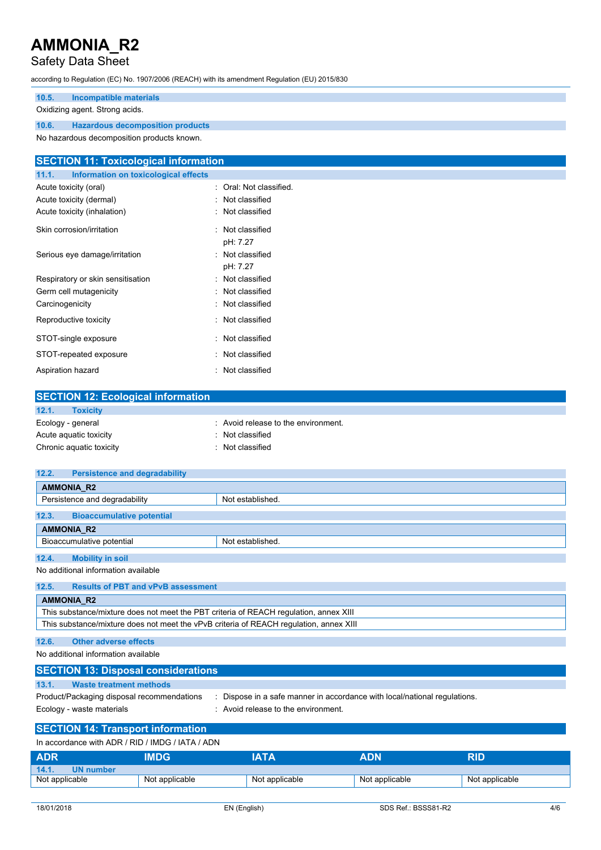# Safety Data Sheet

according to Regulation (EC) No. 1907/2006 (REACH) with its amendment Regulation (EU) 2015/830

### **10.5. Incompatible materials** Oxidizing agent. Strong acids.

**10.6. Hazardous decomposition products** No hazardous decomposition products known.

Aspiration hazard **in the set of the set of the set of the set of the set of the set of the set of the set of the set of the set of the set of the set of the set of the set of the set of the set of the set of the set of th** 

| <b>SECTION 11: Toxicological information</b>  |                         |  |  |  |  |
|-----------------------------------------------|-------------------------|--|--|--|--|
| Information on toxicological effects<br>11.1. |                         |  |  |  |  |
| Acute toxicity (oral)                         | : Oral: Not classified. |  |  |  |  |
| Acute toxicity (dermal)                       | : Not classified        |  |  |  |  |
| Acute toxicity (inhalation)                   | : Not classified        |  |  |  |  |
| Skin corrosion/irritation                     | : Not classified        |  |  |  |  |
|                                               | pH: 7.27                |  |  |  |  |
| Serious eye damage/irritation                 | : Not classified        |  |  |  |  |
|                                               | pH: 7.27                |  |  |  |  |
| Respiratory or skin sensitisation             | : Not classified        |  |  |  |  |
| Germ cell mutagenicity                        | : Not classified        |  |  |  |  |
| Carcinogenicity                               | : Not classified        |  |  |  |  |
| Reproductive toxicity                         | : Not classified        |  |  |  |  |
| STOT-single exposure                          | : Not classified        |  |  |  |  |
| STOT-repeated exposure                        | : Not classified        |  |  |  |  |

| <b>SECTION 12: Ecological information</b> |                                     |
|-------------------------------------------|-------------------------------------|
| 12.1.<br><b>Toxicity</b>                  |                                     |
| Ecology - general                         | : Avoid release to the environment. |
| Acute aguatic toxicity                    | : Not classified                    |
| Chronic aquatic toxicity                  | : Not classified                    |

| 12.2. | <b>Persistence and degradability</b> |                  |  |  |  |
|-------|--------------------------------------|------------------|--|--|--|
|       | <b>AMMONIA R2</b>                    |                  |  |  |  |
|       | Persistence and degradability        | Not established. |  |  |  |
|       |                                      |                  |  |  |  |
| 12.3. | <b>Bioaccumulative potential</b>     |                  |  |  |  |
|       | <b>AMMONIA R2</b>                    |                  |  |  |  |
|       | Bioaccumulative potential            | Not established. |  |  |  |
|       |                                      |                  |  |  |  |
| 12.4. | <b>Mobility in soil</b>              |                  |  |  |  |

No additional information available

| 12.5. | <b>Results of PBT and vPvB assessment</b>                                              |
|-------|----------------------------------------------------------------------------------------|
|       | <b>AMMONIA R2</b>                                                                      |
|       | This substance/mixture does not meet the PBT criteria of REACH regulation, annex XIII  |
|       | This substance/mixture does not meet the vPvB criteria of REACH regulation, annex XIII |
|       |                                                                                        |

## **12.6. Other adverse effects**

No additional information available

| <b>SECTION 13: Disposal considerations</b>                              |                                                                                                                           |
|-------------------------------------------------------------------------|---------------------------------------------------------------------------------------------------------------------------|
| 13.1.<br>Waste treatment methods                                        |                                                                                                                           |
| Product/Packaging disposal recommendations<br>Ecology - waste materials | Dispose in a safe manner in accordance with local/national regulations.<br>$\therefore$ Avoid release to the environment. |

# **SECTION 14: Transport information**

| In accordance with ADR / RID / IMDG / IATA / ADN |                |                |                |                |  |
|--------------------------------------------------|----------------|----------------|----------------|----------------|--|
| <b>ADR</b>                                       | <b>IMDG</b>    | IATA           | <b>ADN</b>     | RID            |  |
| 14.1.<br><b>UN number</b>                        |                |                |                |                |  |
| Not applicable                                   | Not applicable | Not applicable | Not applicable | Not applicable |  |
|                                                  |                |                |                |                |  |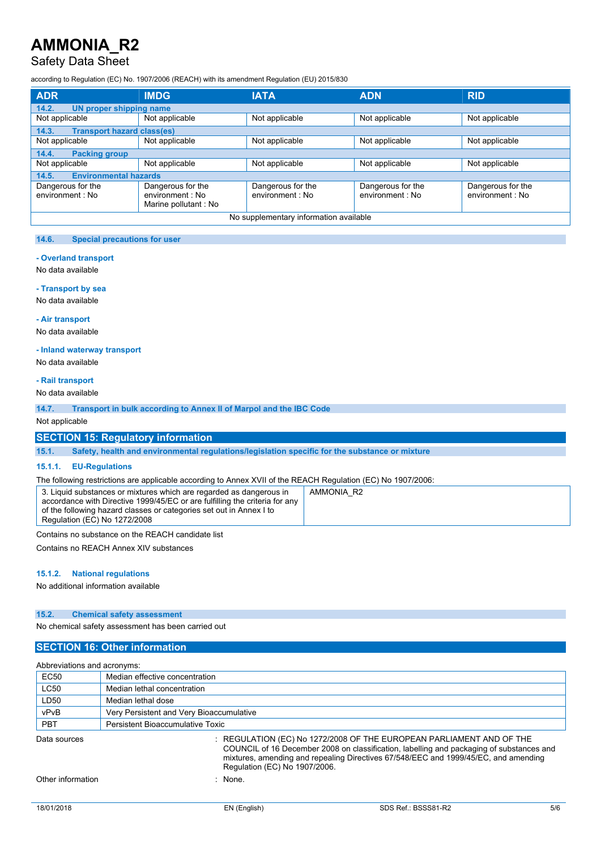## Safety Data Sheet

according to Regulation (EC) No. 1907/2006 (REACH) with its amendment Regulation (EU) 2015/830

| <b>ADR</b>                                 | <b>IMDG</b>                                                   | <b>IATA</b>                           | <b>ADN</b>                            | <b>RID</b>                            |
|--------------------------------------------|---------------------------------------------------------------|---------------------------------------|---------------------------------------|---------------------------------------|
| 14.2.<br>UN proper shipping name           |                                                               |                                       |                                       |                                       |
| Not applicable                             | Not applicable                                                | Not applicable                        | Not applicable                        | Not applicable                        |
| <b>Transport hazard class(es)</b><br>14.3. |                                                               |                                       |                                       |                                       |
| Not applicable                             | Not applicable                                                | Not applicable                        | Not applicable                        | Not applicable                        |
| 14.4.<br><b>Packing group</b>              |                                                               |                                       |                                       |                                       |
| Not applicable                             | Not applicable                                                | Not applicable                        | Not applicable                        | Not applicable                        |
| <b>Environmental hazards</b><br>14.5.      |                                                               |                                       |                                       |                                       |
| Dangerous for the<br>environment : No      | Dangerous for the<br>environment : No<br>Marine pollutant: No | Dangerous for the<br>environment : No | Dangerous for the<br>environment : No | Dangerous for the<br>environment : No |
| No supplementary information available     |                                                               |                                       |                                       |                                       |

### **14.6. Special precautions for user**

#### **- Overland transport**

No data available

#### **- Transport by sea**

No data available

#### **- Air transport**

No data available

#### **- Inland waterway transport**

No data available

### **- Rail transport**

No data available

**14.7. Transport in bulk according to Annex II of Marpol and the IBC Code**

Not applicable

## **SECTION 15: Regulatory information**

**15.1. Safety, health and environmental regulations/legislation specific for the substance or mixture**

#### **15.1.1. EU-Regulations**

The following restrictions are applicable according to Annex XVII of the REACH Regulation (EC) No 1907/2006:

Contains no substance on the REACH candidate list

Contains no REACH Annex XIV substances

#### **15.1.2. National regulations**

No additional information available

#### **15.2. Chemical safety assessment**

No chemical safety assessment has been carried out

## **SECTION 16: Other information**

| Abbreviations and acronyms: |                                                                                                                                                                                                                                                                                          |  |  |
|-----------------------------|------------------------------------------------------------------------------------------------------------------------------------------------------------------------------------------------------------------------------------------------------------------------------------------|--|--|
| EC <sub>50</sub>            | Median effective concentration                                                                                                                                                                                                                                                           |  |  |
| <b>LC50</b>                 | Median lethal concentration                                                                                                                                                                                                                                                              |  |  |
| LD50                        | Median lethal dose                                                                                                                                                                                                                                                                       |  |  |
| vPvB                        | Very Persistent and Very Bioaccumulative                                                                                                                                                                                                                                                 |  |  |
| <b>PBT</b>                  | Persistent Bioaccumulative Toxic                                                                                                                                                                                                                                                         |  |  |
| Data sources                | : REGULATION (EC) No 1272/2008 OF THE EUROPEAN PARLIAMENT AND OF THE<br>COUNCIL of 16 December 2008 on classification, labelling and packaging of substances and<br>mixtures, amending and repealing Directives 67/548/EEC and 1999/45/EC, and amending<br>Regulation (EC) No 1907/2006. |  |  |
| Other information           | None.                                                                                                                                                                                                                                                                                    |  |  |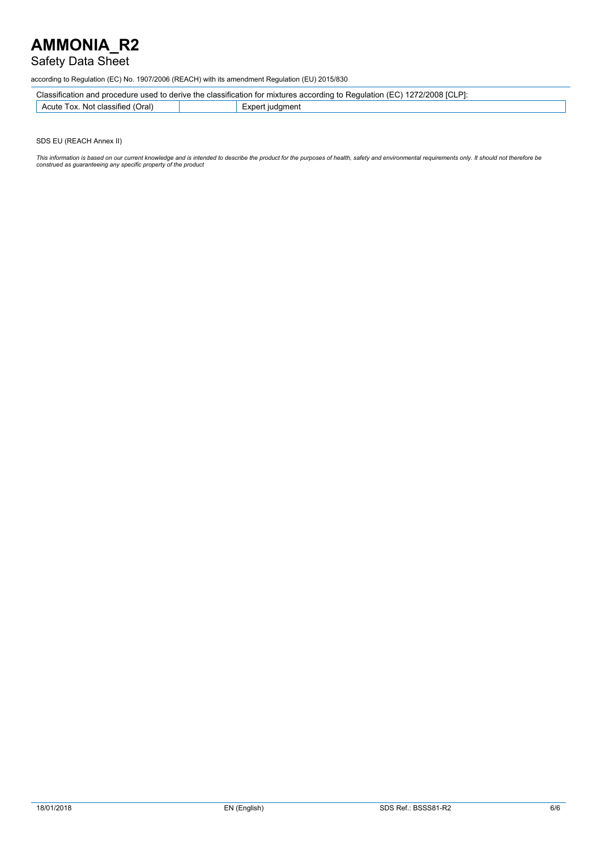## Safety Data Sheet

according to Regulation (EC) No. 1907/2006 (REACH) with its amendment Regulation (EU) 2015/830

|--|

| ົ່າຕ່<br>LOX.<br>Acute<br>: classified<br>. Not<br>ור ונ | $\mathbf{m}$<br>menเ<br>11 I C<br>וחר<br>$\mathbf{A}$ |
|----------------------------------------------------------|-------------------------------------------------------|
|                                                          |                                                       |

SDS EU (REACH Annex II)

This information is based on our current knowledge and is intended to describe the product for the purposes of health, safety and environmental requirements only. It should not therefore be<br>construed as guaranteeing any sp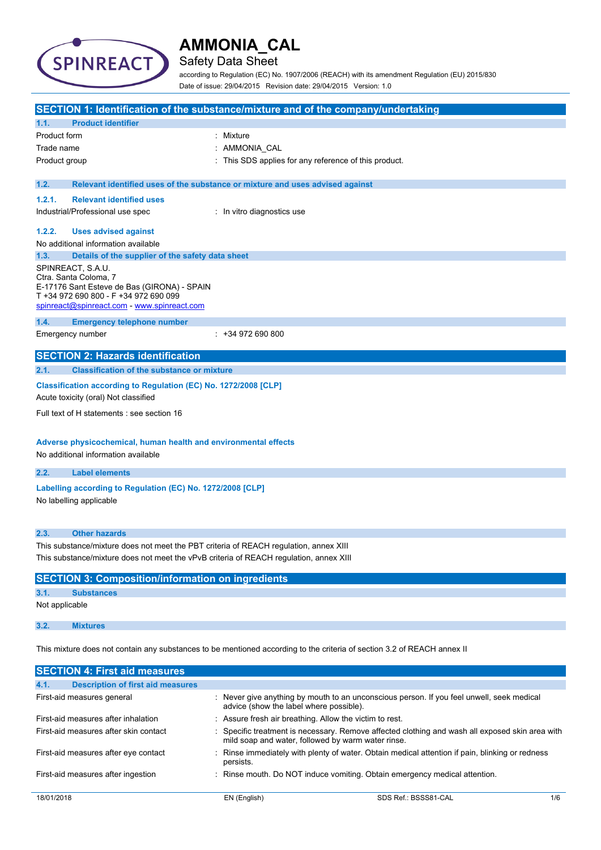

# Safety Data Sheet

according to Regulation (EC) No. 1907/2006 (REACH) with its amendment Regulation (EU) 2015/830 Date of issue: 29/04/2015 Revision date: 29/04/2015 Version: 1.0

|                                                                                                                                                                                   | SECTION 1: Identification of the substance/mixture and of the company/undertaking |  |  |
|-----------------------------------------------------------------------------------------------------------------------------------------------------------------------------------|-----------------------------------------------------------------------------------|--|--|
| <b>Product identifier</b><br>1.1.                                                                                                                                                 |                                                                                   |  |  |
| Product form                                                                                                                                                                      | : Mixture                                                                         |  |  |
| Trade name                                                                                                                                                                        | : AMMONIA_CAL                                                                     |  |  |
| Product group                                                                                                                                                                     | : This SDS applies for any reference of this product.                             |  |  |
| 1.2.                                                                                                                                                                              | Relevant identified uses of the substance or mixture and uses advised against     |  |  |
| 1.2.1.<br><b>Relevant identified uses</b>                                                                                                                                         |                                                                                   |  |  |
| Industrial/Professional use spec                                                                                                                                                  | : In vitro diagnostics use                                                        |  |  |
| 1.2.2.<br><b>Uses advised against</b>                                                                                                                                             |                                                                                   |  |  |
| No additional information available                                                                                                                                               |                                                                                   |  |  |
| Details of the supplier of the safety data sheet<br>1.3.                                                                                                                          |                                                                                   |  |  |
| SPINREACT, S.A.U.<br>Ctra. Santa Coloma, 7<br>E-17176 Sant Esteve de Bas (GIRONA) - SPAIN<br>T +34 972 690 800 - F +34 972 690 099<br>spinreact@spinreact.com - www.spinreact.com |                                                                                   |  |  |
| 1.4.<br><b>Emergency telephone number</b>                                                                                                                                         |                                                                                   |  |  |
| Emergency number                                                                                                                                                                  | $: +34972690800$                                                                  |  |  |
| <b>SECTION 2: Hazards identification</b>                                                                                                                                          |                                                                                   |  |  |
| 2.1.<br><b>Classification of the substance or mixture</b>                                                                                                                         |                                                                                   |  |  |
| Classification according to Regulation (EC) No. 1272/2008 [CLP]<br>Acute toxicity (oral) Not classified                                                                           |                                                                                   |  |  |
| Full text of H statements : see section 16                                                                                                                                        |                                                                                   |  |  |
| Adverse physicochemical, human health and environmental effects<br>No additional information available                                                                            |                                                                                   |  |  |
| <b>Label elements</b><br>2.2.                                                                                                                                                     |                                                                                   |  |  |
| Labelling according to Regulation (EC) No. 1272/2008 [CLP]<br>No labelling applicable                                                                                             |                                                                                   |  |  |
| <b>Other hazards</b><br>2.3.                                                                                                                                                      |                                                                                   |  |  |
| This substance/mixture does not meet the PBT criteria of REACH regulation, annex XIII<br>This substance/mixture does not meet the vPvB criteria of REACH regulation, annex XIII   |                                                                                   |  |  |
| <b>SECTION 3: Composition/information on ingredients</b>                                                                                                                          |                                                                                   |  |  |
| <b>Substances</b><br>3.1.                                                                                                                                                         |                                                                                   |  |  |
| Not applicable                                                                                                                                                                    |                                                                                   |  |  |
| 3.2.<br><b>Mixtures</b>                                                                                                                                                           |                                                                                   |  |  |
| This mixture does not contain any substances to be mentioned according to the criteria of section 3.2 of REACH annex II                                                           |                                                                                   |  |  |
| <b>SECTION 4: First aid measures</b>                                                                                                                                              |                                                                                   |  |  |

|            | <u>ULUI IVII TII IIUI UNI IIIUUJUI UU</u> |                                                         |                                                                                                 |     |
|------------|-------------------------------------------|---------------------------------------------------------|-------------------------------------------------------------------------------------------------|-----|
| 4.1.       | <b>Description of first aid measures</b>  |                                                         |                                                                                                 |     |
|            | First-aid measures general                | advice (show the label where possible).                 | Never give anything by mouth to an unconscious person. If you feel unwell, seek medical         |     |
|            | First-aid measures after inhalation       | : Assure fresh air breathing. Allow the victim to rest. |                                                                                                 |     |
|            | First-aid measures after skin contact     | mild soap and water, followed by warm water rinse.      | : Specific treatment is necessary. Remove affected clothing and wash all exposed skin area with |     |
|            | First-aid measures after eye contact      | persists.                                               | : Rinse immediately with plenty of water. Obtain medical attention if pain, blinking or redness |     |
|            | First-aid measures after ingestion        |                                                         | : Rinse mouth. Do NOT induce vomiting. Obtain emergency medical attention.                      |     |
| 18/01/2018 |                                           | EN (English)                                            | SDS Ref.: BSSS81-CAL                                                                            | 1/6 |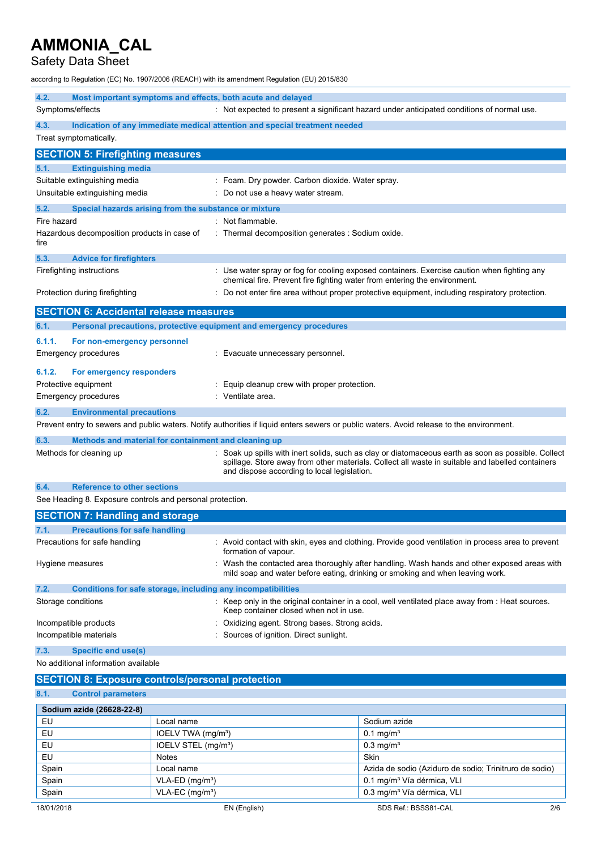# Safety Data Sheet

according to Regulation (EC) No. 1907/2006 (REACH) with its amendment Regulation (EU) 2015/830

| 4.2.<br>Most important symptoms and effects, both acute and delayed  |                                                                                                                                                                                                                                                      |  |  |
|----------------------------------------------------------------------|------------------------------------------------------------------------------------------------------------------------------------------------------------------------------------------------------------------------------------------------------|--|--|
| Symptoms/effects                                                     | : Not expected to present a significant hazard under anticipated conditions of normal use.                                                                                                                                                           |  |  |
| 4.3.                                                                 | Indication of any immediate medical attention and special treatment needed                                                                                                                                                                           |  |  |
| Treat symptomatically.                                               |                                                                                                                                                                                                                                                      |  |  |
| <b>SECTION 5: Firefighting measures</b>                              |                                                                                                                                                                                                                                                      |  |  |
| 5.1.<br><b>Extinguishing media</b>                                   |                                                                                                                                                                                                                                                      |  |  |
| Suitable extinguishing media                                         | : Foam. Dry powder. Carbon dioxide. Water spray.                                                                                                                                                                                                     |  |  |
| Unsuitable extinguishing media                                       | Do not use a heavy water stream.                                                                                                                                                                                                                     |  |  |
| 5.2.<br>Special hazards arising from the substance or mixture        |                                                                                                                                                                                                                                                      |  |  |
| Fire hazard                                                          | : Not flammable.                                                                                                                                                                                                                                     |  |  |
| Hazardous decomposition products in case of<br>fire                  | : Thermal decomposition generates : Sodium oxide.                                                                                                                                                                                                    |  |  |
|                                                                      |                                                                                                                                                                                                                                                      |  |  |
| 5.3.<br><b>Advice for firefighters</b>                               |                                                                                                                                                                                                                                                      |  |  |
| Firefighting instructions                                            | : Use water spray or fog for cooling exposed containers. Exercise caution when fighting any<br>chemical fire. Prevent fire fighting water from entering the environment.                                                                             |  |  |
| Protection during firefighting                                       | Do not enter fire area without proper protective equipment, including respiratory protection.                                                                                                                                                        |  |  |
|                                                                      |                                                                                                                                                                                                                                                      |  |  |
| <b>SECTION 6: Accidental release measures</b>                        |                                                                                                                                                                                                                                                      |  |  |
| 6.1.                                                                 | Personal precautions, protective equipment and emergency procedures                                                                                                                                                                                  |  |  |
| 6.1.1.<br>For non-emergency personnel                                |                                                                                                                                                                                                                                                      |  |  |
| <b>Emergency procedures</b>                                          | Evacuate unnecessary personnel.                                                                                                                                                                                                                      |  |  |
| 6.1.2.<br>For emergency responders                                   |                                                                                                                                                                                                                                                      |  |  |
| Protective equipment                                                 | Equip cleanup crew with proper protection.                                                                                                                                                                                                           |  |  |
| <b>Emergency procedures</b>                                          | Ventilate area.                                                                                                                                                                                                                                      |  |  |
| 6.2.<br><b>Environmental precautions</b>                             |                                                                                                                                                                                                                                                      |  |  |
|                                                                      | Prevent entry to sewers and public waters. Notify authorities if liquid enters sewers or public waters. Avoid release to the environment.                                                                                                            |  |  |
|                                                                      |                                                                                                                                                                                                                                                      |  |  |
| Methods and material for containment and cleaning up<br>6.3.         |                                                                                                                                                                                                                                                      |  |  |
| Methods for cleaning up                                              | Soak up spills with inert solids, such as clay or diatomaceous earth as soon as possible. Collect<br>spillage. Store away from other materials. Collect all waste in suitable and labelled containers<br>and dispose according to local legislation. |  |  |
| 6.4.<br><b>Reference to other sections</b>                           |                                                                                                                                                                                                                                                      |  |  |
| See Heading 8. Exposure controls and personal protection.            |                                                                                                                                                                                                                                                      |  |  |
| <b>SECTION 7: Handling and storage</b>                               |                                                                                                                                                                                                                                                      |  |  |
| 7.1.<br><b>Precautions for safe handling</b>                         |                                                                                                                                                                                                                                                      |  |  |
| Precautions for safe handling                                        | : Avoid contact with skin, eyes and clothing. Provide good ventilation in process area to prevent<br>formation of vapour.                                                                                                                            |  |  |
| Hygiene measures                                                     | : Wash the contacted area thoroughly after handling. Wash hands and other exposed areas with<br>mild soap and water before eating, drinking or smoking and when leaving work.                                                                        |  |  |
| 7.2.<br>Conditions for safe storage, including any incompatibilities |                                                                                                                                                                                                                                                      |  |  |
| Storage conditions                                                   | : Keep only in the original container in a cool, well ventilated place away from : Heat sources.<br>Keep container closed when not in use.                                                                                                           |  |  |
| Incompatible products                                                | Oxidizing agent. Strong bases. Strong acids.                                                                                                                                                                                                         |  |  |
| Incompatible materials                                               | Sources of ignition. Direct sunlight.                                                                                                                                                                                                                |  |  |
| 7.3.<br><b>Specific end use(s)</b>                                   |                                                                                                                                                                                                                                                      |  |  |
| No additional information available                                  |                                                                                                                                                                                                                                                      |  |  |
| <b>SECTION 8: Exposure controls/personal protection</b>              |                                                                                                                                                                                                                                                      |  |  |
| 8.1.<br><b>Control parameters</b>                                    |                                                                                                                                                                                                                                                      |  |  |
|                                                                      |                                                                                                                                                                                                                                                      |  |  |

| Sodium azide (26628-22-8) |                                 |                                                        |     |
|---------------------------|---------------------------------|--------------------------------------------------------|-----|
| EU                        | Local name                      | Sodium azide                                           |     |
| <b>EU</b>                 | IOELV TWA (mg/m <sup>3</sup> )  | $0.1 \,\mathrm{mq/m^3}$                                |     |
| <b>EU</b>                 | IOELV STEL (mg/m <sup>3</sup> ) | $0.3$ mg/m <sup>3</sup>                                |     |
| EU                        | <b>Notes</b>                    | <b>Skin</b>                                            |     |
| Spain                     | Local name                      | Azida de sodio (Aziduro de sodio; Trinitruro de sodio) |     |
| Spain                     | $VLA-ED$ (mg/m <sup>3</sup> )   | 0.1 mg/m <sup>3</sup> Vía dérmica, VLI                 |     |
| Spain                     | $VLA-EC$ (mg/m <sup>3</sup> )   | 0.3 mg/m <sup>3</sup> Vía dérmica, VLI                 |     |
| 18/01/2018                | EN (English)                    | SDS Ref.: BSSS81-CAL                                   | 2/6 |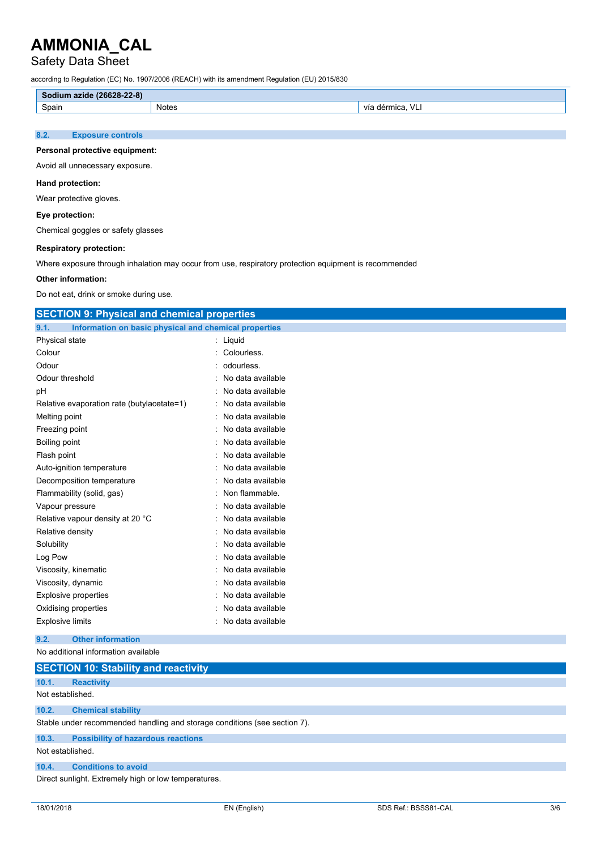# Safety Data Sheet

according to Regulation (EC) No. 1907/2006 (REACH) with its amendment Regulation (EU) 2015/830

| no of<br>$\sim$ $\sim$<br><b>PERSONAL</b><br><b>ALC: YES</b><br>20-22-01<br>200.<br><b>aziu</b> t. |            |                             |  |  |
|----------------------------------------------------------------------------------------------------|------------|-----------------------------|--|--|
| Spain                                                                                              | Notes<br>. | $\mathbf{v}$<br>ገበር፤<br>Via |  |  |
|                                                                                                    |            |                             |  |  |

### **8.2. Exposure controls**

#### **Personal protective equipment:**

Avoid all unnecessary exposure.

#### **Hand protection:**

Wear protective gloves.

### **Eye protection:**

Chemical goggles or safety glasses

### **Respiratory protection:**

Where exposure through inhalation may occur from use, respiratory protection equipment is recommended

### **Other information:**

Do not eat, drink or smoke during use.

| <b>SECTION 9: Physical and chemical properties</b>            |                   |  |  |
|---------------------------------------------------------------|-------------------|--|--|
| 9.1.<br>Information on basic physical and chemical properties |                   |  |  |
| Physical state                                                | Liquid<br>t.      |  |  |
| Colour                                                        | Colourless.       |  |  |
| Odour                                                         | odourless.        |  |  |
| Odour threshold                                               | No data available |  |  |
| рH                                                            | No data available |  |  |
| Relative evaporation rate (butylacetate=1)                    | No data available |  |  |
| Melting point                                                 | No data available |  |  |
| Freezing point                                                | No data available |  |  |
| Boiling point                                                 | No data available |  |  |
| Flash point                                                   | No data available |  |  |
| Auto-ignition temperature                                     | No data available |  |  |
| Decomposition temperature                                     | No data available |  |  |
| Flammability (solid, gas)                                     | Non flammable.    |  |  |
| Vapour pressure                                               | No data available |  |  |
| Relative vapour density at 20 °C                              | No data available |  |  |
| Relative density                                              | No data available |  |  |
| Solubility                                                    | No data available |  |  |
| Log Pow                                                       | No data available |  |  |
| Viscosity, kinematic                                          | No data available |  |  |
| Viscosity, dynamic                                            | No data available |  |  |
| <b>Explosive properties</b>                                   | No data available |  |  |
| Oxidising properties                                          | No data available |  |  |
| <b>Explosive limits</b>                                       | No data available |  |  |
| <b>Other information</b><br>9.2.                              |                   |  |  |
| No additional information available                           |                   |  |  |

|                  | <b>SECTION 10: Stability and reactivity</b>                               |  |  |
|------------------|---------------------------------------------------------------------------|--|--|
| 10.1.            | <b>Reactivity</b>                                                         |  |  |
| Not established. |                                                                           |  |  |
| 10.2.            | <b>Chemical stability</b>                                                 |  |  |
|                  | Stable under recommended handling and storage conditions (see section 7). |  |  |
| 10.3.            | <b>Possibility of hazardous reactions</b>                                 |  |  |
| Not established. |                                                                           |  |  |
| 10.4.            | <b>Conditions to avoid</b>                                                |  |  |
|                  | Direct sunlight. Extremely high or low temperatures.                      |  |  |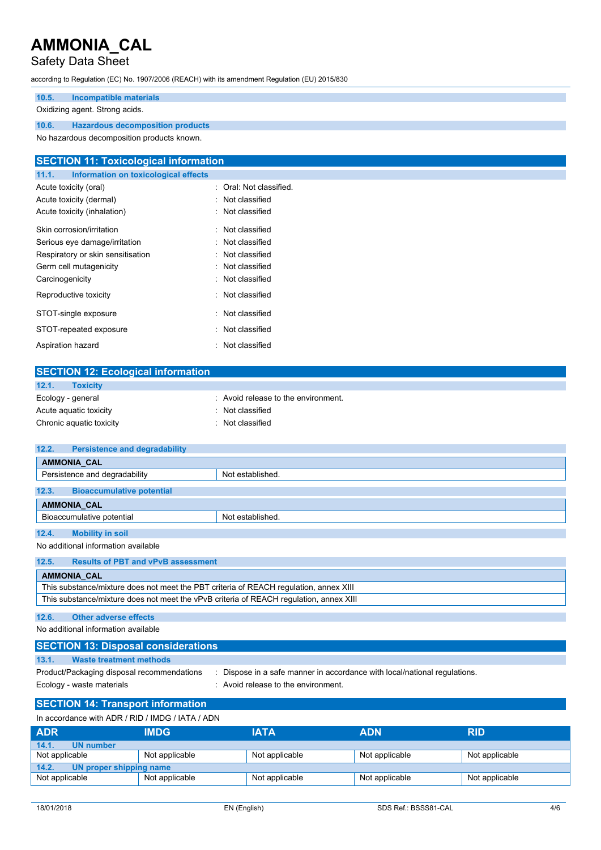## Safety Data Sheet

according to Regulation (EC) No. 1907/2006 (REACH) with its amendment Regulation (EU) 2015/830

### **10.5. Incompatible materials**

#### Oxidizing agent. Strong acids.

**10.6. Hazardous decomposition products**

No hazardous decomposition products known.

## **SECTION 11: Toxicological information 11.1. Information on toxicological effects** Acute toxicity (oral) **Example 2** Cral: Not classified. Acute toxicity (dermal) **Example 2** Contract 2 Contract 2 Contract 2 Contract 2 Contract 2 Contract 2 Contract 2 Contract 2 Contract 2 Contract 2 Contract 2 Contract 2 Contract 2 Contract 2 Contract 2 Contract 2 Contract 2 Acute toxicity (inhalation) : Not classified Skin corrosion/irritation **in the set of the Skin corrosion/irritation** in the set of the Skin Classified Serious eye damage/irritation : Not classified Respiratory or skin sensitisation : Not classified Germ cell mutagenicity **in the case of the Classified** in Not classified Carcinogenicity **Carcinogenicity 1999 Carcinogenicity Carcial Carcial Act 2018 Carcial Carcial Act 2019 Carcial Carcial Act 2019 Carcial Act 2019 Carcial Act 2019 Carcial Act 2019 Carcial Act 2019 Carci** Reproductive toxicity in the set of the Not classified STOT-single exposure in the state of the state of the STOT-single exposure STOT-repeated exposure : Not classified Aspiration hazard **in the set of the set of the set of the set of the set of the set of the set of the set of the set of the set of the set of the set of the set of the set of the set of the set of the set of the set of th**

| <b>SECTION 12: Ecological information</b> |                                   |
|-------------------------------------------|-----------------------------------|
| 12.1.<br><b>Toxicity</b>                  |                                   |
| Ecology - general                         | Avoid release to the environment. |
| Acute aquatic toxicity                    | : Not classified                  |
| Chronic aquatic toxicity                  | : Not classified                  |
|                                           |                                   |

| <b>Persistence and degradability</b><br>12.2.                                          |                  |  |
|----------------------------------------------------------------------------------------|------------------|--|
| <b>AMMONIA CAL</b>                                                                     |                  |  |
| Persistence and degradability                                                          | Not established. |  |
| 12.3.<br><b>Bioaccumulative potential</b>                                              |                  |  |
| <b>AMMONIA CAL</b>                                                                     |                  |  |
| Bioaccumulative potential                                                              | Not established. |  |
|                                                                                        |                  |  |
| 12.4.<br><b>Mobility in soil</b>                                                       |                  |  |
| No additional information available                                                    |                  |  |
| <b>Results of PBT and vPvB assessment</b><br>12.5.                                     |                  |  |
| <b>AMMONIA CAL</b>                                                                     |                  |  |
| This substance/mixture does not meet the PBT criteria of REACH regulation, annex XIII  |                  |  |
| This substance/mixture does not meet the vPvB criteria of REACH regulation, annex XIII |                  |  |

### **12.6. Other adverse effects**

No additional information available

| <b>SECTION 13: Disposal considerations</b> |                                                                         |
|--------------------------------------------|-------------------------------------------------------------------------|
| 13.1.<br>Waste treatment methods           |                                                                         |
| Product/Packaging disposal recommendations | Dispose in a safe manner in accordance with local/national regulations. |
| Ecology - waste materials                  | : Avoid release to the environment.                                     |

## **SECTION 14: Transport information**

| <b>ADR</b><br><b>ADN</b><br><b>IATA</b><br><b>IMDG</b><br><b>RID</b>                   |  |
|----------------------------------------------------------------------------------------|--|
| 14.1.<br>UN number                                                                     |  |
| Not applicable<br>Not applicable<br>Not applicable<br>Not applicable<br>Not applicable |  |
| 14.2.<br>UN proper shipping name                                                       |  |
| Not applicable<br>Not applicable<br>Not applicable<br>Not applicable<br>Not applicable |  |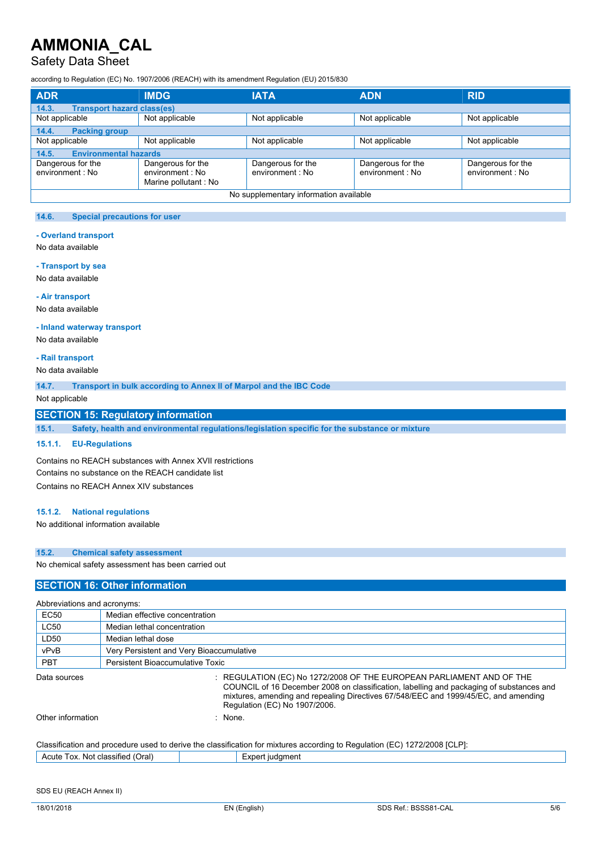## Safety Data Sheet

according to Regulation (EC) No. 1907/2006 (REACH) with its amendment Regulation (EU) 2015/830

| <b>ADR</b>                                 | <b>IMDG</b>                                                    | <b>IATA</b>                           | <b>ADN</b>                            | <b>RID</b>                            |  |
|--------------------------------------------|----------------------------------------------------------------|---------------------------------------|---------------------------------------|---------------------------------------|--|
| <b>Transport hazard class(es)</b><br>14.3. |                                                                |                                       |                                       |                                       |  |
| Not applicable                             | Not applicable                                                 | Not applicable                        | Not applicable                        | Not applicable                        |  |
| 14.4.<br><b>Packing group</b>              |                                                                |                                       |                                       |                                       |  |
| Not applicable                             | Not applicable                                                 | Not applicable                        | Not applicable                        | Not applicable                        |  |
| <b>Environmental hazards</b><br>14.5.      |                                                                |                                       |                                       |                                       |  |
| Dangerous for the<br>environment : No      | Dangerous for the<br>environment : No<br>Marine pollutant : No | Dangerous for the<br>environment : No | Dangerous for the<br>environment : No | Dangerous for the<br>environment : No |  |
| No supplementary information available     |                                                                |                                       |                                       |                                       |  |

### **14.6. Special precautions for user**

#### **- Overland transport**

No data available

#### **- Transport by sea**

No data available

#### **- Air transport**

No data available

#### **- Inland waterway transport**

No data available

#### **- Rail transport**

No data available

**14.7. Transport in bulk according to Annex II of Marpol and the IBC Code**

Not applicable

### **SECTION 15: Regulatory information**

**15.1. Safety, health and environmental regulations/legislation specific for the substance or mixture**

#### **15.1.1. EU-Regulations**

Contains no REACH substances with Annex XVII restrictions Contains no substance on the REACH candidate list Contains no REACH Annex XIV substances

#### **15.1.2. National regulations**

No additional information available

#### **15.2. Chemical safety assessment**

No chemical safety assessment has been carried out

### **SECTION 16: Other information**

| Abbreviations and acronyms: |                                                                                                                                                                                                                                                                                          |  |  |
|-----------------------------|------------------------------------------------------------------------------------------------------------------------------------------------------------------------------------------------------------------------------------------------------------------------------------------|--|--|
| <b>EC50</b>                 | Median effective concentration                                                                                                                                                                                                                                                           |  |  |
| <b>LC50</b>                 | Median lethal concentration                                                                                                                                                                                                                                                              |  |  |
| LD50                        | Median lethal dose                                                                                                                                                                                                                                                                       |  |  |
| vPvB                        | Very Persistent and Very Bioaccumulative                                                                                                                                                                                                                                                 |  |  |
| <b>PBT</b>                  | Persistent Bioaccumulative Toxic                                                                                                                                                                                                                                                         |  |  |
| Data sources                | : REGULATION (EC) No 1272/2008 OF THE EUROPEAN PARLIAMENT AND OF THE<br>COUNCIL of 16 December 2008 on classification, labelling and packaging of substances and<br>mixtures, amending and repealing Directives 67/548/EEC and 1999/45/EC, and amending<br>Regulation (EC) No 1907/2006. |  |  |
| Other information           | : None                                                                                                                                                                                                                                                                                   |  |  |
|                             | Classification and procedure used to derive the classification for mixtures according to Regulation (EC) 1272/2008 [CLP]:                                                                                                                                                                |  |  |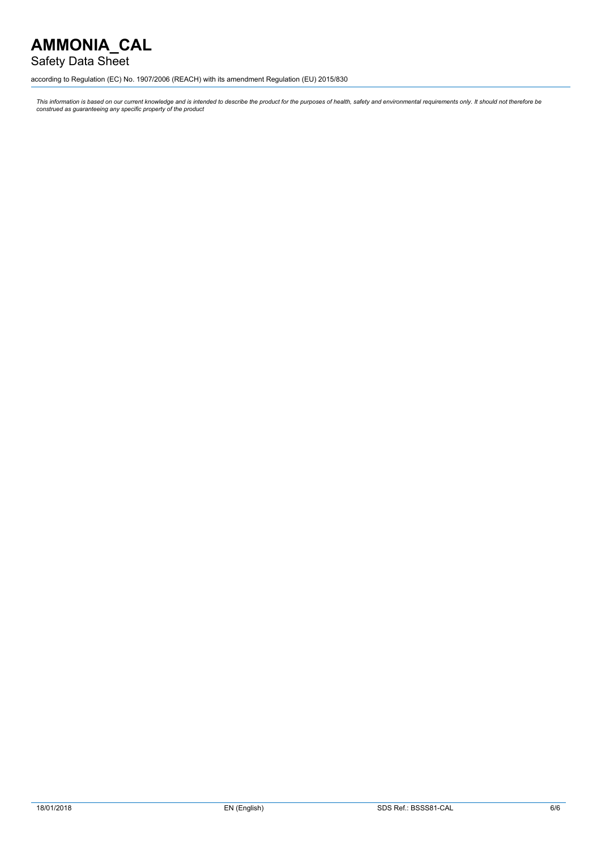## Safety Data Sheet

according to Regulation (EC) No. 1907/2006 (REACH) with its amendment Regulation (EU) 2015/830

This information is based on our current knowledge and is intended to describe the product for the purposes of health, safety and environmental requirements only. It should not therefore be<br>construed as guaranteeing any sp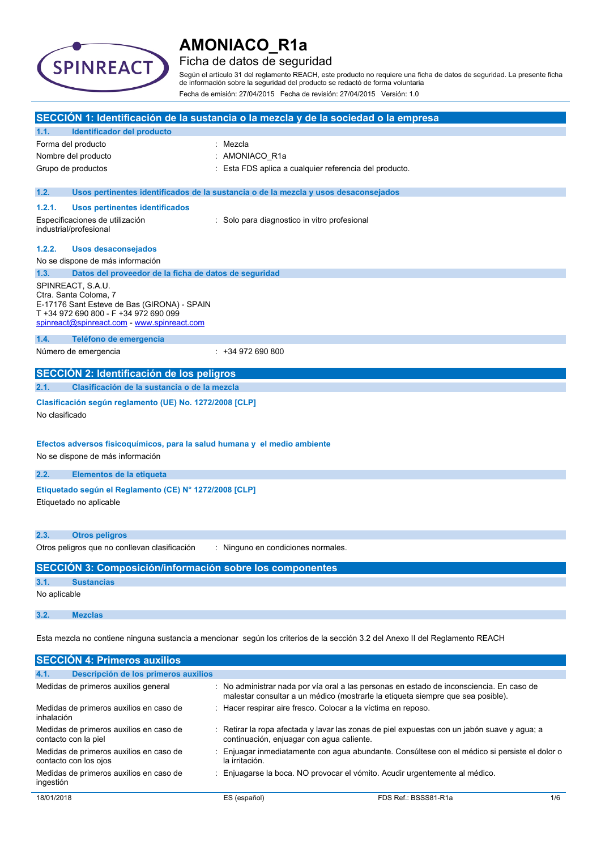

## Ficha de datos de seguridad

Según el artículo 31 del reglamento REACH, este producto no requiere una ficha de datos de seguridad. La presente ficha de información sobre la seguridad del producto se redactó de forma voluntaria Fecha de emisión: 27/04/2015 Fecha de revisión: 27/04/2015 Versión: 1.0

| SECCIÓN 1: Identificación de la sustancia o la mezcla y de la sociedad o la empresa |                                                                                                                                                                                   |                                                                                                                                                                             |  |
|-------------------------------------------------------------------------------------|-----------------------------------------------------------------------------------------------------------------------------------------------------------------------------------|-----------------------------------------------------------------------------------------------------------------------------------------------------------------------------|--|
| 1.1.                                                                                | Identificador del producto                                                                                                                                                        |                                                                                                                                                                             |  |
|                                                                                     | Forma del producto                                                                                                                                                                | : Mezcla                                                                                                                                                                    |  |
|                                                                                     | Nombre del producto                                                                                                                                                               | AMONIACO R1a                                                                                                                                                                |  |
|                                                                                     | Grupo de productos                                                                                                                                                                | Esta FDS aplica a cualquier referencia del producto.                                                                                                                        |  |
| 1.2.                                                                                |                                                                                                                                                                                   | Usos pertinentes identificados de la sustancia o de la mezcla y usos desaconsejados                                                                                         |  |
| 1.2.1.                                                                              | Usos pertinentes identificados                                                                                                                                                    |                                                                                                                                                                             |  |
|                                                                                     | Especificaciones de utilización<br>industrial/profesional                                                                                                                         | : Solo para diagnostico in vitro profesional                                                                                                                                |  |
| 1.2.2.                                                                              | <b>Usos desaconsejados</b>                                                                                                                                                        |                                                                                                                                                                             |  |
|                                                                                     | No se dispone de más información                                                                                                                                                  |                                                                                                                                                                             |  |
| 1.3.                                                                                | Datos del proveedor de la ficha de datos de seguridad                                                                                                                             |                                                                                                                                                                             |  |
|                                                                                     | SPINREACT, S.A.U.<br>Ctra. Santa Coloma, 7<br>E-17176 Sant Esteve de Bas (GIRONA) - SPAIN<br>T +34 972 690 800 - F +34 972 690 099<br>spinreact@spinreact.com - www.spinreact.com |                                                                                                                                                                             |  |
| 1.4.                                                                                | Teléfono de emergencia                                                                                                                                                            |                                                                                                                                                                             |  |
|                                                                                     | Número de emergencia                                                                                                                                                              | $: +34972690800$                                                                                                                                                            |  |
|                                                                                     | SECCIÓN 2: Identificación de los peligros                                                                                                                                         |                                                                                                                                                                             |  |
| 2.1.                                                                                | Clasificación de la sustancia o de la mezcla                                                                                                                                      |                                                                                                                                                                             |  |
| No clasificado                                                                      | Clasificación según reglamento (UE) No. 1272/2008 [CLP]<br>Efectos adversos fisicoquímicos, para la salud humana y el medio ambiente                                              |                                                                                                                                                                             |  |
|                                                                                     | No se dispone de más información                                                                                                                                                  |                                                                                                                                                                             |  |
| 2.2.                                                                                | Elementos de la etiqueta                                                                                                                                                          |                                                                                                                                                                             |  |
|                                                                                     | Etiquetado según el Reglamento (CE) Nº 1272/2008 [CLP]<br>Etiquetado no aplicable                                                                                                 |                                                                                                                                                                             |  |
| 2.3.                                                                                | <b>Otros peligros</b>                                                                                                                                                             |                                                                                                                                                                             |  |
|                                                                                     | Otros peligros que no conllevan clasificación                                                                                                                                     | : Ninguno en condiciones normales.                                                                                                                                          |  |
|                                                                                     | SECCIÓN 3: Composición/información sobre los componentes                                                                                                                          |                                                                                                                                                                             |  |
| 3.1.                                                                                | <b>Sustancias</b>                                                                                                                                                                 |                                                                                                                                                                             |  |
| No aplicable                                                                        |                                                                                                                                                                                   |                                                                                                                                                                             |  |
| 3.2.                                                                                | <b>Mezclas</b>                                                                                                                                                                    |                                                                                                                                                                             |  |
|                                                                                     |                                                                                                                                                                                   | Esta mezcla no contiene ninguna sustancia a mencionar según los criterios de la sección 3.2 del Anexo II del Reglamento REACH                                               |  |
|                                                                                     | <b>SECCIÓN 4: Primeros auxilios</b>                                                                                                                                               |                                                                                                                                                                             |  |
| 4.1.                                                                                | Descripción de los primeros auxilios                                                                                                                                              |                                                                                                                                                                             |  |
|                                                                                     | Medidas de primeros auxilios general                                                                                                                                              | : No administrar nada por vía oral a las personas en estado de inconsciencia. En caso de<br>malestar consultar a un médico (mostrarle la etiqueta siempre que sea posible). |  |
| inhalación                                                                          | Medidas de primeros auxilios en caso de                                                                                                                                           | Hacer respirar aire fresco. Colocar a la víctima en reposo.                                                                                                                 |  |
|                                                                                     | Medidas de primeros auxilios en caso de                                                                                                                                           | : Retirar la ropa afectada y lavar las zonas de piel expuestas con un jabón suave y agua; a                                                                                 |  |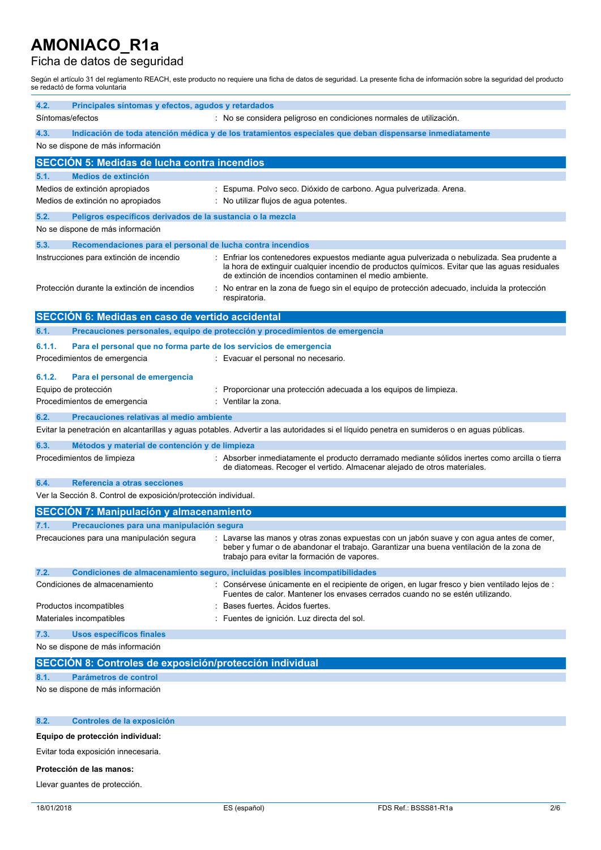## Ficha de datos de seguridad

Según el artículo 31 del reglamento REACH, este producto no requiere una ficha de datos de seguridad. La presente ficha de información sobre la seguridad del producto se redactó de forma voluntaria

| 4.2.<br>Principales síntomas y efectos, agudos y retardados                  |                                                                                                                                                                                                                                                        |
|------------------------------------------------------------------------------|--------------------------------------------------------------------------------------------------------------------------------------------------------------------------------------------------------------------------------------------------------|
| Síntomas/efectos                                                             | : No se considera peligroso en condiciones normales de utilización.                                                                                                                                                                                    |
| 4.3.<br>No se dispone de más información                                     | Indicación de toda atención médica y de los tratamientos especiales que deban dispensarse inmediatamente                                                                                                                                               |
| <b>SECCIÓN 5: Medidas de lucha contra incendios</b>                          |                                                                                                                                                                                                                                                        |
| <b>Medios de extinción</b><br>5.1.                                           |                                                                                                                                                                                                                                                        |
| Medios de extinción apropiados                                               | Espuma. Polvo seco. Dióxido de carbono. Agua pulverizada. Arena.                                                                                                                                                                                       |
| Medios de extinción no apropiados                                            | No utilizar flujos de agua potentes.                                                                                                                                                                                                                   |
| 5.2.<br>Peligros específicos derivados de la sustancia o la mezcla           |                                                                                                                                                                                                                                                        |
| No se dispone de más información                                             |                                                                                                                                                                                                                                                        |
| 5.3.<br>Recomendaciones para el personal de lucha contra incendios           |                                                                                                                                                                                                                                                        |
| Instrucciones para extinción de incendio                                     | Enfriar los contenedores expuestos mediante agua pulverizada o nebulizada. Sea prudente a<br>la hora de extinguir cualquier incendio de productos químicos. Evitar que las aguas residuales<br>de extinción de incendios contaminen el medio ambiente. |
| Protección durante la extinción de incendios                                 | No entrar en la zona de fuego sin el equipo de protección adecuado, incluida la protección<br>÷<br>respiratoria.                                                                                                                                       |
| SECCIÓN 6: Medidas en caso de vertido accidental                             |                                                                                                                                                                                                                                                        |
| 6.1.                                                                         | Precauciones personales, equipo de protección y procedimientos de emergencia                                                                                                                                                                           |
| 6.1.1.<br>Para el personal que no forma parte de los servicios de emergencia |                                                                                                                                                                                                                                                        |
| Procedimientos de emergencia                                                 | : Evacuar el personal no necesario.                                                                                                                                                                                                                    |
| 6.1.2.<br>Para el personal de emergencia                                     |                                                                                                                                                                                                                                                        |
| Equipo de protección                                                         | Proporcionar una protección adecuada a los equipos de limpieza.                                                                                                                                                                                        |
| Procedimientos de emergencia                                                 | Ventilar la zona.                                                                                                                                                                                                                                      |
| Precauciones relativas al medio ambiente<br>6.2.                             |                                                                                                                                                                                                                                                        |
|                                                                              | Evitar la penetración en alcantarillas y aguas potables. Advertir a las autoridades si el líquido penetra en sumideros o en aguas públicas.                                                                                                            |
| 6.3.<br>Métodos y material de contención y de limpieza                       |                                                                                                                                                                                                                                                        |
| Procedimientos de limpieza                                                   | : Absorber inmediatamente el producto derramado mediante sólidos inertes como arcilla o tierra<br>de diatomeas. Recoger el vertido. Almacenar alejado de otros materiales.                                                                             |
| Referencia a otras secciones<br>6.4.                                         |                                                                                                                                                                                                                                                        |
| Ver la Sección 8. Control de exposición/protección individual.               |                                                                                                                                                                                                                                                        |
| <b>SECCIÓN 7: Manipulación y almacenamiento</b>                              |                                                                                                                                                                                                                                                        |
| Precauciones para una manipulación segura<br>7.1.                            |                                                                                                                                                                                                                                                        |
| Precauciones para una manipulación segura                                    | : Lavarse las manos y otras zonas expuestas con un jabón suave y con agua antes de comer,<br>beber y fumar o de abandonar el trabajo. Garantizar una buena ventilación de la zona de<br>trabajo para evitar la formación de vapores.                   |
| 7.2.                                                                         | Condiciones de almacenamiento seguro, incluidas posibles incompatibilidades                                                                                                                                                                            |
| Condiciones de almacenamiento                                                | : Consérvese únicamente en el recipiente de origen, en lugar fresco y bien ventilado lejos de :<br>Fuentes de calor. Mantener los envases cerrados cuando no se estén utilizando.                                                                      |
| Productos incompatibles                                                      | Bases fuertes. Acidos fuertes.                                                                                                                                                                                                                         |
| Materiales incompatibles                                                     | Fuentes de ignición. Luz directa del sol.                                                                                                                                                                                                              |
| 7.3.<br>Usos específicos finales                                             |                                                                                                                                                                                                                                                        |
| No se dispone de más información                                             |                                                                                                                                                                                                                                                        |
| SECCIÓN 8: Controles de exposición/protección individual                     |                                                                                                                                                                                                                                                        |
| Parámetros de control<br>8.1.<br>No se dispone de más información            |                                                                                                                                                                                                                                                        |
|                                                                              |                                                                                                                                                                                                                                                        |
|                                                                              |                                                                                                                                                                                                                                                        |
| 8.2.<br>Controles de la exposición                                           |                                                                                                                                                                                                                                                        |
| Equipo de protección individual:                                             |                                                                                                                                                                                                                                                        |

Evitar toda exposición innecesaria.

#### **Protección de las manos:**

Llevar guantes de protección.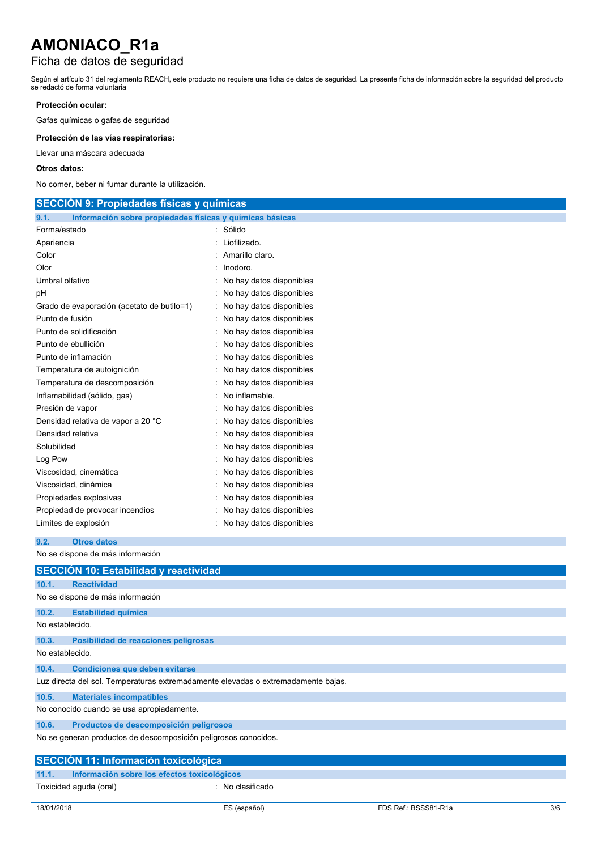# Ficha de datos de seguridad

Según el artículo 31 del reglamento REACH, este producto no requiere una ficha de datos de seguridad. La presente ficha de información sobre la seguridad del producto se redactó de forma voluntaria

## **Protección ocular:**

Gafas químicas o gafas de seguridad

**Protección de las vías respiratorias:**

Llevar una máscara adecuada

### **Otros datos:**

No comer, beber ni fumar durante la utilización.

| <b>SECCION 9: Propiedades físicas y químicas</b>                 |                            |  |  |  |
|------------------------------------------------------------------|----------------------------|--|--|--|
| Información sobre propiedades físicas y químicas básicas<br>9.1. |                            |  |  |  |
| Forma/estado                                                     | : Sólido                   |  |  |  |
| Apariencia                                                       | Liofilizado.               |  |  |  |
| Color                                                            | Amarillo claro.            |  |  |  |
| Olor                                                             | Inodoro.                   |  |  |  |
| Umbral olfativo                                                  | No hay datos disponibles   |  |  |  |
| pH                                                               | : No hay datos disponibles |  |  |  |
| Grado de evaporación (acetato de butilo=1)                       | : No hay datos disponibles |  |  |  |
| Punto de fusión                                                  | : No hay datos disponibles |  |  |  |
| Punto de solidificación                                          | : No hay datos disponibles |  |  |  |
| Punto de ebullición                                              | No hay datos disponibles   |  |  |  |
| Punto de inflamación                                             | No hay datos disponibles   |  |  |  |
| Temperatura de autoignición                                      | : No hay datos disponibles |  |  |  |
| Temperatura de descomposición                                    | No hay datos disponibles   |  |  |  |
| Inflamabilidad (sólido, gas)                                     | No inflamable.             |  |  |  |
| Presión de vapor                                                 | : No hay datos disponibles |  |  |  |
| Densidad relativa de vapor a 20 °C                               | : No hay datos disponibles |  |  |  |
| Densidad relativa                                                | No hay datos disponibles   |  |  |  |
| Solubilidad                                                      | : No hay datos disponibles |  |  |  |
| Log Pow                                                          | No hay datos disponibles   |  |  |  |
| Viscosidad, cinemática                                           | No hay datos disponibles   |  |  |  |
| Viscosidad, dinámica                                             | : No hay datos disponibles |  |  |  |
| Propiedades explosivas                                           | No hay datos disponibles   |  |  |  |
| Propiedad de provocar incendios                                  | No hay datos disponibles   |  |  |  |
| Límites de explosión                                             | No hay datos disponibles   |  |  |  |

**9.2. Otros datos**

No se dispone de más información

|                                                                 | <b>SECCION 10: Estabilidad y reactividad</b>                                      |  |  |  |  |  |  |
|-----------------------------------------------------------------|-----------------------------------------------------------------------------------|--|--|--|--|--|--|
| 10.1.                                                           | <b>Reactividad</b>                                                                |  |  |  |  |  |  |
|                                                                 | No se dispone de más información                                                  |  |  |  |  |  |  |
| 10.2.                                                           | <b>Estabilidad química</b>                                                        |  |  |  |  |  |  |
|                                                                 | No establecido.                                                                   |  |  |  |  |  |  |
| 10.3.                                                           | Posibilidad de reacciones peligrosas                                              |  |  |  |  |  |  |
| No establecido.                                                 |                                                                                   |  |  |  |  |  |  |
| 10.4.                                                           | <b>Condiciones que deben evitarse</b>                                             |  |  |  |  |  |  |
|                                                                 | Luz directa del sol. Temperaturas extremadamente elevadas o extremadamente bajas. |  |  |  |  |  |  |
| 10.5.                                                           | <b>Materiales incompatibles</b>                                                   |  |  |  |  |  |  |
| No conocido cuando se usa apropiadamente.                       |                                                                                   |  |  |  |  |  |  |
| 10.6.                                                           | Productos de descomposición peligrosos                                            |  |  |  |  |  |  |
| No se generan productos de descomposición peligrosos conocidos. |                                                                                   |  |  |  |  |  |  |
|                                                                 | <b>SECCIÓN 11: Información toxicológica</b>                                       |  |  |  |  |  |  |
| 11.1.                                                           | Información sobre los efectos toxicológicos                                       |  |  |  |  |  |  |
|                                                                 | Toxicidad aguda (oral)<br>: No clasificado                                        |  |  |  |  |  |  |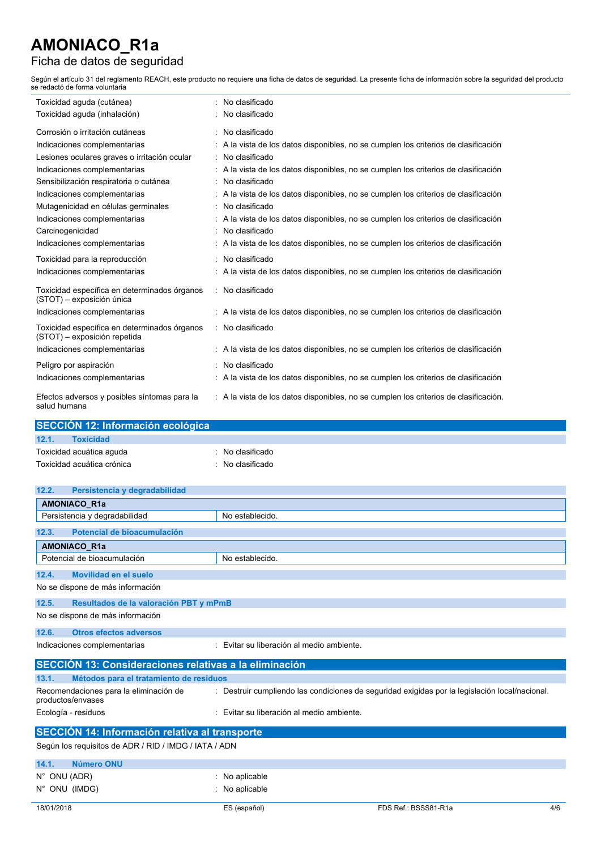# Ficha de datos de seguridad

Según el artículo 31 del reglamento REACH, este producto no requiere una ficha de datos de seguridad. La presente ficha de información sobre la seguridad del producto se redactó de forma voluntaria

| Toxicidad aguda (cutánea)                                                    | No clasificado                                                                       |
|------------------------------------------------------------------------------|--------------------------------------------------------------------------------------|
| Toxicidad aguda (inhalación)                                                 | No clasificado                                                                       |
| Corrosión o irritación cutáneas                                              | : No clasificado                                                                     |
| Indicaciones complementarias                                                 | A la vista de los datos disponibles, no se cumplen los criterios de clasificación    |
| Lesiones oculares graves o irritación ocular                                 | No clasificado                                                                       |
| Indicaciones complementarias                                                 | : A la vista de los datos disponibles, no se cumplen los criterios de clasificación  |
| Sensibilización respiratoria o cutánea                                       | : No clasificado                                                                     |
| Indicaciones complementarias                                                 | : A la vista de los datos disponibles, no se cumplen los criterios de clasificación  |
| Mutagenicidad en células germinales                                          | : No clasificado                                                                     |
| Indicaciones complementarias                                                 | A la vista de los datos disponibles, no se cumplen los criterios de clasificación    |
| Carcinogenicidad                                                             | No clasificado                                                                       |
| Indicaciones complementarias                                                 | : A la vista de los datos disponibles, no se cumplen los criterios de clasificación  |
| Toxicidad para la reproducción                                               | : No clasificado                                                                     |
| Indicaciones complementarias                                                 | : A la vista de los datos disponibles, no se cumplen los criterios de clasificación  |
| Toxicidad específica en determinados órganos<br>(STOT) - exposición única    | No clasificado                                                                       |
| Indicaciones complementarias                                                 | : A la vista de los datos disponibles, no se cumplen los criterios de clasificación  |
| Toxicidad específica en determinados órganos<br>(STOT) - exposición repetida | : No clasificado                                                                     |
| Indicaciones complementarias                                                 | : A la vista de los datos disponibles, no se cumplen los criterios de clasificación  |
| Peligro por aspiración                                                       | No clasificado                                                                       |
| Indicaciones complementarias                                                 | : A la vista de los datos disponibles, no se cumplen los criterios de clasificación  |
| Efectos adversos y posibles síntomas para la<br>salud humana                 | : A la vista de los datos disponibles, no se cumplen los criterios de clasificación. |

| SECCIÓN 12: Información ecológica |                             |  |  |  |  |
|-----------------------------------|-----------------------------|--|--|--|--|
| 12.1.<br><b>Toxicidad</b>         |                             |  |  |  |  |
| Toxicidad acuática aguda          | $\therefore$ No clasificado |  |  |  |  |
| Toxicidad acuática crónica        | : No clasificado            |  |  |  |  |

| 12.2.<br>Persistencia y degradabilidad                        |                                                                                                |  |  |  |  |
|---------------------------------------------------------------|------------------------------------------------------------------------------------------------|--|--|--|--|
| <b>AMONIACO R1a</b>                                           |                                                                                                |  |  |  |  |
| Persistencia y degradabilidad                                 | No establecido.                                                                                |  |  |  |  |
| Potencial de bioacumulación<br>12.3.                          |                                                                                                |  |  |  |  |
| <b>AMONIACO R1a</b>                                           |                                                                                                |  |  |  |  |
| Potencial de bioacumulación                                   | No establecido.                                                                                |  |  |  |  |
| Movilidad en el suelo<br>12.4.                                |                                                                                                |  |  |  |  |
| No se dispone de más información                              |                                                                                                |  |  |  |  |
| 12.5.                                                         | Resultados de la valoración PBT y mPmB                                                         |  |  |  |  |
| No se dispone de más información                              |                                                                                                |  |  |  |  |
| <b>Otros efectos adversos</b><br>12.6.                        |                                                                                                |  |  |  |  |
| Indicaciones complementarias                                  | : Evitar su liberación al medio ambiente.                                                      |  |  |  |  |
| <b>SECCIÓN 13: Consideraciones relativas a la eliminación</b> |                                                                                                |  |  |  |  |
| 13.1.<br>Métodos para el tratamiento de residuos              |                                                                                                |  |  |  |  |
| Recomendaciones para la eliminación de<br>productos/envases   | : Destruir cumpliendo las condiciones de seguridad exigidas por la legislación local/nacional. |  |  |  |  |
| Ecología - residuos                                           | : Evitar su liberación al medio ambiente.                                                      |  |  |  |  |
| SECCIÓN 14: Información relativa al transporte                |                                                                                                |  |  |  |  |
| Según los requisitos de ADR / RID / IMDG / IATA / ADN         |                                                                                                |  |  |  |  |
| 14.1.<br>Número ONU                                           |                                                                                                |  |  |  |  |

| $N^{\circ}$ ONU (ADR)<br>$N^{\circ}$ ONU (IMDG) | $\therefore$ No aplicable<br>$:$ No aplicable |                             |  |
|-------------------------------------------------|-----------------------------------------------|-----------------------------|--|
| 18/01/2018                                      | ES (español)                                  | FDS Ref.: BSSS81-R1a<br>4/6 |  |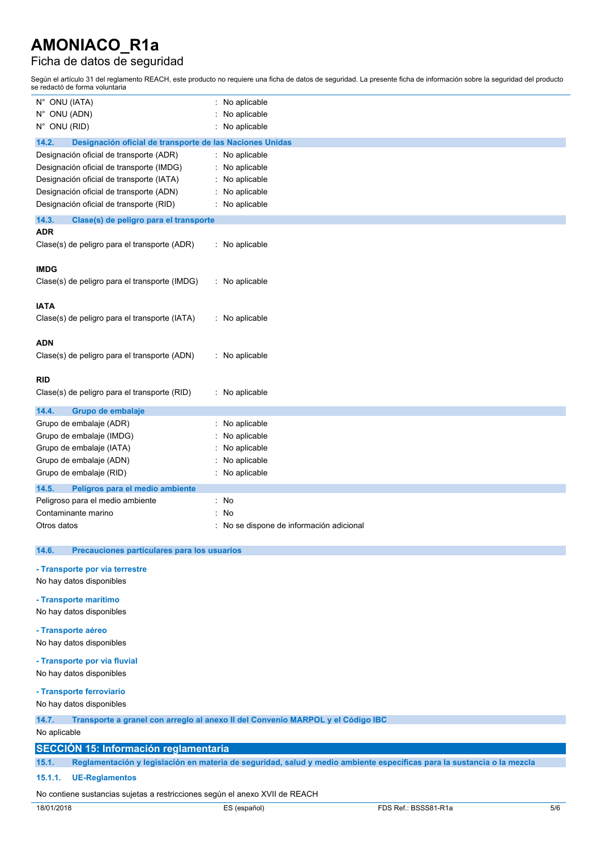# Ficha de datos de seguridad

Según el artículo 31 del reglamento REACH, este producto no requiere una ficha de datos de seguridad. La presente ficha de información sobre la seguridad del producto se redactó de forma voluntaria

| N° ONU (IATA)                                                               | No aplicable                                                                                                           |  |  |
|-----------------------------------------------------------------------------|------------------------------------------------------------------------------------------------------------------------|--|--|
| N° ONU (ADN)                                                                | No aplicable                                                                                                           |  |  |
| N° ONU (RID)                                                                | No aplicable                                                                                                           |  |  |
| 14.2.<br>Designación oficial de transporte de las Naciones Unidas           |                                                                                                                        |  |  |
| Designación oficial de transporte (ADR)                                     | : No aplicable                                                                                                         |  |  |
| Designación oficial de transporte (IMDG)                                    | No aplicable                                                                                                           |  |  |
| Designación oficial de transporte (IATA)                                    | No aplicable                                                                                                           |  |  |
| Designación oficial de transporte (ADN)                                     | No aplicable                                                                                                           |  |  |
| Designación oficial de transporte (RID)                                     | No aplicable                                                                                                           |  |  |
| 14.3.<br>Clase(s) de peligro para el transporte                             |                                                                                                                        |  |  |
| ADR                                                                         |                                                                                                                        |  |  |
| Clase(s) de peligro para el transporte (ADR)                                | No aplicable                                                                                                           |  |  |
| <b>IMDG</b>                                                                 |                                                                                                                        |  |  |
| Clase(s) de peligro para el transporte (IMDG)                               | : No aplicable                                                                                                         |  |  |
|                                                                             |                                                                                                                        |  |  |
| <b>IATA</b>                                                                 |                                                                                                                        |  |  |
| Clase(s) de peligro para el transporte (IATA)                               | : No aplicable                                                                                                         |  |  |
|                                                                             |                                                                                                                        |  |  |
| <b>ADN</b>                                                                  |                                                                                                                        |  |  |
| Clase(s) de peligro para el transporte (ADN)                                | : No aplicable                                                                                                         |  |  |
|                                                                             |                                                                                                                        |  |  |
| RID                                                                         |                                                                                                                        |  |  |
| Clase(s) de peligro para el transporte (RID)                                | No aplicable                                                                                                           |  |  |
| 14.4.<br>Grupo de embalaje                                                  |                                                                                                                        |  |  |
| Grupo de embalaje (ADR)                                                     | : No aplicable                                                                                                         |  |  |
| Grupo de embalaje (IMDG)                                                    | No aplicable                                                                                                           |  |  |
| Grupo de embalaje (IATA)                                                    | No aplicable                                                                                                           |  |  |
| Grupo de embalaje (ADN)                                                     | No aplicable                                                                                                           |  |  |
| Grupo de embalaje (RID)                                                     | No aplicable                                                                                                           |  |  |
| 14.5.<br>Peligros para el medio ambiente                                    |                                                                                                                        |  |  |
| Peligroso para el medio ambiente                                            | No                                                                                                                     |  |  |
| Contaminante marino                                                         | No                                                                                                                     |  |  |
| Otros datos                                                                 | No se dispone de información adicional                                                                                 |  |  |
|                                                                             |                                                                                                                        |  |  |
| 14.6.<br>Precauciones particulares para los usuarios                        |                                                                                                                        |  |  |
| - Transporte por vía terrestre                                              |                                                                                                                        |  |  |
| No hay datos disponibles                                                    |                                                                                                                        |  |  |
| - Transporte marítimo                                                       |                                                                                                                        |  |  |
| No hay datos disponibles                                                    |                                                                                                                        |  |  |
| - Transporte aéreo                                                          |                                                                                                                        |  |  |
| No hay datos disponibles                                                    |                                                                                                                        |  |  |
|                                                                             |                                                                                                                        |  |  |
| - Transporte por vía fluvial                                                |                                                                                                                        |  |  |
| No hay datos disponibles                                                    |                                                                                                                        |  |  |
| - Transporte ferroviario                                                    |                                                                                                                        |  |  |
| No hay datos disponibles                                                    |                                                                                                                        |  |  |
| 14.7.                                                                       | Transporte a granel con arregio al anexo II del Convenio MARPOL y el Código IBC                                        |  |  |
| No aplicable                                                                |                                                                                                                        |  |  |
| <b>SECCIÓN 15: Información reglamentaria</b>                                |                                                                                                                        |  |  |
| 15.1.                                                                       | Reglamentación y legislación en materia de seguridad, salud y medio ambiente específicas para la sustancia o la mezcla |  |  |
| 15.1.1.<br><b>UE-Reglamentos</b>                                            |                                                                                                                        |  |  |
|                                                                             |                                                                                                                        |  |  |
| No contiene sustancias sujetas a restricciones según el anexo XVII de REACH |                                                                                                                        |  |  |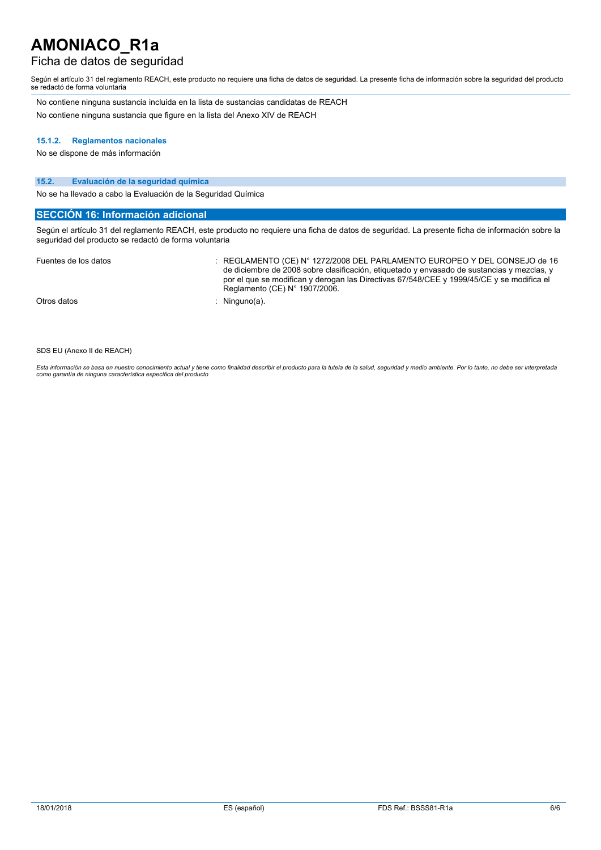## Ficha de datos de seguridad

Según el artículo 31 del reglamento REACH, este producto no requiere una ficha de datos de seguridad. La presente ficha de información sobre la seguridad del producto se redactó de forma voluntaria

No contiene ninguna sustancia incluida en la lista de sustancias candidatas de REACH No contiene ninguna sustancia que figure en la lista del Anexo XIV de REACH

#### **15.1.2. Reglamentos nacionales**

No se dispone de más información

### **15.2. Evaluación de la seguridad química**

No se ha llevado a cabo la Evaluación de la Seguridad Química

### **SECCIÓN 16: Información adicional**

Según el artículo 31 del reglamento REACH, este producto no requiere una ficha de datos de seguridad. La presente ficha de información sobre la seguridad del producto se redactó de forma voluntaria

| Fuentes de los datos | REGLAMENTO (CE) N° 1272/2008 DEL PARLAMENTO EUROPEO Y DEL CONSEJO de 16<br>de diciembre de 2008 sobre clasificación, etiquetado y envasado de sustancias y mezclas, y<br>por el que se modifican y derogan las Directivas 67/548/CEE y 1999/45/CE y se modifica el<br>Reglamento (CE) $N^{\circ}$ 1907/2006. |
|----------------------|--------------------------------------------------------------------------------------------------------------------------------------------------------------------------------------------------------------------------------------------------------------------------------------------------------------|
| Otros datos          | · Ninguno(a).                                                                                                                                                                                                                                                                                                |

SDS EU (Anexo II de REACH)

Esta información se basa en nuestro conocimiento actual y tiene como finalidad describir el producto para la tutela de la salud, seguridad y medio ambiente. Por lo tanto, no debe ser interpretada<br>como garantía de ninguna c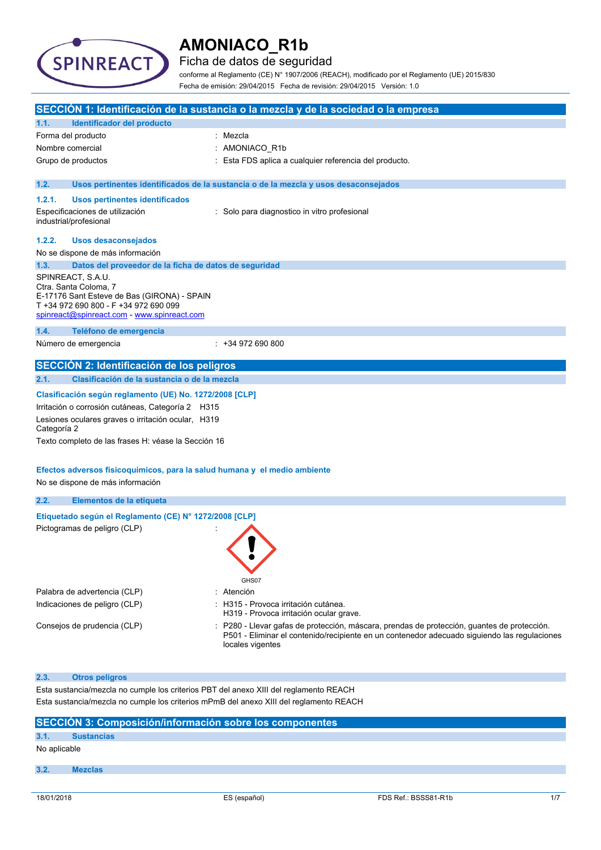

Ficha de datos de seguridad

conforme al Reglamento (CE) N° 1907/2006 (REACH), modificado por el Reglamento (UE) 2015/830 Fecha de emisión: 29/04/2015 Fecha de revisión: 29/04/2015 Versión: 1.0

|             |                                                                                                                                                                                   | SECCIÓN 1: Identificación de la sustancia o la mezcla y de la sociedad o la empresa                                                                                                                           |
|-------------|-----------------------------------------------------------------------------------------------------------------------------------------------------------------------------------|---------------------------------------------------------------------------------------------------------------------------------------------------------------------------------------------------------------|
| 1.1.        | Identificador del producto                                                                                                                                                        |                                                                                                                                                                                                               |
|             | Forma del producto                                                                                                                                                                | : Mezcla                                                                                                                                                                                                      |
|             | Nombre comercial                                                                                                                                                                  | AMONIACO_R1b                                                                                                                                                                                                  |
|             | Grupo de productos                                                                                                                                                                | Esta FDS aplica a cualquier referencia del producto.                                                                                                                                                          |
|             |                                                                                                                                                                                   |                                                                                                                                                                                                               |
| 1.2.        |                                                                                                                                                                                   | Usos pertinentes identificados de la sustancia o de la mezcla y usos desaconsejados                                                                                                                           |
| 1.2.1.      | <b>Usos pertinentes identificados</b>                                                                                                                                             |                                                                                                                                                                                                               |
|             | Especificaciones de utilización<br>industrial/profesional                                                                                                                         | : Solo para diagnostico in vitro profesional                                                                                                                                                                  |
| 1.2.2.      | <b>Usos desaconsejados</b>                                                                                                                                                        |                                                                                                                                                                                                               |
|             | No se dispone de más información                                                                                                                                                  |                                                                                                                                                                                                               |
| 1.3.        | Datos del proveedor de la ficha de datos de seguridad                                                                                                                             |                                                                                                                                                                                                               |
|             | SPINREACT, S.A.U.<br>Ctra. Santa Coloma, 7<br>E-17176 Sant Esteve de Bas (GIRONA) - SPAIN<br>T +34 972 690 800 - F +34 972 690 099<br>spinreact@spinreact.com - www.spinreact.com |                                                                                                                                                                                                               |
| 1.4.        | Teléfono de emergencia                                                                                                                                                            |                                                                                                                                                                                                               |
|             | Número de emergencia                                                                                                                                                              | $: +34972690800$                                                                                                                                                                                              |
|             | <b>SECCIÓN 2: Identificación de los peligros</b>                                                                                                                                  |                                                                                                                                                                                                               |
| 2.1.        | Clasificación de la sustancia o de la mezcla                                                                                                                                      |                                                                                                                                                                                                               |
|             | Clasificación según reglamento (UE) No. 1272/2008 [CLP]                                                                                                                           |                                                                                                                                                                                                               |
|             | Irritación o corrosión cutáneas, Categoría 2 H315                                                                                                                                 |                                                                                                                                                                                                               |
| Categoría 2 | Lesiones oculares graves o irritación ocular, H319                                                                                                                                |                                                                                                                                                                                                               |
|             | Texto completo de las frases H: véase la Sección 16                                                                                                                               |                                                                                                                                                                                                               |
|             | Efectos adversos fisicoquímicos, para la salud humana y el medio ambiente<br>No se dispone de más información                                                                     |                                                                                                                                                                                                               |
| 2.2.        | Elementos de la etiqueta                                                                                                                                                          |                                                                                                                                                                                                               |
|             | Etiquetado según el Reglamento (CE) Nº 1272/2008 [CLP]                                                                                                                            |                                                                                                                                                                                                               |
|             | Pictogramas de peligro (CLP)                                                                                                                                                      | GHS07                                                                                                                                                                                                         |
|             | Palabra de advertencia (CLP)                                                                                                                                                      | Atención                                                                                                                                                                                                      |
|             | Indicaciones de peligro (CLP)                                                                                                                                                     | : H315 - Provoca irritación cutánea.<br>H319 - Provoca irritación ocular grave.                                                                                                                               |
|             | Consejos de prudencia (CLP)                                                                                                                                                       | P280 - Llevar gafas de protección, máscara, prendas de protección, quantes de protección.<br>P501 - Eliminar el contenido/recipiente en un contenedor adecuado siguiendo las regulaciones<br>locales vigentes |
| 2.3.        | <b>Otros peligros</b>                                                                                                                                                             |                                                                                                                                                                                                               |
|             | Esta sustancia/mezcla no cumple los criterios PBT del anexo XIII del reglamento REACH                                                                                             |                                                                                                                                                                                                               |
|             |                                                                                                                                                                                   | Esta sustancia/mezcla no cumple los criterios mPmB del anexo XIII del reglamento REACH                                                                                                                        |

|              | SECCIÓN 3: Composición/información sobre los componentes |              |                      |     |
|--------------|----------------------------------------------------------|--------------|----------------------|-----|
| 3.1.         | <b>Sustancias</b>                                        |              |                      |     |
| No aplicable |                                                          |              |                      |     |
| 3.2.         | <b>Mezclas</b>                                           |              |                      |     |
|              |                                                          |              |                      |     |
| 18/01/2018   |                                                          | ES (español) | FDS Ref.: BSSS81-R1b | 1/7 |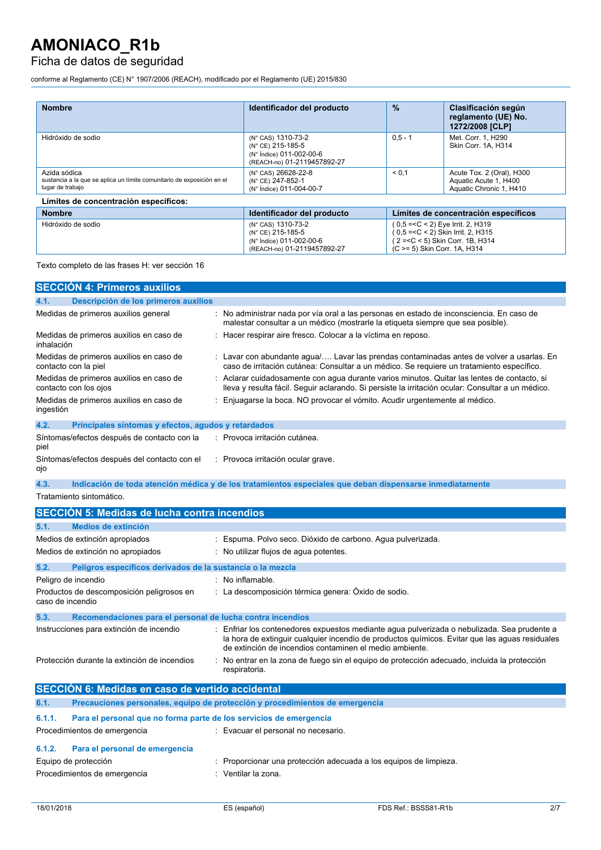## Ficha de datos de seguridad

conforme al Reglamento (CE) N° 1907/2006 (REACH), modificado por el Reglamento (UE) 2015/830

| <b>Nombre</b>                                                                                              | Identificador del producto                                                                         | %         | Clasificación según<br>reglamento (UE) No.<br>1272/2008 [CLP]                                                                                   |
|------------------------------------------------------------------------------------------------------------|----------------------------------------------------------------------------------------------------|-----------|-------------------------------------------------------------------------------------------------------------------------------------------------|
| Hidróxido de sodio                                                                                         | (N° CAS) 1310-73-2<br>(N° CE) 215-185-5<br>(N° Índice) 011-002-00-6<br>(REACH-no) 01-2119457892-27 | $0.5 - 1$ | Met. Corr. 1. H290<br>Skin Corr. 1A. H314                                                                                                       |
| Azida sódica<br>sustancia a la que se aplica un límite comunitario de exposición en el<br>lugar de trabajo | (N° CAS) 26628-22-8<br>(N° CE) 247-852-1<br>(N° Índice) 011-004-00-7                               | < 0.1     | Acute Tox. 2 (Oral), H300<br>Aquatic Acute 1, H400<br>Aquatic Chronic 1, H410                                                                   |
| Límites de concentración específicos:                                                                      |                                                                                                    |           |                                                                                                                                                 |
| <b>Nombre</b>                                                                                              | Identificador del producto                                                                         |           | Límites de concentración específicos                                                                                                            |
| Hidróxido de sodio                                                                                         | (N° CAS) 1310-73-2<br>(N° CE) 215-185-5<br>(N° Índice) 011-002-00-6<br>(REACH-no) 01-2119457892-27 |           | (0,5 = < C < 2) Eye Irrit. 2, H319<br>$0.5 = < C < 2$ ) Skin Irrit. 2, H315<br>2 = < C < 5) Skin Corr. 1B, H314<br>(C >= 5) Skin Corr. 1A. H314 |

Texto completo de las frases H: ver sección 16

|            | <b>SECCIÓN 4: Primeros auxilios</b>                              |                                                                                                                                                                                                |
|------------|------------------------------------------------------------------|------------------------------------------------------------------------------------------------------------------------------------------------------------------------------------------------|
| 4.1.       | Descripción de los primeros auxilios                             |                                                                                                                                                                                                |
|            | Medidas de primeros auxilios general                             | No administrar nada por vía oral a las personas en estado de inconsciencia. En caso de<br>malestar consultar a un médico (mostrarle la etiqueta siempre que sea posible).                      |
| inhalación | Medidas de primeros auxilios en caso de                          | : Hacer respirar aire fresco. Colocar a la víctima en reposo.                                                                                                                                  |
|            | Medidas de primeros auxilios en caso de<br>contacto con la piel  | : Lavar con abundante agua/ Lavar las prendas contaminadas antes de volver a usarlas. En<br>caso de irritación cutánea: Consultar a un médico. Se requiere un tratamiento específico.          |
|            | Medidas de primeros auxilios en caso de<br>contacto con los ojos | Aclarar cuidadosamente con aqua durante varios minutos. Quitar las lentes de contacto, si<br>lleva y resulta fácil. Seguir aclarando. Si persiste la irritación ocular: Consultar a un médico. |
| ingestión  | Medidas de primeros auxilios en caso de                          | Enjuagarse la boca. NO provocar el vómito. Acudir urgentemente al médico.                                                                                                                      |
| 4.2.       | Principales síntomas y efectos, agudos y retardados              |                                                                                                                                                                                                |
| piel       | Síntomas/efectos después de contacto con la                      | : Provoca irritación cutánea.                                                                                                                                                                  |
| ojo        | Síntomas/efectos después del contacto con el                     | : Provoca irritación ocular grave.                                                                                                                                                             |
| 4.3.       |                                                                  | Indicación de toda atención médica y de los tratamientos especiales que deban dispensarse inmediatamente                                                                                       |
|            | Tratamiento sintomático.                                         |                                                                                                                                                                                                |
|            | <b>SECCIÓN 5: Medidas de lucha contra incendios</b>              |                                                                                                                                                                                                |
| 5.1.       | Medios de extinción                                              |                                                                                                                                                                                                |
|            | Medios de extinción apropiados                                   | Espuma. Polvo seco. Dióxido de carbono. Agua pulverizada.                                                                                                                                      |
|            | Medios de extinción no apropiados                                | : No utilizar flujos de aqua potentes.                                                                                                                                                         |
| 5.2.       | Peligros específicos derivados de la sustancia o la mezcla       |                                                                                                                                                                                                |
|            | Peligro de incendio                                              | : No inflamable.                                                                                                                                                                               |
|            | Productos de descomposición peligrosos en<br>caso de incendio    | : La descomposición térmica genera: Óxido de sodio.                                                                                                                                            |
| 5.3.       | Recomendaciones para el personal de lucha contra incendios       |                                                                                                                                                                                                |
|            | Instrucciones para extinción de incendio                         | : Enfriar los contenedores expuestos mediante agua pulverizada o nebulizada. Sea prudente a                                                                                                    |

la hora de extinguir cualquier incendio de productos químicos. Evitar que las aguas residuales de extinción de incendios contaminen el medio ambiente.

Protección durante la extinción de incendios : No entrar en la zona de fuego sin el equipo de protección adecuado, incluida la protección respiratoria.

|        | <b>SECCIÓN 6: Medidas en caso de vertido accidental</b>                      |                                                                   |  |  |  |
|--------|------------------------------------------------------------------------------|-------------------------------------------------------------------|--|--|--|
| 6.1.   | Precauciones personales, equipo de protección y procedimientos de emergencia |                                                                   |  |  |  |
| 6.1.1. | Para el personal que no forma parte de los servicios de emergencia           |                                                                   |  |  |  |
|        | Procedimientos de emergencia                                                 | : Evacuar el personal no necesario.                               |  |  |  |
| 6.1.2. | Para el personal de emergencia                                               |                                                                   |  |  |  |
|        | Equipo de protección                                                         | : Proporcionar una protección adecuada a los equipos de limpieza. |  |  |  |
|        | Procedimientos de emergencia                                                 | : Ventilar la zona.                                               |  |  |  |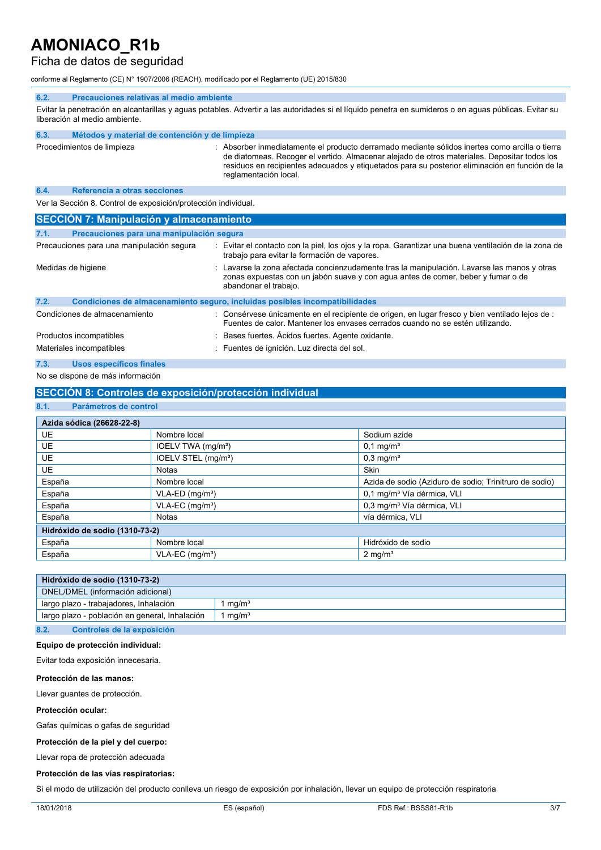## Ficha de datos de seguridad

conforme al Reglamento (CE) N° 1907/2006 (REACH), modificado por el Reglamento (UE) 2015/830

#### **6.2. Precauciones relativas al medio ambiente**

Evitar la penetración en alcantarillas y aguas potables. Advertir a las autoridades si el líquido penetra en sumideros o en aguas públicas. Evitar su liberación al medio ambiente.

| 6.3. | Métodos y material de contención y de limpieza |                                                                                                                                                                                                                                                                                                                           |
|------|------------------------------------------------|---------------------------------------------------------------------------------------------------------------------------------------------------------------------------------------------------------------------------------------------------------------------------------------------------------------------------|
|      | Procedimientos de limpieza                     | : Absorber inmediatamente el producto derramado mediante sólidos inertes como arcilla o tierra<br>de diatomeas. Recoger el vertido. Almacenar alejado de otros materiales. Depositar todos los<br>residuos en recipientes adecuados y etiquetados para su posterior eliminación en función de la<br>reglamentación local. |

#### **6.4. Referencia a otras secciones**

Ver la Sección 8. Control de exposición/protección individual.

|                    | <b>SECCIÓN 7: Manipulación y almacenamiento</b> |  |                                                                                                                                                                                                        |  |
|--------------------|-------------------------------------------------|--|--------------------------------------------------------------------------------------------------------------------------------------------------------------------------------------------------------|--|
| 7.1.               | Precauciones para una manipulación segura       |  |                                                                                                                                                                                                        |  |
|                    | Precauciones para una manipulación segura       |  | Evitar el contacto con la piel, los ojos y la ropa. Garantizar una buena ventilación de la zona de<br>trabajo para evitar la formación de vapores.                                                     |  |
| Medidas de higiene |                                                 |  | Lavarse la zona afectada concienzudamente tras la manipulación. Lavarse las manos y otras<br>zonas expuestas con un jabón suave y con agua antes de comer, beber y fumar o de<br>abandonar el trabajo. |  |
| 7.2.               |                                                 |  | Condiciones de almacenamiento seguro, incluidas posibles incompatibilidades                                                                                                                            |  |
|                    | Condiciones de almacenamiento                   |  | Consérvese únicamente en el recipiente de origen, en lugar fresco y bien ventilado lejos de :<br>Fuentes de calor. Mantener los envases cerrados cuando no se estén utilizando.                        |  |
|                    | Productos incompatibles                         |  | : Bases fuertes. Acidos fuertes. Agente oxidante.                                                                                                                                                      |  |
|                    | Materiales incompatibles                        |  | : Fuentes de ignición. Luz directa del sol.                                                                                                                                                            |  |
| 7.3.               | <b>Usos específicos finales</b>                 |  |                                                                                                                                                                                                        |  |

No se dispone de más información

## **SECCIÓN 8: Controles de exposición/protección individual**

## **8.1. Parámetros de control**

| Azida sódica (26628-22-8)      |                                 |                                                        |  |  |  |
|--------------------------------|---------------------------------|--------------------------------------------------------|--|--|--|
| <b>UE</b>                      | Nombre local                    | Sodium azide                                           |  |  |  |
| <b>UE</b>                      | IOELV TWA (mg/m <sup>3</sup> )  | $0,1 \,\mathrm{mg/m^3}$                                |  |  |  |
| <b>UE</b>                      | IOELV STEL (mg/m <sup>3</sup> ) | $0,3$ mg/m <sup>3</sup>                                |  |  |  |
| <b>UE</b>                      | <b>Notas</b>                    | <b>Skin</b>                                            |  |  |  |
| España                         | Nombre local                    | Azida de sodio (Aziduro de sodio; Trinitruro de sodio) |  |  |  |
| España                         | VLA-ED (mg/m <sup>3</sup> )     | 0,1 mg/m <sup>3</sup> Vía dérmica, VLI                 |  |  |  |
| España                         | $VLA-EC$ (mg/m <sup>3</sup> )   | 0,3 mg/m <sup>3</sup> Vía dérmica, VLI                 |  |  |  |
| España                         | <b>Notas</b>                    | vía dérmica, VLI                                       |  |  |  |
| Hidróxido de sodio (1310-73-2) |                                 |                                                        |  |  |  |
| España                         | Nombre local                    | Hidróxido de sodio                                     |  |  |  |
| España                         | $VLA-EC$ (mg/m <sup>3</sup> )   | $2 \text{ mg/m}^3$                                     |  |  |  |

| Hidróxido de sodio (1310-73-2)                 |                   |  |  |
|------------------------------------------------|-------------------|--|--|
| DNEL/DMEL (información adicional)              |                   |  |  |
| largo plazo - trabajadores, Inhalación         | ma/m <sup>3</sup> |  |  |
| largo plazo - población en general, Inhalación | ma/m <sup>3</sup> |  |  |
|                                                |                   |  |  |

**8.2. Controles de la exposición**

### **Equipo de protección individual:**

Evitar toda exposición innecesaria.

#### **Protección de las manos:**

Llevar guantes de protección.

#### **Protección ocular:**

Gafas químicas o gafas de seguridad

**Protección de la piel y del cuerpo:**

Llevar ropa de protección adecuada

#### **Protección de las vías respiratorias:**

Si el modo de utilización del producto conlleva un riesgo de exposición por inhalación, llevar un equipo de protección respiratoria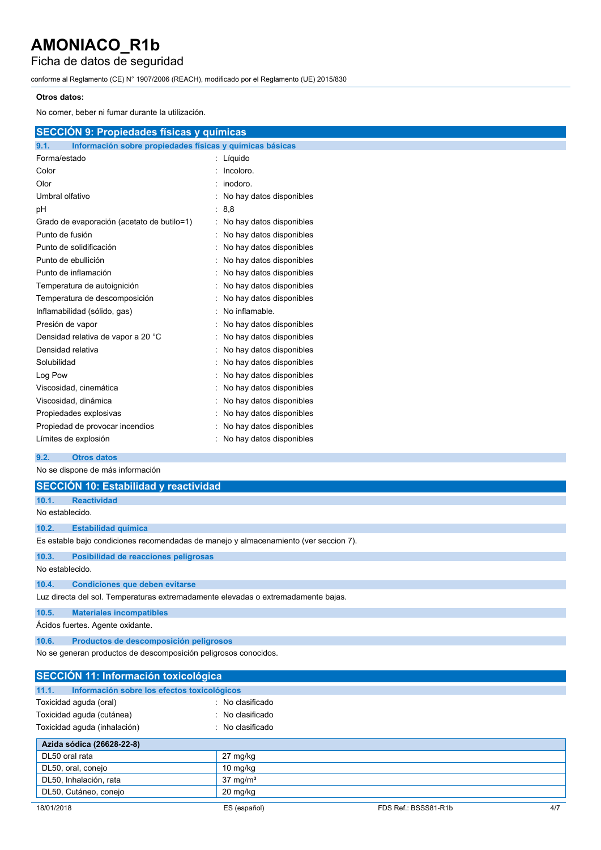Ficha de datos de seguridad

conforme al Reglamento (CE) N° 1907/2006 (REACH), modificado por el Reglamento (UE) 2015/830

### **Otros datos:**

| No comer, beber ni fumar durante la utilización.                 |                          |  |  |  |  |  |
|------------------------------------------------------------------|--------------------------|--|--|--|--|--|
| <b>SECCIÓN 9: Propiedades físicas y químicas</b>                 |                          |  |  |  |  |  |
| Información sobre propiedades físicas y químicas básicas<br>9.1. |                          |  |  |  |  |  |
| Forma/estado                                                     | Líquido                  |  |  |  |  |  |
| Color                                                            | Incoloro.                |  |  |  |  |  |
| Olor                                                             | inodoro.                 |  |  |  |  |  |
| Umbral olfativo                                                  | No hay datos disponibles |  |  |  |  |  |
| pH                                                               | : 8.8                    |  |  |  |  |  |
| Grado de evaporación (acetato de butilo=1)                       | No hay datos disponibles |  |  |  |  |  |
| Punto de fusión                                                  | No hay datos disponibles |  |  |  |  |  |
| Punto de solidificación                                          | No hay datos disponibles |  |  |  |  |  |
| Punto de ebullición                                              | No hay datos disponibles |  |  |  |  |  |
| Punto de inflamación                                             | No hay datos disponibles |  |  |  |  |  |
| Temperatura de autoignición                                      | No hay datos disponibles |  |  |  |  |  |
| Temperatura de descomposición                                    | No hay datos disponibles |  |  |  |  |  |
| Inflamabilidad (sólido, gas)                                     | No inflamable.           |  |  |  |  |  |
| Presión de vapor                                                 | No hay datos disponibles |  |  |  |  |  |
| Densidad relativa de vapor a 20 °C                               | No hay datos disponibles |  |  |  |  |  |
| Densidad relativa                                                | No hay datos disponibles |  |  |  |  |  |
| Solubilidad                                                      | No hay datos disponibles |  |  |  |  |  |
| Log Pow                                                          | No hay datos disponibles |  |  |  |  |  |
| Viscosidad, cinemática                                           | No hay datos disponibles |  |  |  |  |  |
| Viscosidad, dinámica                                             | No hay datos disponibles |  |  |  |  |  |
| Propiedades explosivas                                           | No hay datos disponibles |  |  |  |  |  |
| Propiedad de provocar incendios                                  | No hay datos disponibles |  |  |  |  |  |
| Límites de explosión                                             | No hay datos disponibles |  |  |  |  |  |

## **9.2. Otros datos**

No se dispone de más información

|                                                                                      | SECCIÓN 10: Estabilidad y reactividad  |  |  |  |
|--------------------------------------------------------------------------------------|----------------------------------------|--|--|--|
| 10.1.                                                                                | <b>Reactividad</b>                     |  |  |  |
| No establecido.                                                                      |                                        |  |  |  |
| 10.2.                                                                                | <b>Estabilidad química</b>             |  |  |  |
| Es estable bajo condiciones recomendadas de manejo y almacenamiento (ver seccion 7). |                                        |  |  |  |
| 10.3.                                                                                | Posibilidad de reacciones peligrosas   |  |  |  |
|                                                                                      | No establecido.                        |  |  |  |
| 10.4.                                                                                | <b>Condiciones que deben evitarse</b>  |  |  |  |
| Luz directa del sol. Temperaturas extremadamente elevadas o extremadamente bajas.    |                                        |  |  |  |
| 10.5.                                                                                | <b>Materiales incompatibles</b>        |  |  |  |
| Ácidos fuertes. Agente oxidante.                                                     |                                        |  |  |  |
| 10.6.                                                                                | Productos de descomposición peligrosos |  |  |  |
| No se generan productos de descomposición peligrosos conocidos.                      |                                        |  |  |  |

| <b>SECCIÓN 11: Información toxicológica</b>          |                             |                      |     |
|------------------------------------------------------|-----------------------------|----------------------|-----|
| Información sobre los efectos toxicológicos<br>11.1. |                             |                      |     |
| Toxicidad aguda (oral)                               | $\therefore$ No clasificado |                      |     |
| Toxicidad aguda (cutánea)                            | $\therefore$ No clasificado |                      |     |
| Toxicidad aguda (inhalación)                         | $\therefore$ No clasificado |                      |     |
| Azida sódica (26628-22-8)                            |                             |                      |     |
| DL50 oral rata                                       | 27 mg/kg                    |                      |     |
| DL50, oral, conejo                                   | 10 $mg/kg$                  |                      |     |
| DL50, Inhalación, rata                               | $37 \text{ mg/m}^3$         |                      |     |
| DL50, Cutáneo, conejo                                | 20 mg/kg                    |                      |     |
| 18/01/2018                                           | ES (español)                | FDS Ref.: BSSS81-R1b | 4/7 |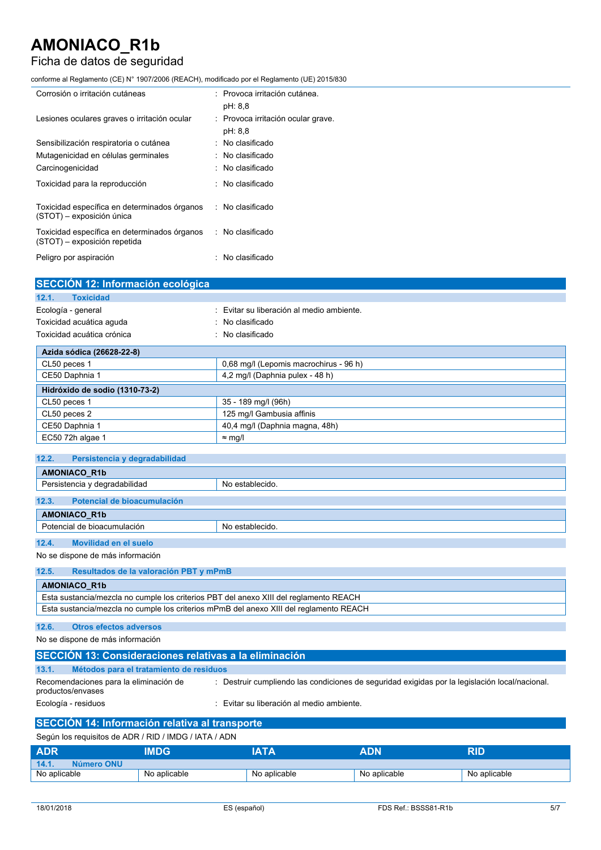## Ficha de datos de seguridad

conforme al Reglamento (CE) N° 1907/2006 (REACH), modificado por el Reglamento (UE) 2015/830

| Corrosión o irritación cutáneas                                              | : Provoca irritación cutánea.<br>pH: 8,8      |
|------------------------------------------------------------------------------|-----------------------------------------------|
| Lesiones oculares graves o irritación ocular                                 | : Provoca irritación ocular grave.<br>pH: 8,8 |
| Sensibilización respiratoria o cutánea                                       | $:$ No clasificado                            |
| Mutagenicidad en células germinales                                          | $\therefore$ No clasificado                   |
| Carcinogenicidad                                                             | $\therefore$ No clasificado                   |
| Toxicidad para la reproducción                                               | $\therefore$ No clasificado                   |
| Toxicidad específica en determinados órganos<br>(STOT) - exposición única    | : No clasificado                              |
| Toxicidad específica en determinados órganos<br>(STOT) - exposición repetida | $\therefore$ No clasificado                   |
| Peligro por aspiración                                                       | $\therefore$ No clasificado                   |

| SECCIÓN 12: Información ecológica |                                           |
|-----------------------------------|-------------------------------------------|
| <b>Toxicidad</b><br>12.1.         |                                           |
| Ecología - general                | : Evitar su liberación al medio ambiente. |
| Toxicidad acuática aguda          | $\therefore$ No clasificado               |
| Toxicidad acuática crónica        | $:$ No clasificado                        |
| Azida sódica (26628-22-8)         |                                           |
| CL50 peces 1                      | 0.68 mg/l (Lepomis macrochirus - 96 h)    |
| CE50 Daphnia 1                    | 4,2 mg/l (Daphnia pulex - 48 h)           |
| Hidróxido de sodio (1310-73-2)    |                                           |
| CL50 peces 1                      | 35 - 189 mg/l (96h)                       |
| CL50 peces 2                      | 125 mg/l Gambusia affinis                 |
| CE50 Daphnia 1                    | 40,4 mg/l (Daphnia magna, 48h)            |
| EC50 72h algae 1                  | $\approx$ mg/l                            |

| 12.2.<br>Persistencia y degradabilidad           |                 |  |
|--------------------------------------------------|-----------------|--|
| <b>AMONIACO R1b</b>                              |                 |  |
| Persistencia y degradabilidad<br>No establecido. |                 |  |
| 12.3.<br>Potencial de bioacumulación             |                 |  |
| <b>AMONIACO R1b</b>                              |                 |  |
| Potencial de bioacumulación                      | No establecido. |  |
|                                                  |                 |  |

### **12.4. Movilidad en el suelo**

No se dispone de más información

### **12.5. Resultados de la valoración PBT y mPmB**

| <b>AMONIACO R1b</b>                                                                    |  |
|----------------------------------------------------------------------------------------|--|
| Esta sustancia/mezcla no cumple los criterios PBT del anexo XIII del reglamento REACH  |  |
| Esta sustancia/mezcla no cumple los criterios mPmB del anexo XIII del reglamento REACH |  |

## **12.6. Otros efectos adversos**

No se dispone de más información

| SECCION 13: Consideraciones relativas a la eliminación      |                                                                                                |  |  |
|-------------------------------------------------------------|------------------------------------------------------------------------------------------------|--|--|
| 13.1.                                                       | Métodos para el tratamiento de residuos                                                        |  |  |
| Recomendaciones para la eliminación de<br>productos/envases | : Destruir cumpliendo las condiciones de seguridad exigidas por la legislación local/nacional. |  |  |
| Ecología - residuos                                         | Evitar su liberación al medio ambiente.                                                        |  |  |
| SECCIÓN 14: Información relativa al transporte              |                                                                                                |  |  |

## Según los requisitos de ADR / RID / IMDG / IATA / ADN **ADR IMDG IATA ADN RID 14.1. Número ONU** No aplicable No aplicable No aplicable No aplicable No aplicable No aplicable No aplicable No aplicable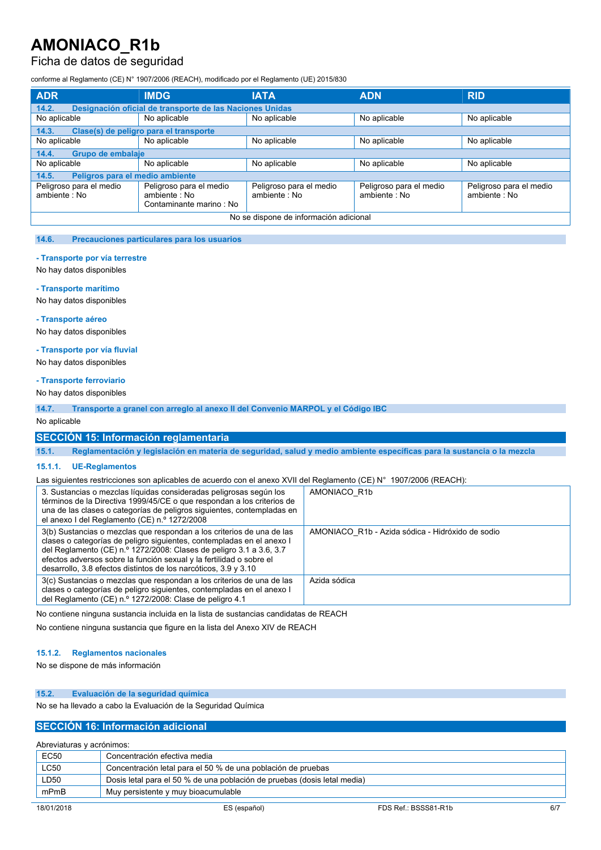## Ficha de datos de seguridad

conforme al Reglamento (CE) N° 1907/2006 (REACH), modificado por el Reglamento (UE) 2015/830

| <b>ADR</b>                               | <b>IMDG</b>                                                         | <b>IATA</b>                             | <b>ADN</b>                              | <b>RID</b>                              |
|------------------------------------------|---------------------------------------------------------------------|-----------------------------------------|-----------------------------------------|-----------------------------------------|
| 14.2.                                    | Designación oficial de transporte de las Naciones Unidas            |                                         |                                         |                                         |
| No aplicable                             | No aplicable                                                        | No aplicable                            | No aplicable                            | No aplicable                            |
| 14.3.                                    | Clase(s) de peligro para el transporte                              |                                         |                                         |                                         |
| No aplicable                             | No aplicable                                                        | No aplicable                            | No aplicable                            | No aplicable                            |
| 14.4.                                    | Grupo de embalaje                                                   |                                         |                                         |                                         |
| No aplicable                             | No aplicable                                                        | No aplicable                            | No aplicable                            | No aplicable                            |
| Peligros para el medio ambiente<br>14.5. |                                                                     |                                         |                                         |                                         |
| Peligroso para el medio<br>ambiente: No  | Peligroso para el medio<br>ambiente : No<br>Contaminante marino: No | Peligroso para el medio<br>ambiente: No | Peligroso para el medio<br>ambiente: No | Peligroso para el medio<br>ambiente: No |
| No se dispone de información adicional   |                                                                     |                                         |                                         |                                         |

#### **14.6. Precauciones particulares para los usuarios**

#### **- Transporte por vía terrestre**

No hay datos disponibles

#### **- Transporte marítimo**

No hay datos disponibles

#### **- Transporte aéreo**

No hay datos disponibles

#### **- Transporte por vía fluvial**

No hay datos disponibles

#### **- Transporte ferroviario**

No hay datos disponibles

**14.7. Transporte a granel con arreglo al anexo II del Convenio MARPOL y el Código IBC**

#### No aplicable

## **SECCIÓN 15: Información reglamentaria**

15.1. Reglamentación y legislación en materia de seguridad, salud y medio ambiente específicas para la sustancia o la mezcla

#### **15.1.1. UE-Reglamentos**

Las siguientes restricciones son aplicables de acuerdo con el anexo XVII del Reglamento (CE) N° 1907/2006 (REACH):

| 3. Sustancias o mezclas líquidas consideradas peligrosas según los<br>términos de la Directiva 1999/45/CE o que respondan a los criterios de<br>una de las clases o categorías de peligros siguientes, contempladas en<br>el anexo I del Reglamento (CE) n.º 1272/2008                                                                                          | AMONIACO R1b                                     |
|-----------------------------------------------------------------------------------------------------------------------------------------------------------------------------------------------------------------------------------------------------------------------------------------------------------------------------------------------------------------|--------------------------------------------------|
| 3(b) Sustancias o mezclas que respondan a los criterios de una de las<br>clases o categorías de peligro siguientes, contempladas en el anexo I<br>del Reglamento (CE) n.º 1272/2008: Clases de peligro 3.1 a 3.6, 3.7<br>efectos adversos sobre la función sexual y la fertilidad o sobre el<br>desarrollo, 3.8 efectos distintos de los narcóticos, 3.9 y 3.10 | AMONIACO R1b - Azida sódica - Hidróxido de sodio |
| 3(c) Sustancias o mezclas que respondan a los criterios de una de las<br>clases o categorías de peligro siguientes, contempladas en el anexo l<br>del Reglamento (CE) n.º 1272/2008: Clase de peligro 4.1                                                                                                                                                       | Azida sódica                                     |

No contiene ninguna sustancia incluida en la lista de sustancias candidatas de REACH

No contiene ninguna sustancia que figure en la lista del Anexo XIV de REACH

### **15.1.2. Reglamentos nacionales**

No se dispone de más información

#### **15.2. Evaluación de la seguridad química**

No se ha llevado a cabo la Evaluación de la Seguridad Química

### **SECCIÓN 16: Información adicional**

| Abreviaturas y acrónimos:                                                        |  |  |
|----------------------------------------------------------------------------------|--|--|
| <b>EC50</b><br>Concentración efectiva media                                      |  |  |
| <b>LC50</b><br>Concentración letal para el 50 % de una población de pruebas      |  |  |
| LD50<br>Dosis letal para el 50 % de una población de pruebas (dosis letal media) |  |  |
| mPmB<br>Muy persistente y muy bioacumulable                                      |  |  |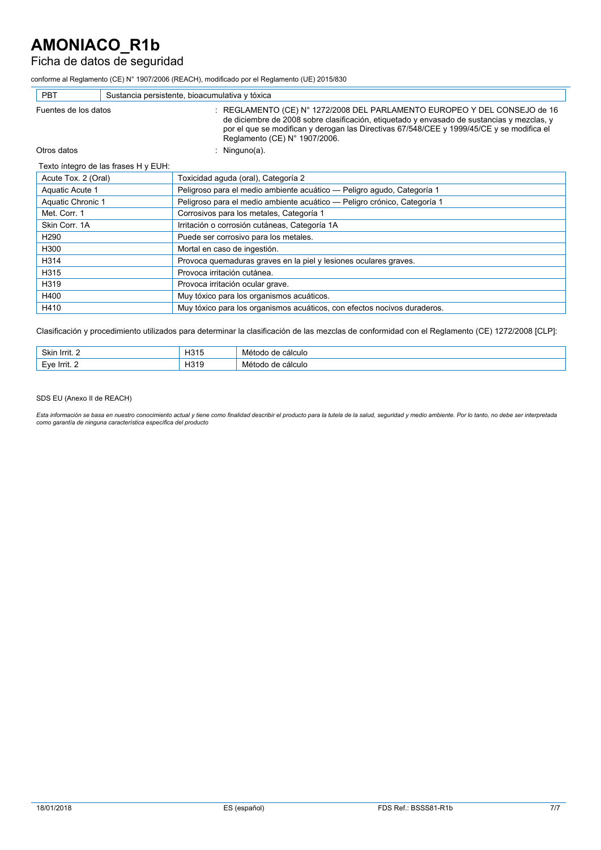# Ficha de datos de seguridad

conforme al Reglamento (CE) N° 1907/2006 (REACH), modificado por el Reglamento (UE) 2015/830

| <b>PBT</b>                           | Sustancia persistente, bioacumulativa y tóxica                                                                                                                                                                                                                                                        |  |  |
|--------------------------------------|-------------------------------------------------------------------------------------------------------------------------------------------------------------------------------------------------------------------------------------------------------------------------------------------------------|--|--|
| Fuentes de los datos                 | : REGLAMENTO (CE) N° 1272/2008 DEL PARLAMENTO EUROPEO Y DEL CONSEJO de 16<br>de diciembre de 2008 sobre clasificación, etiquetado y envasado de sustancias y mezclas, y<br>por el que se modifican y derogan las Directivas 67/548/CEE y 1999/45/CE y se modifica el<br>Reglamento (CE) N° 1907/2006. |  |  |
| Otros datos                          | : Ninguno(a).                                                                                                                                                                                                                                                                                         |  |  |
| Texto íntegro de las frases H y EUH: |                                                                                                                                                                                                                                                                                                       |  |  |
| Acute Tox. 2 (Oral)                  | Toxicidad aguda (oral), Categoría 2                                                                                                                                                                                                                                                                   |  |  |
| Aquatic Acute 1                      | Peligroso para el medio ambiente acuático - Peligro agudo, Categoría 1                                                                                                                                                                                                                                |  |  |
| Aquatic Chronic 1                    | Peligroso para el medio ambiente acuático - Peligro crónico, Categoría 1                                                                                                                                                                                                                              |  |  |
| Met. Corr. 1                         | Corrosivos para los metales, Categoría 1                                                                                                                                                                                                                                                              |  |  |
| Skin Corr. 1A                        | Irritación o corrosión cutáneas, Categoría 1A                                                                                                                                                                                                                                                         |  |  |
| H <sub>290</sub>                     | Puede ser corrosivo para los metales.                                                                                                                                                                                                                                                                 |  |  |
| H300                                 | Mortal en caso de ingestión.                                                                                                                                                                                                                                                                          |  |  |
| H314                                 | Provoca quemaduras graves en la piel y lesiones oculares graves.                                                                                                                                                                                                                                      |  |  |
| H315                                 | Provoca irritación cutánea.                                                                                                                                                                                                                                                                           |  |  |
| H319                                 | Provoca irritación ocular grave.                                                                                                                                                                                                                                                                      |  |  |
| H400                                 | Muy tóxico para los organismos acuáticos.                                                                                                                                                                                                                                                             |  |  |
| H410                                 | Muy tóxico para los organismos acuáticos, con efectos nocivos duraderos.                                                                                                                                                                                                                              |  |  |

Clasificación y procedimiento utilizados para determinar la clasificación de las mezclas de conformidad con el Reglamento (CE) 1272/2008 [CLP]:

| <b>Oldin</b><br>↑ Irrit…<br>OKI' | 104<br>. ا آب<br>____ | calculo<br>.<br>____<br>.<br>$-$ |
|----------------------------------|-----------------------|----------------------------------|
| $\cdots$<br>-                    | . הרי<br>ه ا ب        | calculo                          |

#### SDS EU (Anexo II de REACH)

Esta información se basa en nuestro conocimiento actual y tiene como finalidad describir el producto para la tutela de la salud, seguridad y medio ambiente. Por lo tanto, no debe ser interpretada<br>como garantía de ninguna c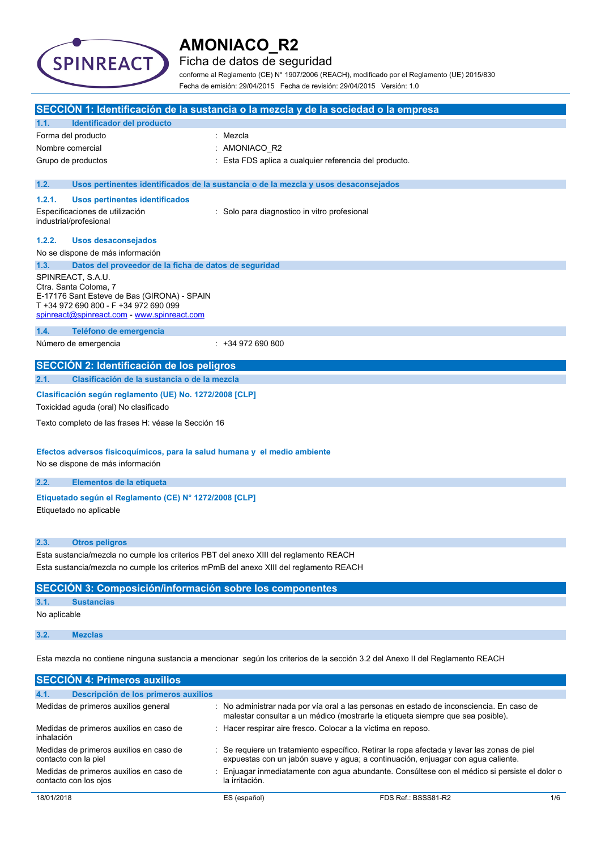

## Ficha de datos de seguridad

conforme al Reglamento (CE) N° 1907/2006 (REACH), modificado por el Reglamento (UE) 2015/830 Fecha de emisión: 29/04/2015 Fecha de revisión: 29/04/2015 Versión: 1.0

|                  |                                                                                                                                                                                   | SECCIÓN 1: Identificación de la sustancia o la mezcla y de la sociedad o la empresa                                                                                       |
|------------------|-----------------------------------------------------------------------------------------------------------------------------------------------------------------------------------|---------------------------------------------------------------------------------------------------------------------------------------------------------------------------|
| 1.1.             | Identificador del producto                                                                                                                                                        |                                                                                                                                                                           |
|                  | Forma del producto                                                                                                                                                                | Mezcla                                                                                                                                                                    |
| Nombre comercial |                                                                                                                                                                                   | AMONIACO R2                                                                                                                                                               |
|                  | Grupo de productos                                                                                                                                                                | Esta FDS aplica a cualquier referencia del producto.                                                                                                                      |
| 1.2.             |                                                                                                                                                                                   | Usos pertinentes identificados de la sustancia o de la mezcla y usos desaconsejados                                                                                       |
| 1.2.1.           | Usos pertinentes identificados                                                                                                                                                    |                                                                                                                                                                           |
|                  | Especificaciones de utilización<br>industrial/profesional                                                                                                                         | : Solo para diagnostico in vitro profesional                                                                                                                              |
| 1.2.2.           | <b>Usos desaconsejados</b>                                                                                                                                                        |                                                                                                                                                                           |
|                  | No se dispone de más información                                                                                                                                                  |                                                                                                                                                                           |
| 1.3.             | Datos del proveedor de la ficha de datos de seguridad                                                                                                                             |                                                                                                                                                                           |
|                  | SPINREACT, S.A.U.<br>Ctra. Santa Coloma, 7<br>E-17176 Sant Esteve de Bas (GIRONA) - SPAIN<br>T +34 972 690 800 - F +34 972 690 099<br>spinreact@spinreact.com - www.spinreact.com |                                                                                                                                                                           |
| 1.4.             | Teléfono de emergencia                                                                                                                                                            |                                                                                                                                                                           |
|                  | Número de emergencia                                                                                                                                                              | $: +34972690800$                                                                                                                                                          |
|                  | <b>SECCIÓN 2: Identificación de los peligros</b>                                                                                                                                  |                                                                                                                                                                           |
| 2.1.             | Clasificación de la sustancia o de la mezcla                                                                                                                                      |                                                                                                                                                                           |
|                  | Clasificación según reglamento (UE) No. 1272/2008 [CLP]                                                                                                                           |                                                                                                                                                                           |
|                  | Toxicidad aguda (oral) No clasificado                                                                                                                                             |                                                                                                                                                                           |
|                  | Texto completo de las frases H: véase la Sección 16                                                                                                                               |                                                                                                                                                                           |
|                  | Efectos adversos fisicoquímicos, para la salud humana y el medio ambiente                                                                                                         |                                                                                                                                                                           |
|                  | No se dispone de más información                                                                                                                                                  |                                                                                                                                                                           |
|                  |                                                                                                                                                                                   |                                                                                                                                                                           |
| 2.2.             | Elementos de la etiqueta                                                                                                                                                          |                                                                                                                                                                           |
|                  | Etiquetado según el Reglamento (CE) Nº 1272/2008 [CLP]<br>Etiquetado no aplicable                                                                                                 |                                                                                                                                                                           |
| 2.3.             | <b>Otros peligros</b>                                                                                                                                                             |                                                                                                                                                                           |
|                  | Esta sustancia/mezcla no cumple los criterios PBT del anexo XIII del reglamento REACH                                                                                             |                                                                                                                                                                           |
|                  |                                                                                                                                                                                   | Esta sustancia/mezcla no cumple los criterios mPmB del anexo XIII del reglamento REACH                                                                                    |
|                  | <b>SECCIÓN 3: Composición/información sobre los componentes</b>                                                                                                                   |                                                                                                                                                                           |
| 3.1.             | <b>Sustancias</b>                                                                                                                                                                 |                                                                                                                                                                           |
| No aplicable     |                                                                                                                                                                                   |                                                                                                                                                                           |
| 3.2.             | <b>Mezclas</b>                                                                                                                                                                    |                                                                                                                                                                           |
|                  |                                                                                                                                                                                   | Esta mezcla no contiene ninguna sustancia a mencionar según los criterios de la sección 3.2 del Anexo II del Reglamento REACH                                             |
|                  | <b>SECCIÓN 4: Primeros auxilios</b>                                                                                                                                               |                                                                                                                                                                           |
| 4.1.             | Descripción de los primeros auxilios                                                                                                                                              |                                                                                                                                                                           |
|                  | Medidas de primeros auxilios general                                                                                                                                              | No administrar nada por vía oral a las personas en estado de inconsciencia. En caso de<br>malestar consultar a un médico (mostrarle la etiqueta siempre que sea posible). |

| inhalación                                                       |                                                                                                                                                                               |                                                                                             |     |
|------------------------------------------------------------------|-------------------------------------------------------------------------------------------------------------------------------------------------------------------------------|---------------------------------------------------------------------------------------------|-----|
| Medidas de primeros auxilios en caso de<br>contacto con la piel  | Se requiere un tratamiento específico. Retirar la ropa afectada y lavar las zonas de piel<br>expuestas con un jabón suave y agua; a continuación, enjuagar con agua caliente. |                                                                                             |     |
| Medidas de primeros auxilios en caso de<br>contacto con los ojos | la irritación.                                                                                                                                                                | Enjuagar inmediatamente con agua abundante. Consúltese con el médico si persiste el dolor o |     |
| 18/01/2018                                                       | ES (español)                                                                                                                                                                  | FDS Ref.: BSSS81-R2                                                                         | 1/6 |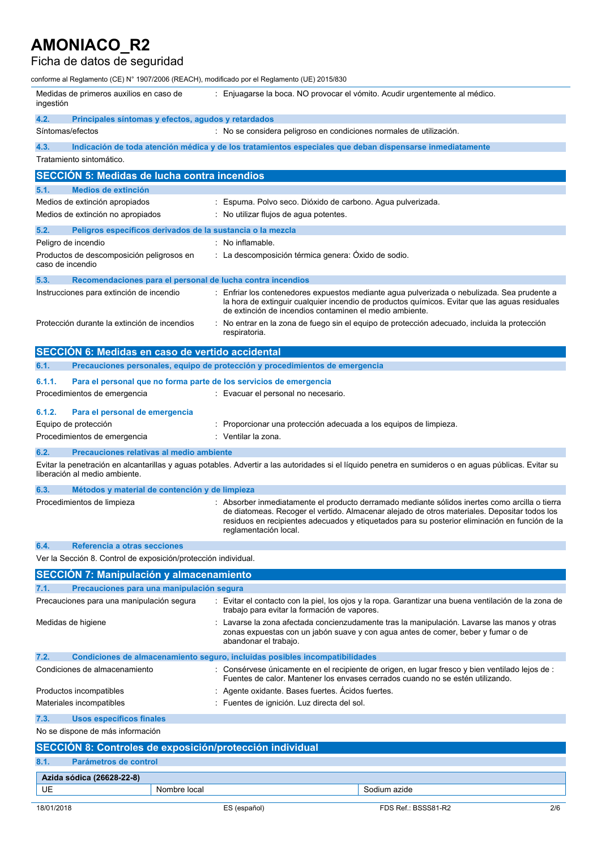# Ficha de datos de seguridad

| conforme al Reglamento (CE) N° 1907/2006 (REACH), modificado por el Reglamento (UE) 2015/830 |                                                                                                                                                                                                                                                                                                                           |  |  |  |
|----------------------------------------------------------------------------------------------|---------------------------------------------------------------------------------------------------------------------------------------------------------------------------------------------------------------------------------------------------------------------------------------------------------------------------|--|--|--|
| Medidas de primeros auxilios en caso de<br>ingestión                                         | : Enjuagarse la boca. NO provocar el vómito. Acudir urgentemente al médico.                                                                                                                                                                                                                                               |  |  |  |
| 4.2.<br>Principales síntomas y efectos, agudos y retardados                                  |                                                                                                                                                                                                                                                                                                                           |  |  |  |
| Síntomas/efectos                                                                             | : No se considera peligroso en condiciones normales de utilización.                                                                                                                                                                                                                                                       |  |  |  |
| 4.3.                                                                                         | Indicación de toda atención médica y de los tratamientos especiales que deban dispensarse inmediatamente                                                                                                                                                                                                                  |  |  |  |
| Tratamiento sintomático.                                                                     |                                                                                                                                                                                                                                                                                                                           |  |  |  |
| <b>SECCIÓN 5: Medidas de lucha contra incendios</b>                                          |                                                                                                                                                                                                                                                                                                                           |  |  |  |
| 5.1.<br>Medios de extinción                                                                  |                                                                                                                                                                                                                                                                                                                           |  |  |  |
| Medios de extinción apropiados                                                               | : Espuma. Polvo seco. Dióxido de carbono. Agua pulverizada.                                                                                                                                                                                                                                                               |  |  |  |
| Medios de extinción no apropiados                                                            | : No utilizar flujos de agua potentes.                                                                                                                                                                                                                                                                                    |  |  |  |
| 5.2.<br>Peligros específicos derivados de la sustancia o la mezcla                           |                                                                                                                                                                                                                                                                                                                           |  |  |  |
| Peligro de incendio                                                                          | : No inflamable.                                                                                                                                                                                                                                                                                                          |  |  |  |
| Productos de descomposición peligrosos en<br>caso de incendio                                | : La descomposición térmica genera: Óxido de sodio.                                                                                                                                                                                                                                                                       |  |  |  |
| 5.3.<br>Recomendaciones para el personal de lucha contra incendios                           |                                                                                                                                                                                                                                                                                                                           |  |  |  |
| Instrucciones para extinción de incendio                                                     | : Enfriar los contenedores expuestos mediante agua pulverizada o nebulizada. Sea prudente a<br>la hora de extinguir cualquier incendio de productos químicos. Evitar que las aguas residuales<br>de extinción de incendios contaminen el medio ambiente.                                                                  |  |  |  |
| Protección durante la extinción de incendios                                                 | : No entrar en la zona de fuego sin el equipo de protección adecuado, incluida la protección<br>respiratoria.                                                                                                                                                                                                             |  |  |  |
| SECCIÓN 6: Medidas en caso de vertido accidental                                             |                                                                                                                                                                                                                                                                                                                           |  |  |  |
| 6.1.                                                                                         | Precauciones personales, equipo de protección y procedimientos de emergencia                                                                                                                                                                                                                                              |  |  |  |
| 6.1.1.                                                                                       | Para el personal que no forma parte de los servicios de emergencia                                                                                                                                                                                                                                                        |  |  |  |
| Procedimientos de emergencia                                                                 | : Evacuar el personal no necesario.                                                                                                                                                                                                                                                                                       |  |  |  |
| 6.1.2.<br>Para el personal de emergencia                                                     |                                                                                                                                                                                                                                                                                                                           |  |  |  |
| Equipo de protección<br>: Proporcionar una protección adecuada a los equipos de limpieza.    |                                                                                                                                                                                                                                                                                                                           |  |  |  |
| Procedimientos de emergencia                                                                 | : Ventilar la zona.                                                                                                                                                                                                                                                                                                       |  |  |  |
| 6.2.<br>Precauciones relativas al medio ambiente                                             |                                                                                                                                                                                                                                                                                                                           |  |  |  |
| liberación al medio ambiente.                                                                | Evitar la penetración en alcantarillas y aguas potables. Advertir a las autoridades si el líquido penetra en sumideros o en aguas públicas. Evitar su                                                                                                                                                                     |  |  |  |
| 6.3.<br>Métodos y material de contención y de limpieza                                       |                                                                                                                                                                                                                                                                                                                           |  |  |  |
| Procedimientos de limpieza                                                                   | : Absorber inmediatamente el producto derramado mediante sólidos inertes como arcilla o tierra<br>de diatomeas. Recoger el vertido. Almacenar alejado de otros materiales. Depositar todos los<br>residuos en recipientes adecuados y etiquetados para su posterior eliminación en función de la<br>reglamentación local. |  |  |  |
| 6.4.<br>Referencia a otras secciones                                                         |                                                                                                                                                                                                                                                                                                                           |  |  |  |
| Ver la Sección 8. Control de exposición/protección individual.                               |                                                                                                                                                                                                                                                                                                                           |  |  |  |
| <b>SECCIÓN 7: Manipulación y almacenamiento</b>                                              |                                                                                                                                                                                                                                                                                                                           |  |  |  |
| 7.1.<br>Precauciones para una manipulación segura                                            |                                                                                                                                                                                                                                                                                                                           |  |  |  |
| Precauciones para una manipulación segura                                                    | : Evitar el contacto con la piel, los ojos y la ropa. Garantizar una buena ventilación de la zona de<br>trabajo para evitar la formación de vapores.                                                                                                                                                                      |  |  |  |
| Medidas de higiene                                                                           | : Lavarse la zona afectada concienzudamente tras la manipulación. Lavarse las manos y otras<br>zonas expuestas con un jabón suave y con agua antes de comer, beber y fumar o de<br>abandonar el trabajo.                                                                                                                  |  |  |  |
| 7.2.                                                                                         | Condiciones de almacenamiento seguro, incluidas posibles incompatibilidades                                                                                                                                                                                                                                               |  |  |  |
| Condiciones de almacenamiento                                                                | : Consérvese únicamente en el recipiente de origen, en lugar fresco y bien ventilado lejos de :<br>Fuentes de calor. Mantener los envases cerrados cuando no se estén utilizando.                                                                                                                                         |  |  |  |
| : Agente oxidante. Bases fuertes. Acidos fuertes.<br>Productos incompatibles                 |                                                                                                                                                                                                                                                                                                                           |  |  |  |
| Materiales incompatibles                                                                     | : Fuentes de ignición. Luz directa del sol.                                                                                                                                                                                                                                                                               |  |  |  |
| 7.3.<br><b>Usos específicos finales</b>                                                      |                                                                                                                                                                                                                                                                                                                           |  |  |  |
| No se dispone de más información                                                             |                                                                                                                                                                                                                                                                                                                           |  |  |  |
| SECCIÓN 8: Controles de exposición/protección individual                                     |                                                                                                                                                                                                                                                                                                                           |  |  |  |
| 8.1.<br>Parámetros de control                                                                |                                                                                                                                                                                                                                                                                                                           |  |  |  |
| Azida sódica (26628-22-8)                                                                    |                                                                                                                                                                                                                                                                                                                           |  |  |  |
| UE<br>Nombre local                                                                           | Sodium azide                                                                                                                                                                                                                                                                                                              |  |  |  |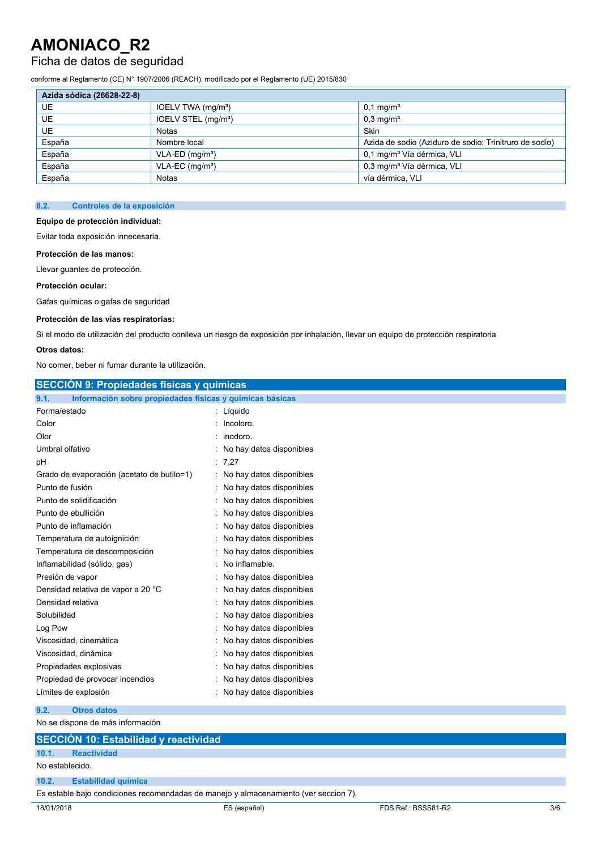## Ficha de datos de seguridad

conforme al Reglamento (CE) N° 1907/2006 (REACH), modificado por el Reglamento (UE) 2015/830

| Azida sódica (26628-22-8) |                                 |                                                        |  |  |
|---------------------------|---------------------------------|--------------------------------------------------------|--|--|
| UE                        | IOELV TWA (mg/m <sup>3</sup> )  | $0.1 \,\mathrm{mq/m^3}$                                |  |  |
| UE.                       | IOELV STEL (mg/m <sup>3</sup> ) | $0.3 \,\mathrm{mq/m^3}$                                |  |  |
| UE.                       | Notas                           | Skin                                                   |  |  |
| España                    | Nombre local                    | Azida de sodio (Aziduro de sodio: Trinitruro de sodio) |  |  |
| España                    | $VLA-ED$ (mg/m <sup>3</sup> )   | 0,1 mg/m <sup>3</sup> Vía dérmica, VLI                 |  |  |
| España                    | $VLA-EC$ (mg/m <sup>3</sup> )   | 0,3 mg/m <sup>3</sup> Vía dérmica, VLI                 |  |  |
| España                    | Notas                           | vía dérmica, VLI                                       |  |  |

### **8.2. Controles de la exposición**

#### **Equipo de protección individual:**

Evitar toda exposición innecesaria.

#### **Protección de las manos:**

Llevar guantes de protección.

#### **Protección ocular:**

Gafas químicas o gafas de seguridad

### **Protección de las vías respiratorias:**

Si el modo de utilización del producto conlleva un riesgo de exposición por inhalación, llevar un equipo de protección respiratoria

### **Otros datos:**

No comer, beber ni fumar durante la utilización.

| <b>SECCIÓN 9: Propiedades físicas y químicas</b>                 |                            |  |  |  |
|------------------------------------------------------------------|----------------------------|--|--|--|
| Información sobre propiedades físicas y químicas básicas<br>9.1. |                            |  |  |  |
| Forma/estado                                                     | : Líquido                  |  |  |  |
| Color                                                            | : Incoloro.                |  |  |  |
| Olor                                                             | : inodoro.                 |  |  |  |
| Umbral olfativo                                                  | : No hay datos disponibles |  |  |  |
| рH                                                               | : 7,27                     |  |  |  |
| Grado de evaporación (acetato de butilo=1)                       | : No hay datos disponibles |  |  |  |
| Punto de fusión                                                  | : No hay datos disponibles |  |  |  |
| Punto de solidificación                                          | : No hay datos disponibles |  |  |  |
| Punto de ebullición                                              | : No hay datos disponibles |  |  |  |
| Punto de inflamación                                             | : No hay datos disponibles |  |  |  |
| Temperatura de autoignición                                      | : No hay datos disponibles |  |  |  |
| Temperatura de descomposición                                    | : No hay datos disponibles |  |  |  |
| Inflamabilidad (sólido, gas)                                     | : No inflamable.           |  |  |  |
| Presión de vapor                                                 | : No hay datos disponibles |  |  |  |
| Densidad relativa de vapor a 20 °C                               | : No hay datos disponibles |  |  |  |
| Densidad relativa                                                | : No hay datos disponibles |  |  |  |
| Solubilidad                                                      | : No hay datos disponibles |  |  |  |
| Log Pow                                                          | : No hay datos disponibles |  |  |  |
| Viscosidad, cinemática                                           | : No hay datos disponibles |  |  |  |
| Viscosidad, dinámica                                             | : No hay datos disponibles |  |  |  |
| Propiedades explosivas                                           | : No hay datos disponibles |  |  |  |
| Propiedad de provocar incendios                                  | : No hay datos disponibles |  |  |  |
| Límites de explosión                                             | : No hay datos disponibles |  |  |  |
| 9.2.<br><b>Otros datos</b>                                       |                            |  |  |  |

## No se dispone de más información

|                                                                                      | SECCIÓN 10: Estabilidad y reactividad |  |  |  |  |
|--------------------------------------------------------------------------------------|---------------------------------------|--|--|--|--|
|                                                                                      |                                       |  |  |  |  |
| 10.1.                                                                                | <b>Reactividad</b>                    |  |  |  |  |
| No establecido.                                                                      |                                       |  |  |  |  |
|                                                                                      | 10.2. Estabilidad química             |  |  |  |  |
| Es estable bajo condiciones recomendadas de manejo y almacenamiento (ver seccion 7). |                                       |  |  |  |  |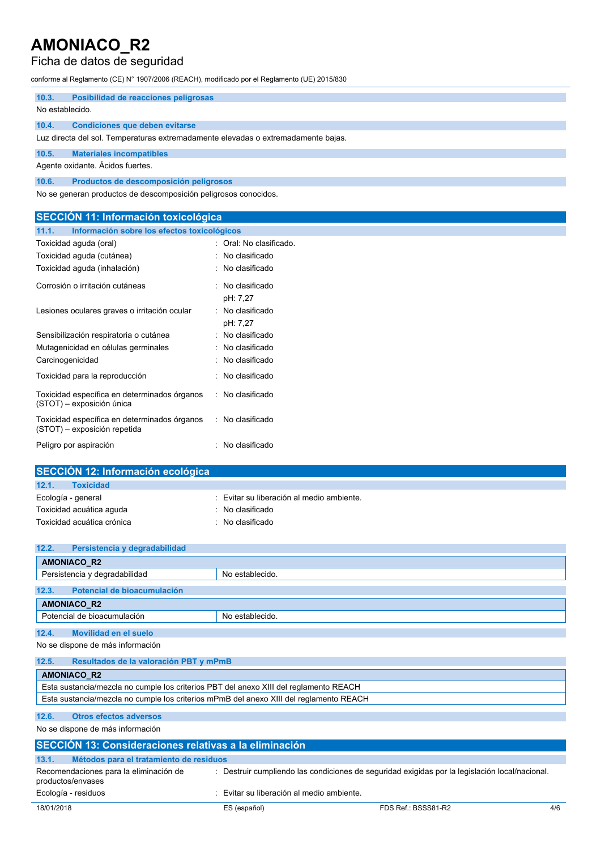## Ficha de datos de seguridad

conforme al Reglamento (CE) N° 1907/2006 (REACH), modificado por el Reglamento (UE) 2015/830

| 10.3.                                                           | Posibilidad de reacciones peligrosas                                              |  |  |  |  |
|-----------------------------------------------------------------|-----------------------------------------------------------------------------------|--|--|--|--|
|                                                                 | No establecido.                                                                   |  |  |  |  |
| 10.4.                                                           | Condiciones que deben evitarse                                                    |  |  |  |  |
|                                                                 | Luz directa del sol. Temperaturas extremadamente elevadas o extremadamente bajas. |  |  |  |  |
| 10.5.                                                           | <b>Materiales incompatibles</b>                                                   |  |  |  |  |
| Agente oxidante. Acidos fuertes.                                |                                                                                   |  |  |  |  |
| 10.6.                                                           | Productos de descomposición peligrosos                                            |  |  |  |  |
| No se generan productos de descomposición peligrosos conocidos. |                                                                                   |  |  |  |  |

| <b>SECCION 11: Información toxicológica</b>                                  |                              |  |  |  |
|------------------------------------------------------------------------------|------------------------------|--|--|--|
| Información sobre los efectos toxicológicos<br>11.1.                         |                              |  |  |  |
| Toxicidad aguda (oral)                                                       | : Oral: No clasificado.      |  |  |  |
| Toxicidad aguda (cutánea)                                                    | : No clasificado             |  |  |  |
| Toxicidad aguda (inhalación)                                                 | : No clasificado             |  |  |  |
| Corrosión o irritación cutáneas                                              | No clasificado<br>pH: 7,27   |  |  |  |
| Lesiones oculares graves o irritación ocular                                 | : No clasificado<br>pH: 7,27 |  |  |  |
| Sensibilización respiratoria o cutánea                                       | : No clasificado             |  |  |  |
| Mutagenicidad en células germinales                                          | : No clasificado             |  |  |  |
| Carcinogenicidad                                                             | No clasificado               |  |  |  |
| Toxicidad para la reproducción                                               | No clasificado               |  |  |  |
| Toxicidad específica en determinados órganos<br>(STOT) – exposición única    | : No clasificado             |  |  |  |
| Toxicidad específica en determinados órganos<br>(STOT) – exposición repetida | : No clasificado             |  |  |  |
| Peligro por aspiración                                                       | No clasificado               |  |  |  |

| SECCIÓN 12: Información ecológica |                                         |
|-----------------------------------|-----------------------------------------|
| 12.1.<br><b>Toxicidad</b>         |                                         |
| Ecología - general                | Evitar su liberación al medio ambiente. |
| Toxicidad acuática aguda          | No clasificado                          |
| Toxicidad acuática crónica        | No clasificado                          |
|                                   |                                         |

| 12.2.                                          | Persistencia y degradabilidad               |                 |  |  |  |
|------------------------------------------------|---------------------------------------------|-----------------|--|--|--|
|                                                | <b>AMONIACO R2</b>                          |                 |  |  |  |
|                                                | Persistencia y degradabilidad               | No establecido. |  |  |  |
| 12.3.                                          | Potencial de bioacumulación                 |                 |  |  |  |
|                                                | <b>AMONIACO R2</b>                          |                 |  |  |  |
| Potencial de bioacumulación<br>No establecido. |                                             |                 |  |  |  |
| 12.4.                                          | <b>Movilidad en el suelo</b>                |                 |  |  |  |
| No se dispone de más información               |                                             |                 |  |  |  |
| $AD =$                                         | Described as de la colegealise DDT com DeeD |                 |  |  |  |

**12.5. Resultados de la valoración PBT y mPmB AMONIACO\_R2** Esta sustancia/mezcla no cumple los criterios PBT del anexo XIII del reglamento REACH Esta sustancia/mezcla no cumple los criterios mPmB del anexo XIII del reglamento REACH

### **12.6. Otros efectos adversos**

No se dispone de más información

| SECCIÓN 13: Consideraciones relativas a la eliminación      |                                         |                                                                                                |     |  |  |
|-------------------------------------------------------------|-----------------------------------------|------------------------------------------------------------------------------------------------|-----|--|--|
| 13.1.<br>Métodos para el tratamiento de residuos            |                                         |                                                                                                |     |  |  |
| Recomendaciones para la eliminación de<br>productos/envases |                                         | : Destruir cumpliendo las condiciones de seguridad exigidas por la legislación local/nacional. |     |  |  |
| Ecología - residuos                                         | Evitar su liberación al medio ambiente. |                                                                                                |     |  |  |
| 18/01/2018                                                  | ES (español)                            | FDS Ref.: BSSS81-R2                                                                            | 4/6 |  |  |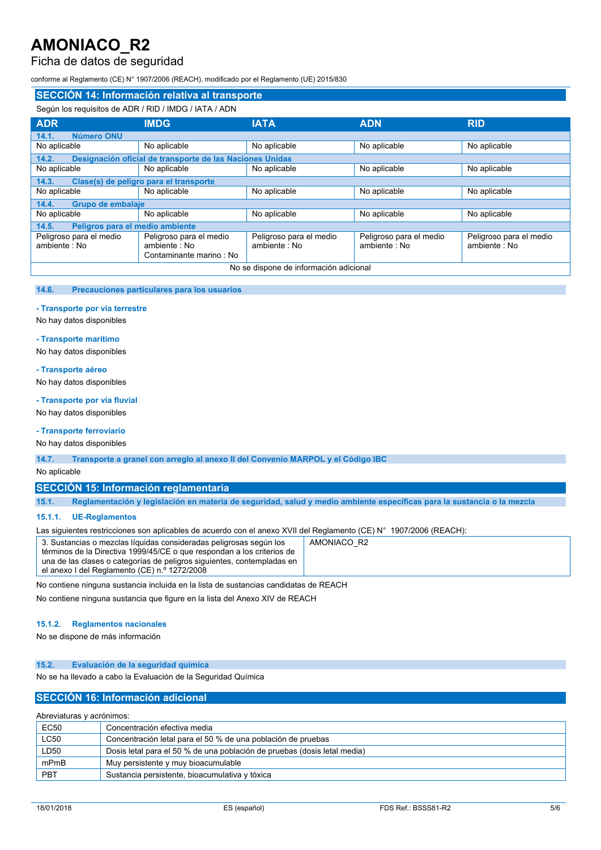## Ficha de datos de seguridad

conforme al Reglamento (CE) N° 1907/2006 (REACH), modificado por el Reglamento (UE) 2015/830

| SECCIÓN 14: Información relativa al transporte        |                                                                    |                                          |                                          |                                         |  |
|-------------------------------------------------------|--------------------------------------------------------------------|------------------------------------------|------------------------------------------|-----------------------------------------|--|
| Según los reguisitos de ADR / RID / IMDG / IATA / ADN |                                                                    |                                          |                                          |                                         |  |
| <b>ADR</b>                                            | <b>IMDG</b>                                                        | <b>IATA</b>                              | <b>ADN</b>                               | <b>RID</b>                              |  |
| 14.1.<br>Número ONU                                   |                                                                    |                                          |                                          |                                         |  |
| No aplicable                                          | No aplicable                                                       | No aplicable                             | No aplicable                             | No aplicable                            |  |
| 14.2.                                                 | Designación oficial de transporte de las Naciones Unidas           |                                          |                                          |                                         |  |
| No aplicable                                          | No aplicable                                                       | No aplicable                             | No aplicable                             | No aplicable                            |  |
| 14.3.                                                 | Clase(s) de peligro para el transporte                             |                                          |                                          |                                         |  |
| No aplicable                                          | No aplicable                                                       | No aplicable                             | No aplicable                             | No aplicable                            |  |
| Grupo de embalaje<br>14.4.                            |                                                                    |                                          |                                          |                                         |  |
| No aplicable                                          | No aplicable                                                       | No aplicable                             | No aplicable                             | No aplicable                            |  |
| Peligros para el medio ambiente<br>14.5.              |                                                                    |                                          |                                          |                                         |  |
| Peligroso para el medio<br>ambiente : No              | Peligroso para el medio<br>ambiente: No<br>Contaminante marino: No | Peligroso para el medio<br>ambiente : No | Peligroso para el medio<br>ambiente : No | Peligroso para el medio<br>ambiente: No |  |
| No se dispone de información adicional                |                                                                    |                                          |                                          |                                         |  |

#### **14.6. Precauciones particulares para los usuarios**

#### **- Transporte por vía terrestre**

No hay datos disponibles

#### **- Transporte marítimo**

No hay datos disponibles

#### **- Transporte aéreo**

No hay datos disponibles

#### **- Transporte por vía fluvial**

No hay datos disponibles

### **- Transporte ferroviario**

No hay datos disponibles

**14.7. Transporte a granel con arreglo al anexo II del Convenio MARPOL y el Código IBC**

No aplicable

### **SECCIÓN 15: Información reglamentaria**

15.1. Reglamentación y legislación en materia de seguridad, salud y medio ambiente específicas para la sustancia o la mezcla

### **15.1.1. UE-Reglamentos**

Las siguientes restricciones son aplicables de acuerdo con el anexo XVII del Reglamento (CE) N° 1907/2006 (REACH):

| 3. Sustancias o mezclas líquidas consideradas peligrosas según los     | AMONIACO R2 |
|------------------------------------------------------------------------|-------------|
| términos de la Directiva 1999/45/CE o que respondan a los criterios de |             |
| una de las clases o categorías de peligros siguientes, contempladas en |             |
| el anexo I del Reglamento (CE) n.º 1272/2008                           |             |

No contiene ninguna sustancia incluida en la lista de sustancias candidatas de REACH

No contiene ninguna sustancia que figure en la lista del Anexo XIV de REACH

### **15.1.2. Reglamentos nacionales**

No se dispone de más información

#### **15.2. Evaluación de la seguridad química**

No se ha llevado a cabo la Evaluación de la Seguridad Química

### **SECCIÓN 16: Información adicional**

Abreviaturas y acrónimos:

| <b>EC50</b> | Concentración efectiva media                                             |  |  |
|-------------|--------------------------------------------------------------------------|--|--|
| <b>LC50</b> | Concentración letal para el 50 % de una población de pruebas             |  |  |
| LD50        | Dosis letal para el 50 % de una población de pruebas (dosis letal media) |  |  |
| mPmB        | Muy persistente y muy bioacumulable                                      |  |  |
| PBT         | Sustancia persistente, bioacumulativa y tóxica                           |  |  |
|             |                                                                          |  |  |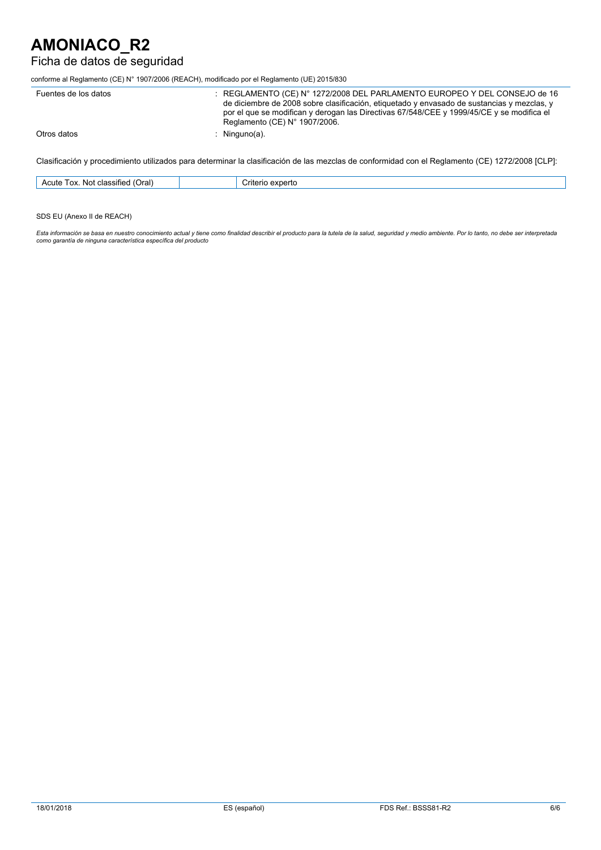## Ficha de datos de seguridad

conforme al Reglamento (CE) N° 1907/2006 (REACH), modificado por el Reglamento (UE) 2015/830

| Fuentes de los datos | REGLAMENTO (CE) N° 1272/2008 DEL PARLAMENTO EUROPEO Y DEL CONSEJO de 16<br>de diciembre de 2008 sobre clasificación, etiquetado y envasado de sustancias y mezclas, y<br>por el que se modifican y derogan las Directivas 67/548/CEE y 1999/45/CE y se modifica el<br>Reglamento (CE) N° 1907/2006. |
|----------------------|-----------------------------------------------------------------------------------------------------------------------------------------------------------------------------------------------------------------------------------------------------------------------------------------------------|
| Otros datos          | Ninguno(a).                                                                                                                                                                                                                                                                                         |

Clasificación y procedimiento utilizados para determinar la clasificación de las mezclas de conformidad con el Reglamento (CE) 1272/2008 [CLP]:

| $\sum$<br>classitied<br>NO)<br>'ox.<br>11 C<br>−₩. | ∴riter<br>$\ddot{\phantom{0}}$<br>π |
|----------------------------------------------------|-------------------------------------|
|                                                    |                                     |

SDS EU (Anexo II de REACH)

Esta información se basa en nuestro conocimiento actual y tiene como finalidad describir el producto para la tutela de la salud, seguridad y medio ambiente. Por lo tanto, no debe ser interpretada<br>como garantía de ninguna c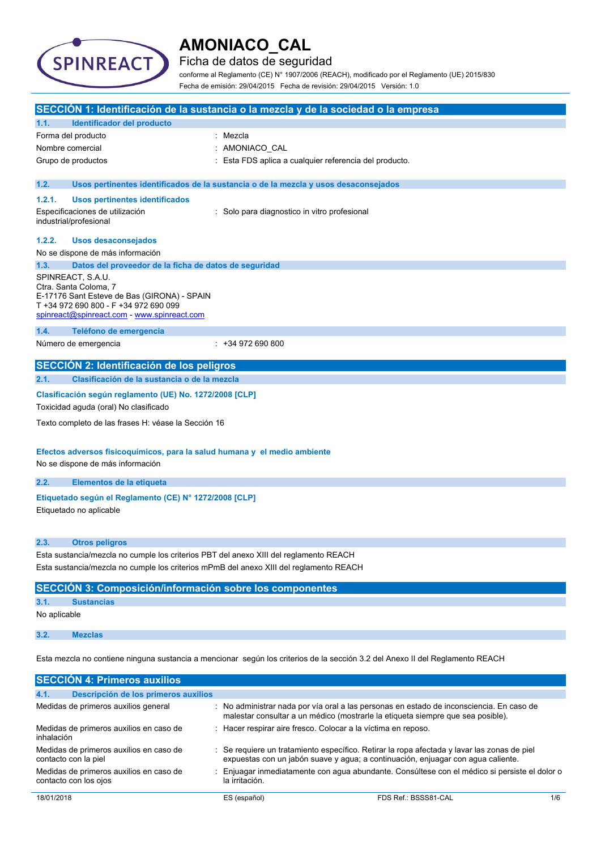

Ficha de datos de seguridad

conforme al Reglamento (CE) N° 1907/2006 (REACH), modificado por el Reglamento (UE) 2015/830 Fecha de emisión: 29/04/2015 Fecha de revisión: 29/04/2015 Versión: 1.0

|                  |                                                                                                                                                                                   | SECCIÓN 1: Identificación de la sustancia o la mezcla y de la sociedad o la empresa                                                                                         |
|------------------|-----------------------------------------------------------------------------------------------------------------------------------------------------------------------------------|-----------------------------------------------------------------------------------------------------------------------------------------------------------------------------|
| 1.1.             | Identificador del producto                                                                                                                                                        |                                                                                                                                                                             |
|                  | Forma del producto                                                                                                                                                                | Mezcla                                                                                                                                                                      |
| Nombre comercial |                                                                                                                                                                                   | AMONIACO_CAL                                                                                                                                                                |
|                  | Grupo de productos                                                                                                                                                                | Esta FDS aplica a cualquier referencia del producto.                                                                                                                        |
| 1.2.             |                                                                                                                                                                                   | Usos pertinentes identificados de la sustancia o de la mezcla y usos desaconsejados                                                                                         |
| 1.2.1.           | Usos pertinentes identificados                                                                                                                                                    |                                                                                                                                                                             |
|                  | Especificaciones de utilización<br>industrial/profesional                                                                                                                         | : Solo para diagnostico in vitro profesional                                                                                                                                |
| 1.2.2.           | <b>Usos desaconsejados</b>                                                                                                                                                        |                                                                                                                                                                             |
|                  | No se dispone de más información                                                                                                                                                  |                                                                                                                                                                             |
| 1.3.             | Datos del proveedor de la ficha de datos de seguridad                                                                                                                             |                                                                                                                                                                             |
|                  | SPINREACT, S.A.U.<br>Ctra. Santa Coloma, 7<br>E-17176 Sant Esteve de Bas (GIRONA) - SPAIN<br>T +34 972 690 800 - F +34 972 690 099<br>spinreact@spinreact.com - www.spinreact.com |                                                                                                                                                                             |
| 1.4.             | Teléfono de emergencia                                                                                                                                                            |                                                                                                                                                                             |
|                  | Número de emergencia                                                                                                                                                              | $: +34972690800$                                                                                                                                                            |
|                  | SECCIÓN 2: Identificación de los peligros                                                                                                                                         |                                                                                                                                                                             |
| 2.1.             | Clasificación de la sustancia o de la mezcla                                                                                                                                      |                                                                                                                                                                             |
|                  | Clasificación según reglamento (UE) No. 1272/2008 [CLP]                                                                                                                           |                                                                                                                                                                             |
|                  | Toxicidad aguda (oral) No clasificado                                                                                                                                             |                                                                                                                                                                             |
|                  | Texto completo de las frases H: véase la Sección 16                                                                                                                               |                                                                                                                                                                             |
|                  | Efectos adversos fisicoquímicos, para la salud humana y el medio ambiente                                                                                                         |                                                                                                                                                                             |
|                  | No se dispone de más información                                                                                                                                                  |                                                                                                                                                                             |
| 2.2.             | Elementos de la etiqueta                                                                                                                                                          |                                                                                                                                                                             |
|                  |                                                                                                                                                                                   |                                                                                                                                                                             |
|                  | Etiquetado según el Reglamento (CE) Nº 1272/2008 [CLP]<br>Etiquetado no aplicable                                                                                                 |                                                                                                                                                                             |
| 2.3.             | <b>Otros peligros</b>                                                                                                                                                             |                                                                                                                                                                             |
|                  | Esta sustancia/mezcla no cumple los criterios PBT del anexo XIII del reglamento REACH                                                                                             |                                                                                                                                                                             |
|                  |                                                                                                                                                                                   | Esta sustancia/mezcla no cumple los criterios mPmB del anexo XIII del reglamento REACH                                                                                      |
|                  | <b>SECCIÓN 3: Composición/información sobre los componentes</b>                                                                                                                   |                                                                                                                                                                             |
| 3.1.             | <b>Sustancias</b>                                                                                                                                                                 |                                                                                                                                                                             |
| No aplicable     |                                                                                                                                                                                   |                                                                                                                                                                             |
| 3.2.             | <b>Mezclas</b>                                                                                                                                                                    |                                                                                                                                                                             |
|                  |                                                                                                                                                                                   | Esta mezcla no contiene ninguna sustancia a mencionar según los criterios de la sección 3.2 del Anexo II del Reglamento REACH                                               |
|                  | <b>SECCIÓN 4: Primeros auxilios</b>                                                                                                                                               |                                                                                                                                                                             |
| 4.1.             | Descripción de los primeros auxilios                                                                                                                                              |                                                                                                                                                                             |
|                  | Medidas de primeros auxilios general                                                                                                                                              | : No administrar nada por vía oral a las personas en estado de inconsciencia. En caso de<br>malestar consultar a un médico (mostrarle la etiqueta siempre que sea posible). |

| inhalación                              |                                                                                                        |
|-----------------------------------------|--------------------------------------------------------------------------------------------------------|
| Medidas de primeros auxilios en caso de | $\therefore$ Se requiere un tratamiento específico. Retirar la ropa afectada y lavar las zonas de piel |
| contacto con la piel                    | expuestas con un jabón suave y agua; a continuación, enjuagar con agua caliente.                       |
| Medidas de primeros auxilios en caso de | Enjuagar inmediatamente con aqua abundante. Consúltese con el médico si persiste el dolor o            |
| contacto con los ojos                   | la irritación.                                                                                         |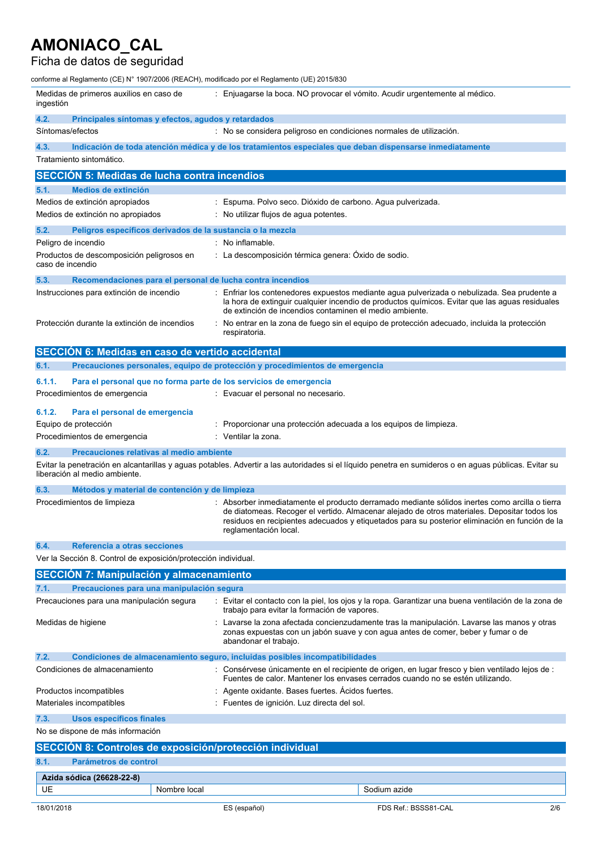# Ficha de datos de seguridad

| conforme al Reglamento (CE) N° 1907/2006 (REACH), modificado por el Reglamento (UE) 2015/830 |                                                                    |                                                                                                                                                                                                                                                                                                                           |  |
|----------------------------------------------------------------------------------------------|--------------------------------------------------------------------|---------------------------------------------------------------------------------------------------------------------------------------------------------------------------------------------------------------------------------------------------------------------------------------------------------------------------|--|
| Medidas de primeros auxilios en caso de<br>ingestión                                         |                                                                    | : Enjuagarse la boca. NO provocar el vómito. Acudir urgentemente al médico.                                                                                                                                                                                                                                               |  |
| 4.2.<br>Principales síntomas y efectos, agudos y retardados                                  |                                                                    |                                                                                                                                                                                                                                                                                                                           |  |
| Síntomas/efectos                                                                             |                                                                    | : No se considera peligroso en condiciones normales de utilización.                                                                                                                                                                                                                                                       |  |
| 4.3.                                                                                         |                                                                    | Indicación de toda atención médica y de los tratamientos especiales que deban dispensarse inmediatamente                                                                                                                                                                                                                  |  |
| Tratamiento sintomático.                                                                     |                                                                    |                                                                                                                                                                                                                                                                                                                           |  |
| <b>SECCIÓN 5: Medidas de lucha contra incendios</b>                                          |                                                                    |                                                                                                                                                                                                                                                                                                                           |  |
| 5.1.<br>Medios de extinción                                                                  |                                                                    |                                                                                                                                                                                                                                                                                                                           |  |
| Medios de extinción apropiados                                                               |                                                                    | : Espuma. Polvo seco. Dióxido de carbono. Agua pulverizada.                                                                                                                                                                                                                                                               |  |
| Medios de extinción no apropiados                                                            |                                                                    | : No utilizar flujos de agua potentes.                                                                                                                                                                                                                                                                                    |  |
| 5.2.                                                                                         | Peligros específicos derivados de la sustancia o la mezcla         |                                                                                                                                                                                                                                                                                                                           |  |
| Peligro de incendio                                                                          | : No inflamable.                                                   |                                                                                                                                                                                                                                                                                                                           |  |
| Productos de descomposición peligrosos en<br>caso de incendio                                |                                                                    | : La descomposición térmica genera: Óxido de sodio.                                                                                                                                                                                                                                                                       |  |
| 5.3.                                                                                         | Recomendaciones para el personal de lucha contra incendios         |                                                                                                                                                                                                                                                                                                                           |  |
| Instrucciones para extinción de incendio                                                     |                                                                    | : Enfriar los contenedores expuestos mediante agua pulverizada o nebulizada. Sea prudente a<br>la hora de extinguir cualquier incendio de productos químicos. Evitar que las aguas residuales<br>de extinción de incendios contaminen el medio ambiente.                                                                  |  |
| Protección durante la extinción de incendios                                                 | respiratoria.                                                      | : No entrar en la zona de fuego sin el equipo de protección adecuado, incluida la protección                                                                                                                                                                                                                              |  |
| SECCIÓN 6: Medidas en caso de vertido accidental                                             |                                                                    |                                                                                                                                                                                                                                                                                                                           |  |
| 6.1.                                                                                         |                                                                    | Precauciones personales, equipo de protección y procedimientos de emergencia                                                                                                                                                                                                                                              |  |
| 6.1.1.                                                                                       | Para el personal que no forma parte de los servicios de emergencia |                                                                                                                                                                                                                                                                                                                           |  |
| Procedimientos de emergencia                                                                 |                                                                    | : Evacuar el personal no necesario.                                                                                                                                                                                                                                                                                       |  |
| 6.1.2.<br>Para el personal de emergencia                                                     |                                                                    |                                                                                                                                                                                                                                                                                                                           |  |
| Equipo de protección                                                                         |                                                                    | : Proporcionar una protección adecuada a los equipos de limpieza.                                                                                                                                                                                                                                                         |  |
| Procedimientos de emergencia                                                                 | : Ventilar la zona.                                                |                                                                                                                                                                                                                                                                                                                           |  |
| 6.2.                                                                                         | Precauciones relativas al medio ambiente                           |                                                                                                                                                                                                                                                                                                                           |  |
| liberación al medio ambiente.                                                                |                                                                    | Evitar la penetración en alcantarillas y aguas potables. Advertir a las autoridades si el líquido penetra en sumideros o en aguas públicas. Evitar su                                                                                                                                                                     |  |
| 6.3.                                                                                         | Métodos y material de contención y de limpieza                     |                                                                                                                                                                                                                                                                                                                           |  |
| Procedimientos de limpieza                                                                   |                                                                    | : Absorber inmediatamente el producto derramado mediante sólidos inertes como arcilla o tierra<br>de diatomeas. Recoger el vertido. Almacenar alejado de otros materiales. Depositar todos los<br>residuos en recipientes adecuados y etiquetados para su posterior eliminación en función de la<br>reglamentación local. |  |
| 6.4.<br>Referencia a otras secciones                                                         |                                                                    |                                                                                                                                                                                                                                                                                                                           |  |
| Ver la Sección 8. Control de exposición/protección individual.                               |                                                                    |                                                                                                                                                                                                                                                                                                                           |  |
| <b>SECCIÓN 7: Manipulación y almacenamiento</b>                                              |                                                                    |                                                                                                                                                                                                                                                                                                                           |  |
| 7.1.                                                                                         | Precauciones para una manipulación segura                          |                                                                                                                                                                                                                                                                                                                           |  |
| Precauciones para una manipulación segura                                                    |                                                                    | : Evitar el contacto con la piel, los ojos y la ropa. Garantizar una buena ventilación de la zona de<br>trabajo para evitar la formación de vapores.                                                                                                                                                                      |  |
| Medidas de higiene                                                                           |                                                                    | : Lavarse la zona afectada concienzudamente tras la manipulación. Lavarse las manos y otras<br>zonas expuestas con un jabón suave y con agua antes de comer, beber y fumar o de<br>abandonar el trabajo.                                                                                                                  |  |
| 7.2.                                                                                         |                                                                    | Condiciones de almacenamiento seguro, incluidas posibles incompatibilidades                                                                                                                                                                                                                                               |  |
| Condiciones de almacenamiento                                                                |                                                                    | : Consérvese únicamente en el recipiente de origen, en lugar fresco y bien ventilado lejos de :<br>Fuentes de calor. Mantener los envases cerrados cuando no se estén utilizando.                                                                                                                                         |  |
| Productos incompatibles                                                                      |                                                                    | : Agente oxidante. Bases fuertes. Acidos fuertes.                                                                                                                                                                                                                                                                         |  |
| Materiales incompatibles                                                                     |                                                                    | : Fuentes de ignición. Luz directa del sol.                                                                                                                                                                                                                                                                               |  |
| 7.3.<br><b>Usos específicos finales</b>                                                      |                                                                    |                                                                                                                                                                                                                                                                                                                           |  |
| No se dispone de más información                                                             |                                                                    |                                                                                                                                                                                                                                                                                                                           |  |
| SECCIÓN 8: Controles de exposición/protección individual                                     |                                                                    |                                                                                                                                                                                                                                                                                                                           |  |
| 8.1.                                                                                         | Parámetros de control                                              |                                                                                                                                                                                                                                                                                                                           |  |
| Azida sódica (26628-22-8)                                                                    |                                                                    |                                                                                                                                                                                                                                                                                                                           |  |
| UE                                                                                           | Nombre local                                                       | Sodium azide                                                                                                                                                                                                                                                                                                              |  |

18/01/2018 ES (español) FDS Ref.: BSSS81-CAL 2/6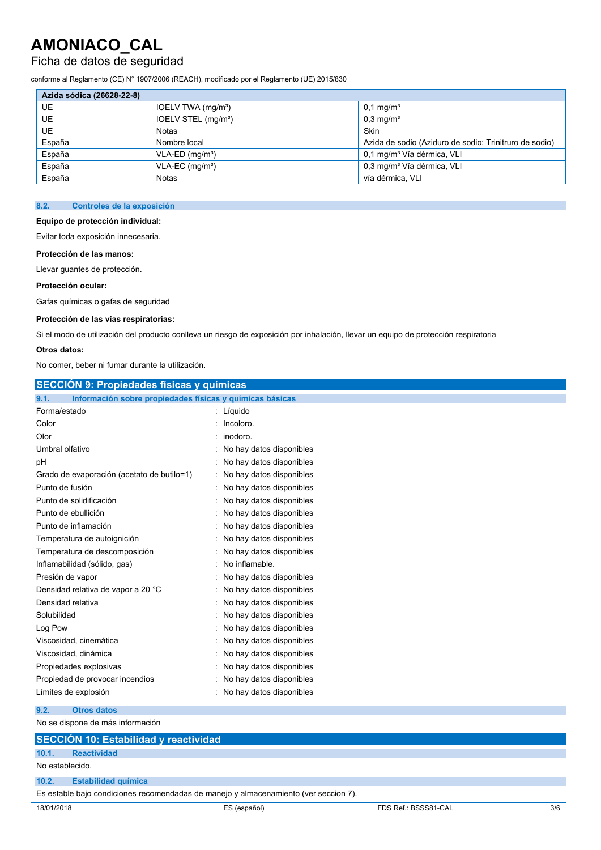## Ficha de datos de seguridad

conforme al Reglamento (CE) N° 1907/2006 (REACH), modificado por el Reglamento (UE) 2015/830

| Azida sódica (26628-22-8) |                                 |                                                        |  |
|---------------------------|---------------------------------|--------------------------------------------------------|--|
| UE                        | IOELV TWA (mg/m <sup>3</sup> )  | $0.1 \,\mathrm{mq/m^3}$                                |  |
| <b>UE</b>                 | IOELV STEL (mg/m <sup>3</sup> ) | $0.3 \,\mathrm{mq/m^3}$                                |  |
| UE.                       | <b>Notas</b>                    | Skin                                                   |  |
| España                    | Nombre local                    | Azida de sodio (Aziduro de sodio; Trinitruro de sodio) |  |
| España                    | $VLA-ED$ (mg/m <sup>3</sup> )   | 0.1 mg/m <sup>3</sup> Vía dérmica, VLI                 |  |
| España                    | $VLA-EC$ (mg/m <sup>3</sup> )   | 0,3 mg/m <sup>3</sup> Vía dérmica, VLI                 |  |
| España                    | <b>Notas</b>                    | vía dérmica. VLI                                       |  |

### **8.2. Controles de la exposición**

#### **Equipo de protección individual:**

Evitar toda exposición innecesaria.

#### **Protección de las manos:**

Llevar guantes de protección.

#### **Protección ocular:**

Gafas químicas o gafas de seguridad

### **Protección de las vías respiratorias:**

Si el modo de utilización del producto conlleva un riesgo de exposición por inhalación, llevar un equipo de protección respiratoria

### **Otros datos:**

No comer, beber ni fumar durante la utilización.

| <b>SECCIÓN 9: Propiedades físicas y químicas</b>                 |                            |  |
|------------------------------------------------------------------|----------------------------|--|
| 9.1.<br>Información sobre propiedades físicas y químicas básicas |                            |  |
| Forma/estado                                                     | : Líquido                  |  |
| Color                                                            | : Incoloro.                |  |
| Olor                                                             | : inodoro.                 |  |
| Umbral olfativo                                                  | : No hay datos disponibles |  |
| рH                                                               | : No hay datos disponibles |  |
| Grado de evaporación (acetato de butilo=1)                       | : No hay datos disponibles |  |
| Punto de fusión                                                  | : No hay datos disponibles |  |
| Punto de solidificación                                          | : No hay datos disponibles |  |
| Punto de ebullición                                              | : No hay datos disponibles |  |
| Punto de inflamación                                             | : No hay datos disponibles |  |
| Temperatura de autoignición                                      | : No hay datos disponibles |  |
| Temperatura de descomposición                                    | : No hay datos disponibles |  |
| Inflamabilidad (sólido, gas)                                     | : No inflamable.           |  |
| Presión de vapor                                                 | : No hay datos disponibles |  |
| Densidad relativa de vapor a 20 °C                               | : No hay datos disponibles |  |
| Densidad relativa                                                | : No hay datos disponibles |  |
| Solubilidad                                                      | : No hay datos disponibles |  |
| Log Pow                                                          | : No hay datos disponibles |  |
| Viscosidad, cinemática                                           | : No hay datos disponibles |  |
| Viscosidad, dinámica                                             | : No hay datos disponibles |  |
| Propiedades explosivas                                           | : No hay datos disponibles |  |
| Propiedad de provocar incendios                                  | : No hay datos disponibles |  |
| Límites de explosión                                             | : No hay datos disponibles |  |
|                                                                  |                            |  |

## **9.2. Otros datos**

| No se dispone de más información                                                     |                    |  |  |
|--------------------------------------------------------------------------------------|--------------------|--|--|
| <b>SECCIÓN 10: Estabilidad y reactividad</b>                                         |                    |  |  |
| 10.1.                                                                                | <b>Reactividad</b> |  |  |
| No establecido.                                                                      |                    |  |  |
| 10.2.<br><b>Estabilidad química</b>                                                  |                    |  |  |
| Es estable bajo condiciones recomendadas de manejo y almacenamiento (ver seccion 7). |                    |  |  |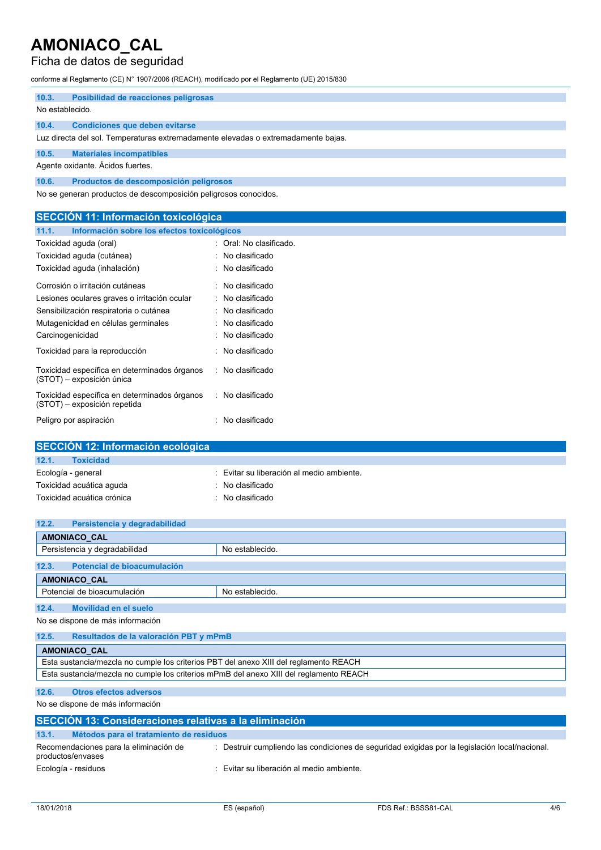## Ficha de datos de seguridad

conforme al Reglamento (CE) N° 1907/2006 (REACH), modificado por el Reglamento (UE) 2015/830

| 10.3.           | Posibilidad de reacciones peligrosas                                              |  |  |
|-----------------|-----------------------------------------------------------------------------------|--|--|
| No establecido. |                                                                                   |  |  |
| 10.4.           | Condiciones que deben evitarse                                                    |  |  |
|                 | Luz directa del sol. Temperaturas extremadamente elevadas o extremadamente bajas. |  |  |
| 10.5.           | <b>Materiales incompatibles</b>                                                   |  |  |
|                 | Agente oxidante. Ácidos fuertes.                                                  |  |  |
| 10.6.           | Productos de descomposición peligrosos                                            |  |  |
|                 | No se generan productos de descomposición peligrosos conocidos.                   |  |  |

| <b>SECCIÓN 11: Información toxicológica</b>                                  |                         |  |
|------------------------------------------------------------------------------|-------------------------|--|
| 11.1.<br>Información sobre los efectos toxicológicos                         |                         |  |
| Toxicidad aguda (oral)                                                       | : Oral: No clasificado. |  |
| Toxicidad aguda (cutánea)                                                    | : No clasificado        |  |
| Toxicidad aguda (inhalación)                                                 | : No clasificado        |  |
| Corrosión o irritación cutáneas                                              | : No clasificado        |  |
| Lesiones oculares graves o irritación ocular                                 | : No clasificado        |  |
| Sensibilización respiratoria o cutánea<br>: No clasificado                   |                         |  |
| Mutagenicidad en células germinales                                          | : No clasificado        |  |
| Carcinogenicidad                                                             | : No clasificado        |  |
| Toxicidad para la reproducción                                               | : No clasificado        |  |
| Toxicidad específica en determinados órganos<br>(STOT) - exposición única    | : No clasificado        |  |
| Toxicidad específica en determinados órganos<br>(STOT) – exposición repetida | : No clasificado        |  |
| Peligro por aspiración                                                       | : No clasificado        |  |

| SECCIÓN 12: Información ecológica |                                           |  |
|-----------------------------------|-------------------------------------------|--|
| 12.1.<br><b>Toxicidad</b>         |                                           |  |
| Ecología - general                | : Evitar su liberación al medio ambiente. |  |
| Toxicidad acuática aguda          | $\therefore$ No clasificado               |  |
| Toxicidad acuática crónica        | $\therefore$ No clasificado               |  |
|                                   |                                           |  |

| 12.2.<br>Persistencia y degradabilidad                                                 |                 |  |
|----------------------------------------------------------------------------------------|-----------------|--|
| <b>AMONIACO CAL</b>                                                                    |                 |  |
| Persistencia y degradabilidad                                                          | No establecido. |  |
| 12.3.<br>Potencial de bioacumulación                                                   |                 |  |
| <b>AMONIACO CAL</b>                                                                    |                 |  |
| Potencial de bioacumulación                                                            | No establecido. |  |
|                                                                                        |                 |  |
| 12.4.<br><b>Movilidad en el suelo</b>                                                  |                 |  |
| No se dispone de más información                                                       |                 |  |
| 12.5.<br>Resultados de la valoración PBT y mPmB                                        |                 |  |
| <b>AMONIACO CAL</b>                                                                    |                 |  |
| Esta sustancia/mezcla no cumple los criterios PBT del anexo XIII del reglamento REACH  |                 |  |
| Esta sustancia/mezcla no cumple los criterios mPmB del anexo XIII del reglamento REACH |                 |  |

## **12.6. Otros efectos adversos**

No se dispone de más información

| SECCIÓN 13: Consideraciones relativas a la eliminación      |                                                                                                |  |  |  |  |
|-------------------------------------------------------------|------------------------------------------------------------------------------------------------|--|--|--|--|
| 13.1.<br>Métodos para el tratamiento de residuos            |                                                                                                |  |  |  |  |
| Recomendaciones para la eliminación de<br>productos/envases | : Destruir cumpliendo las condiciones de seguridad exigidas por la legislación local/nacional. |  |  |  |  |
| Ecología - residuos                                         | Evitar su liberación al medio ambiente.                                                        |  |  |  |  |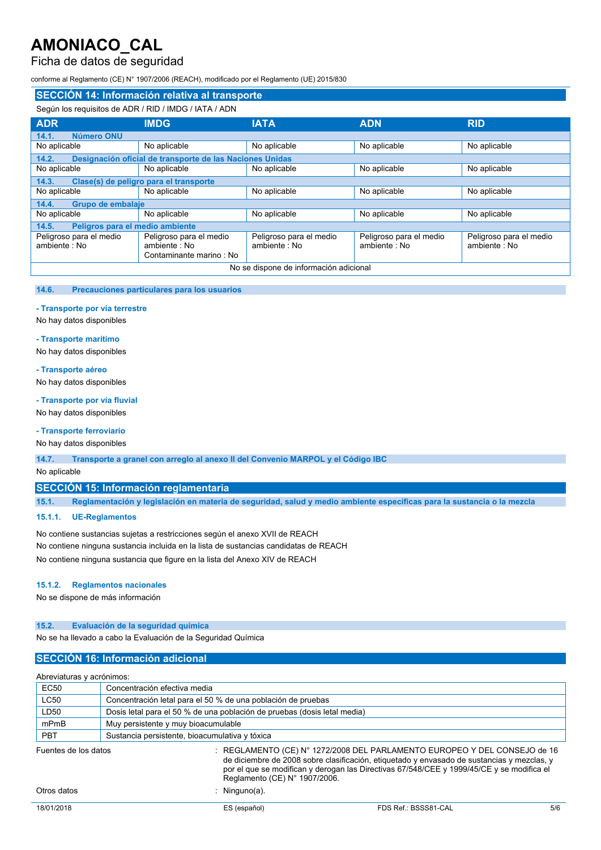## Ficha de datos de seguridad

conforme al Reglamento (CE) N° 1907/2006 (REACH), modificado por el Reglamento (UE) 2015/830

| SECCIÓN 14: Información relativa al transporte                    |                                                                    |                                         |                                         |                                         |  |  |
|-------------------------------------------------------------------|--------------------------------------------------------------------|-----------------------------------------|-----------------------------------------|-----------------------------------------|--|--|
| Según los requisitos de ADR / RID / IMDG / IATA / ADN             |                                                                    |                                         |                                         |                                         |  |  |
| <b>ADR</b>                                                        | <b>IMDG</b>                                                        | <b>IATA</b>                             | <b>ADN</b>                              | <b>RID</b>                              |  |  |
| 14.1.<br>Número ONU                                               |                                                                    |                                         |                                         |                                         |  |  |
| No aplicable                                                      | No aplicable                                                       | No aplicable                            | No aplicable                            | No aplicable                            |  |  |
| Designación oficial de transporte de las Naciones Unidas<br>14.2. |                                                                    |                                         |                                         |                                         |  |  |
| No aplicable                                                      | No aplicable                                                       | No aplicable                            | No aplicable                            | No aplicable                            |  |  |
| Clase(s) de peligro para el transporte<br>14.3.                   |                                                                    |                                         |                                         |                                         |  |  |
| No aplicable                                                      | No aplicable                                                       | No aplicable                            | No aplicable                            | No aplicable                            |  |  |
| Grupo de embalaje<br>14.4.                                        |                                                                    |                                         |                                         |                                         |  |  |
| No aplicable                                                      | No aplicable                                                       | No aplicable                            | No aplicable                            | No aplicable                            |  |  |
| Peligros para el medio ambiente<br>14.5.                          |                                                                    |                                         |                                         |                                         |  |  |
| Peligroso para el medio<br>ambiente: No                           | Peligroso para el medio<br>ambiente: No<br>Contaminante marino: No | Peligroso para el medio<br>ambiente: No | Peligroso para el medio<br>ambiente: No | Peligroso para el medio<br>ambiente: No |  |  |
| No se dispone de información adicional                            |                                                                    |                                         |                                         |                                         |  |  |

#### **14.6. Precauciones particulares para los usuarios**

#### **- Transporte por vía terrestre**

No hay datos disponibles

#### **- Transporte marítimo**

No hay datos disponibles

#### **- Transporte aéreo**

No hay datos disponibles

#### **- Transporte por vía fluvial**

No hay datos disponibles

### **- Transporte ferroviario**

No hay datos disponibles

**14.7. Transporte a granel con arreglo al anexo II del Convenio MARPOL y el Código IBC**

### No aplicable

### **SECCIÓN 15: Información reglamentaria**

15.1. Reglamentación y legislación en materia de seguridad, salud y medio ambiente específicas para la sustancia o la mezcla

### **15.1.1. UE-Reglamentos**

No contiene sustancias sujetas a restricciones según el anexo XVII de REACH No contiene ninguna sustancia incluida en la lista de sustancias candidatas de REACH No contiene ninguna sustancia que figure en la lista del Anexo XIV de REACH

#### **15.1.2. Reglamentos nacionales**

No se dispone de más información

### **15.2. Evaluación de la seguridad química**

No se ha llevado a cabo la Evaluación de la Seguridad Química

## **SECCIÓN 16: Información adicional**

| Abreviaturas y acrónimos: |                                                                                                                                                                                                                                                                                                       |  |  |
|---------------------------|-------------------------------------------------------------------------------------------------------------------------------------------------------------------------------------------------------------------------------------------------------------------------------------------------------|--|--|
| <b>EC50</b>               | Concentración efectiva media                                                                                                                                                                                                                                                                          |  |  |
| <b>LC50</b>               | Concentración letal para el 50 % de una población de pruebas                                                                                                                                                                                                                                          |  |  |
| LD50                      | Dosis letal para el 50 % de una población de pruebas (dosis letal media)                                                                                                                                                                                                                              |  |  |
| mPmB                      | Muy persistente y muy bioacumulable                                                                                                                                                                                                                                                                   |  |  |
| <b>PBT</b>                | Sustancia persistente, bioacumulativa y tóxica                                                                                                                                                                                                                                                        |  |  |
| Fuentes de los datos      | : REGLAMENTO (CE) N° 1272/2008 DEL PARLAMENTO EUROPEO Y DEL CONSEJO de 16<br>de diciembre de 2008 sobre clasificación, etiquetado y envasado de sustancias y mezclas, y<br>por el que se modifican y derogan las Directivas 67/548/CEE y 1999/45/CE y se modifica el<br>Reglamento (CE) N° 1907/2006. |  |  |
| Otros datos               | Ninguno(a).                                                                                                                                                                                                                                                                                           |  |  |